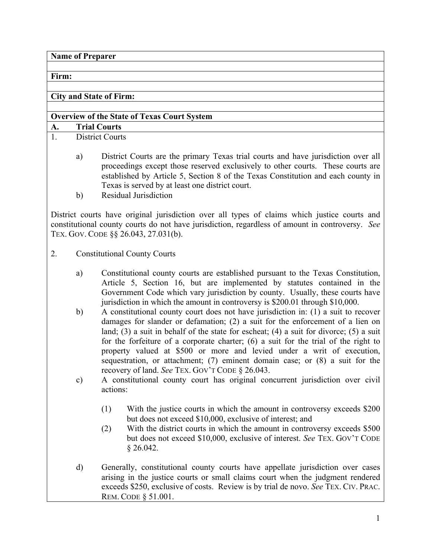**Name of Preparer**

**Firm:**

#### **City and State of Firm:**

#### **Overview of the State of Texas Court System**

**A. Trial Courts**

1. District Courts

- a) District Courts are the primary Texas trial courts and have jurisdiction over all proceedings except those reserved exclusively to other courts. These courts are established by Article 5, Section 8 of the Texas Constitution and each county in Texas is served by at least one district court.
- b) Residual Jurisdiction

District courts have original jurisdiction over all types of claims which justice courts and constitutional county courts do not have jurisdiction, regardless of amount in controversy. *See* TEX. GOV. CODE §§ 26.043, 27.031(b).

- 2. Constitutional County Courts
	- a) Constitutional county courts are established pursuant to the Texas Constitution, Article 5, Section 16, but are implemented by statutes contained in the Government Code which vary jurisdiction by county. Usually, these courts have jurisdiction in which the amount in controversy is \$200.01 through \$10,000.
	- b) A constitutional county court does not have jurisdiction in: (1) a suit to recover damages for slander or defamation; (2) a suit for the enforcement of a lien on land; (3) a suit in behalf of the state for escheat; (4) a suit for divorce; (5) a suit for the forfeiture of a corporate charter; (6) a suit for the trial of the right to property valued at \$500 or more and levied under a writ of execution, sequestration, or attachment; (7) eminent domain case; or (8) a suit for the recovery of land. *See* TEX. GOV'T CODE § 26.043.
	- c) A constitutional county court has original concurrent jurisdiction over civil actions:
		- (1) With the justice courts in which the amount in controversy exceeds \$200 but does not exceed \$10,000, exclusive of interest; and
		- (2) With the district courts in which the amount in controversy exceeds \$500 but does not exceed \$10,000, exclusive of interest. *See* TEX. GOV'T CODE § 26.042.
	- d) Generally, constitutional county courts have appellate jurisdiction over cases arising in the justice courts or small claims court when the judgment rendered exceeds \$250, exclusive of costs. Review is by trial de novo. *See* TEX. CIV. PRAC. REM. CODE § 51.001.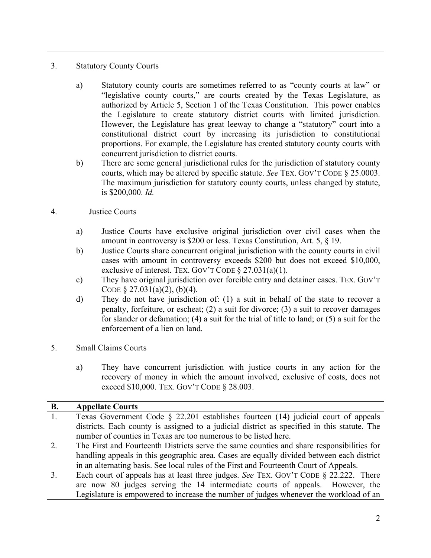## 3. Statutory County Courts

- a) Statutory county courts are sometimes referred to as "county courts at law" or "legislative county courts," are courts created by the Texas Legislature, as authorized by Article 5, Section 1 of the Texas Constitution. This power enables the Legislature to create statutory district courts with limited jurisdiction. However, the Legislature has great leeway to change a "statutory" court into a constitutional district court by increasing its jurisdiction to constitutional proportions. For example, the Legislature has created statutory county courts with concurrent jurisdiction to district courts.
- b) There are some general jurisdictional rules for the jurisdiction of statutory county courts, which may be altered by specific statute. *See* TEX. GOV'T CODE § 25.0003. The maximum jurisdiction for statutory county courts, unless changed by statute, is \$200,000. *Id.*

## 4. Justice Courts

- a) Justice Courts have exclusive original jurisdiction over civil cases when the amount in controversy is \$200 or less. Texas Constitution, Art. 5, § 19.
- b) Justice Courts share concurrent original jurisdiction with the county courts in civil cases with amount in controversy exceeds \$200 but does not exceed \$10,000, exclusive of interest. TEX. GOV'T CODE  $\S 27.031(a)(1)$ .
- c) They have original jurisdiction over forcible entry and detainer cases. TEX. GOV'T CODE  $\S 27.031(a)(2)$ , (b)(4).
- d) They do not have jurisdiction of: (1) a suit in behalf of the state to recover a penalty, forfeiture, or escheat; (2) a suit for divorce; (3) a suit to recover damages for slander or defamation; (4) a suit for the trial of title to land; or (5) a suit for the enforcement of a lien on land.
- 5. Small Claims Courts
	- a) They have concurrent jurisdiction with justice courts in any action for the recovery of money in which the amount involved, exclusive of costs, does not exceed \$10,000. TEX. GOV'T CODE § 28.003.

# **B. Appellate Courts** 1. Texas Government Code § 22.201 establishes fourteen (14) judicial court of appeals districts. Each county is assigned to a judicial district as specified in this statute. The number of counties in Texas are too numerous to be listed here. 2. The First and Fourteenth Districts serve the same counties and share responsibilities for handling appeals in this geographic area. Cases are equally divided between each district in an alternating basis. See local rules of the First and Fourteenth Court of Appeals. 3. Each court of appeals has at least three judges. *See* TEX. GOV'T CODE § 22.222. There

are now 80 judges serving the 14 intermediate courts of appeals. However, the Legislature is empowered to increase the number of judges whenever the workload of an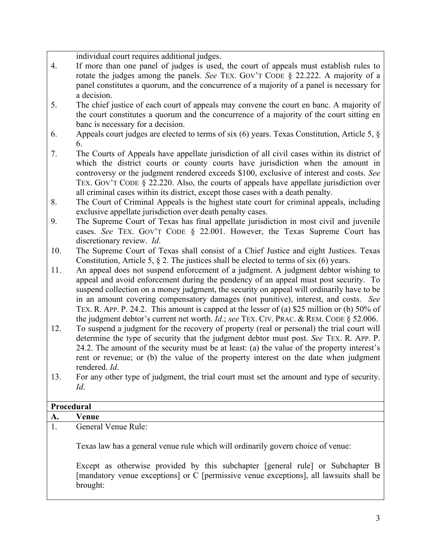individual court requires additional judges.

- 4. If more than one panel of judges is used, the court of appeals must establish rules to rotate the judges among the panels. *See* TEX. GOV'T CODE § 22.222. A majority of a panel constitutes a quorum, and the concurrence of a majority of a panel is necessary for a decision.
- 5. The chief justice of each court of appeals may convene the court en banc. A majority of the court constitutes a quorum and the concurrence of a majority of the court sitting en banc is necessary for a decision.
- 6. Appeals court judges are elected to terms of six (6) years. Texas Constitution, Article 5, § 6.
- 7. The Courts of Appeals have appellate jurisdiction of all civil cases within its district of which the district courts or county courts have jurisdiction when the amount in controversy or the judgment rendered exceeds \$100, exclusive of interest and costs. *See*  TEX. GOV'T CODE § 22.220. Also, the courts of appeals have appellate jurisdiction over all criminal cases within its district, except those cases with a death penalty.
- 8. The Court of Criminal Appeals is the highest state court for criminal appeals, including exclusive appellate jurisdiction over death penalty cases.
- 9. The Supreme Court of Texas has final appellate jurisdiction in most civil and juvenile cases. *See* TEX. GOV'T CODE § 22.001. However, the Texas Supreme Court has discretionary review. *Id*.
- 10. The Supreme Court of Texas shall consist of a Chief Justice and eight Justices. Texas Constitution, Article 5,  $\S$  2. The justices shall be elected to terms of six (6) years.
- 11. An appeal does not suspend enforcement of a judgment. A judgment debtor wishing to appeal and avoid enforcement during the pendency of an appeal must post security. To suspend collection on a money judgment, the security on appeal will ordinarily have to be in an amount covering compensatory damages (not punitive), interest, and costs. *See* TEX. R. APP. P. 24.2. This amount is capped at the lesser of (a) \$25 million or (b) 50% of the judgment debtor's current net worth. *Id*.; *see* TEX. CIV. PRAC. & REM. CODE § 52.006.
- 12. To suspend a judgment for the recovery of property (real or personal) the trial court will determine the type of security that the judgment debtor must post. *See* TEX. R. APP. P. 24.2. The amount of the security must be at least: (a) the value of the property interest's rent or revenue; or (b) the value of the property interest on the date when judgment rendered. *Id*.
- 13. For any other type of judgment, the trial court must set the amount and type of security. *Id*.

# **Procedural A. Venue** 1. General Venue Rule: Texas law has a general venue rule which will ordinarily govern choice of venue:

Except as otherwise provided by this subchapter [general rule] or Subchapter B [mandatory venue exceptions] or C [permissive venue exceptions], all lawsuits shall be brought: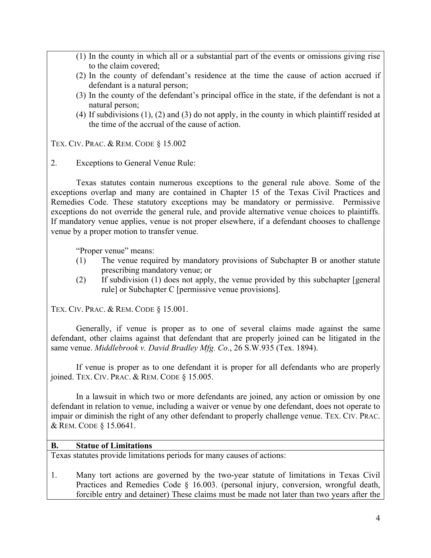- (1) In the county in which all or a substantial part of the events or omissions giving rise to the claim covered;
- (2) In the county of defendant's residence at the time the cause of action accrued if defendant is a natural person;
- (3) In the county of the defendant's principal office in the state, if the defendant is not a natural person;
- (4) If subdivisions (1), (2) and (3) do not apply, in the county in which plaintiff resided at the time of the accrual of the cause of action.

TEX. CIV. PRAC. & REM. CODE § 15.002

2. Exceptions to General Venue Rule:

Texas statutes contain numerous exceptions to the general rule above. Some of the exceptions overlap and many are contained in Chapter 15 of the Texas Civil Practices and Remedies Code. These statutory exceptions may be mandatory or permissive. Permissive exceptions do not override the general rule, and provide alternative venue choices to plaintiffs. If mandatory venue applies, venue is not proper elsewhere, if a defendant chooses to challenge venue by a proper motion to transfer venue.

"Proper venue" means:

- (1) The venue required by mandatory provisions of Subchapter B or another statute prescribing mandatory venue; or
- (2) If subdivision (1) does not apply, the venue provided by this subchapter [general rule] or Subchapter C [permissive venue provisions].

TEX. CIV. PRAC. & REM. CODE § 15.001.

Generally, if venue is proper as to one of several claims made against the same defendant, other claims against that defendant that are properly joined can be litigated in the same venue. *Middlebrook v. David Bradley Mfg. Co*., 26 S.W.935 (Tex. 1894).

If venue is proper as to one defendant it is proper for all defendants who are properly joined. TEX. CIV. PRAC. & REM. CODE § 15.005.

In a lawsuit in which two or more defendants are joined, any action or omission by one defendant in relation to venue, including a waiver or venue by one defendant, does not operate to impair or diminish the right of any other defendant to properly challenge venue. TEX. CIV. PRAC. & REM. CODE § 15.0641.

#### **B. Statue of Limitations**

Texas statutes provide limitations periods for many causes of actions:

1. Many tort actions are governed by the two-year statute of limitations in Texas Civil Practices and Remedies Code § 16.003. (personal injury, conversion, wrongful death, forcible entry and detainer) These claims must be made not later than two years after the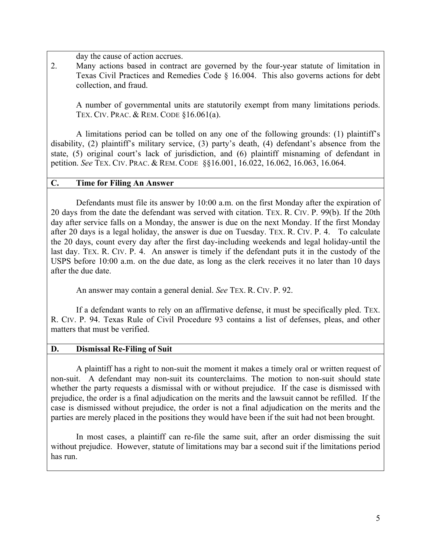day the cause of action accrues.

2. Many actions based in contract are governed by the four-year statute of limitation in Texas Civil Practices and Remedies Code § 16.004. This also governs actions for debt collection, and fraud.

A number of governmental units are statutorily exempt from many limitations periods. TEX. CIV. PRAC. & REM. CODE §16.061(a).

A limitations period can be tolled on any one of the following grounds: (1) plaintiff's disability, (2) plaintiff's military service, (3) party's death, (4) defendant's absence from the state, (5) original court's lack of jurisdiction, and (6) plaintiff misnaming of defendant in petition. *See* TEX. CIV. PRAC. & REM. CODE §§16.001, 16.022, 16.062, 16.063, 16.064.

#### **C. Time for Filing An Answer**

Defendants must file its answer by 10:00 a.m. on the first Monday after the expiration of 20 days from the date the defendant was served with citation. TEX. R. CIV. P. 99(b). If the 20th day after service falls on a Monday, the answer is due on the next Monday. If the first Monday after 20 days is a legal holiday, the answer is due on Tuesday. TEX. R. CIV. P. 4. To calculate the 20 days, count every day after the first day-including weekends and legal holiday-until the last day. TEX. R. CIV. P. 4. An answer is timely if the defendant puts it in the custody of the USPS before 10:00 a.m. on the due date, as long as the clerk receives it no later than 10 days after the due date.

An answer may contain a general denial. *See* TEX. R. CIV. P. 92.

If a defendant wants to rely on an affirmative defense, it must be specifically pled. TEX. R. CIV. P. 94. Texas Rule of Civil Procedure 93 contains a list of defenses, pleas, and other matters that must be verified.

#### **D. Dismissal Re-Filing of Suit**

A plaintiff has a right to non-suit the moment it makes a timely oral or written request of non-suit. A defendant may non-suit its counterclaims. The motion to non-suit should state whether the party requests a dismissal with or without prejudice. If the case is dismissed with prejudice, the order is a final adjudication on the merits and the lawsuit cannot be refilled. If the case is dismissed without prejudice, the order is not a final adjudication on the merits and the parties are merely placed in the positions they would have been if the suit had not been brought.

In most cases, a plaintiff can re-file the same suit, after an order dismissing the suit without prejudice. However, statute of limitations may bar a second suit if the limitations period has run.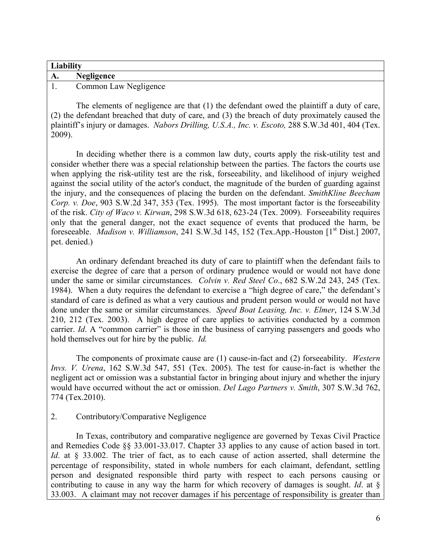| Liability |                       |  |
|-----------|-----------------------|--|
| A.        | Negligence            |  |
|           | Common Law Negligence |  |

The elements of negligence are that (1) the defendant owed the plaintiff a duty of care, (2) the defendant breached that duty of care, and (3) the breach of duty proximately caused the plaintiff's injury or damages. *Nabors Drilling, U.S.A., Inc. v. Escoto,* 288 S.W.3d 401, 404 (Tex. 2009).

In deciding whether there is a common law duty, courts apply the risk-utility test and consider whether there was a special relationship between the parties. The factors the courts use when applying the risk-utility test are the risk, forseeability, and likelihood of injury weighed against the social utility of the actor's conduct, the magnitude of the burden of guarding against the injury, and the consequences of placing the burden on the defendant. *SmithKline Beecham Corp. v. Doe*, 903 S.W.2d 347, 353 (Tex. 1995). The most important factor is the forseeability of the risk. *City of Waco v. Kirwan*, 298 S.W.3d 618, 623-24 (Tex. 2009). Forseeability requires only that the general danger, not the exact sequence of events that produced the harm, be foreseeable. *Madison v. Williamson*, 241 S.W.3d 145, 152 (Tex.App.-Houston [1st Dist.] 2007, pet. denied.)

An ordinary defendant breached its duty of care to plaintiff when the defendant fails to exercise the degree of care that a person of ordinary prudence would or would not have done under the same or similar circumstances. *Colvin v. Red Steel Co*., 682 S.W.2d 243, 245 (Tex. 1984). When a duty requires the defendant to exercise a "high degree of care," the defendant's standard of care is defined as what a very cautious and prudent person would or would not have done under the same or similar circumstances. *Speed Boat Leasing, Inc. v. Elmer*, 124 S.W.3d 210, 212 (Tex. 2003). A high degree of care applies to activities conducted by a common carrier. *Id*. A "common carrier" is those in the business of carrying passengers and goods who hold themselves out for hire by the public. *Id.*

The components of proximate cause are (1) cause-in-fact and (2) forseeability. *Western Invs. V. Urena*, 162 S.W.3d 547, 551 (Tex. 2005). The test for cause-in-fact is whether the negligent act or omission was a substantial factor in bringing about injury and whether the injury would have occurred without the act or omission. *Del Lago Partners v. Smith*, 307 S.W.3d 762, 774 (Tex.2010).

#### 2. Contributory/Comparative Negligence

In Texas, contributory and comparative negligence are governed by Texas Civil Practice and Remedies Code §§ 33.001-33.017. Chapter 33 applies to any cause of action based in tort. *Id*. at § 33.002. The trier of fact, as to each cause of action asserted, shall determine the percentage of responsibility, stated in whole numbers for each claimant, defendant, settling person and designated responsible third party with respect to each persons causing or contributing to cause in any way the harm for which recovery of damages is sought. *Id*. at § 33.003. A claimant may not recover damages if his percentage of responsibility is greater than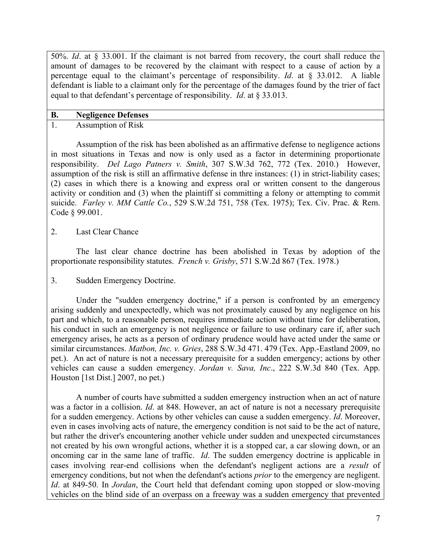50%. *Id*. at § 33.001. If the claimant is not barred from recovery, the court shall reduce the amount of damages to be recovered by the claimant with respect to a cause of action by a percentage equal to the claimant's percentage of responsibility. *Id*. at § 33.012. A liable defendant is liable to a claimant only for the percentage of the damages found by the trier of fact equal to that defendant's percentage of responsibility. *Id*. at § 33.013.

#### **B. Negligence Defenses**

1. Assumption of Risk

Assumption of the risk has been abolished as an affirmative defense to negligence actions in most situations in Texas and now is only used as a factor in determining proportionate responsibility. *Del Lago Patners v. Smith*, 307 S.W.3d 762, 772 (Tex. 2010.) However, assumption of the risk is still an affirmative defense in thre instances: (1) in strict-liability cases; (2) cases in which there is a knowing and express oral or written consent to the dangerous activity or condition and (3) when the plaintiff si committing a felony or attempting to commit suicide. *Farley v. MM Cattle Co.*, 529 S.W.2d 751, 758 (Tex. 1975); Tex. Civ. Prac. & Rem. Code § 99.001.

#### 2. Last Clear Chance

The last clear chance doctrine has been abolished in Texas by adoption of the proportionate responsibility statutes. *French v. Grisby*, 571 S.W.2d 867 (Tex. 1978.)

3. Sudden Emergency Doctrine.

Under the "sudden emergency doctrine," if a person is confronted by an emergency arising suddenly and unexpectedly, which was not proximately caused by any negligence on his part and which, to a reasonable person, requires immediate action without time for deliberation, his conduct in such an emergency is not negligence or failure to use ordinary care if, after such emergency arises, he acts as a person of ordinary prudence would have acted under the same or similar circumstances. *Matbon, Inc. v. Gries*, 288 S.W.3d 471. 479 (Tex. App.-Eastland 2009, no pet.). An act of nature is not a necessary prerequisite for a sudden emergency; actions by other vehicles can cause a sudden emergency. *Jordan v. Sava, Inc*., 222 S.W.3d 840 (Tex. App. Houston [1st Dist.] 2007, no pet.)

A number of courts have submitted a sudden emergency instruction when an act of nature was a factor in a collision. *Id*. at 848. However, an act of nature is not a necessary prerequisite for a sudden emergency. Actions by other vehicles can cause a sudden emergency. *Id*. Moreover, even in cases involving acts of nature, the emergency condition is not said to be the act of nature, but rather the driver's encountering another vehicle under sudden and unexpected circumstances not created by his own wrongful actions, whether it is a stopped car, a car slowing down, or an oncoming car in the same lane of traffic. *Id*. The sudden emergency doctrine is applicable in cases involving rear-end collisions when the defendant's negligent actions are a *result* of emergency conditions, but not when the defendant's actions *prior* to the emergency are negligent. *Id*. at 849-50. In *Jordan*, the Court held that defendant coming upon stopped or slow-moving vehicles on the blind side of an overpass on a freeway was a sudden emergency that prevented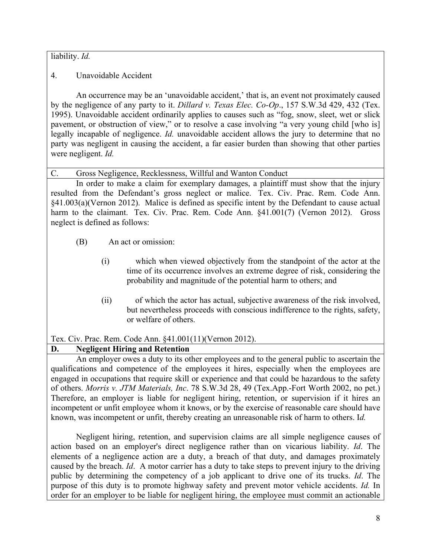## liability. *Id.*

## 4. Unavoidable Accident

An occurrence may be an 'unavoidable accident,' that is, an event not proximately caused by the negligence of any party to it. *Dillard v. Texas Elec. Co-Op*., 157 S.W.3d 429, 432 (Tex. 1995). Unavoidable accident ordinarily applies to causes such as "fog, snow, sleet, wet or slick pavement, or obstruction of view," or to resolve a case involving "a very young child [who is] legally incapable of negligence. *Id.* unavoidable accident allows the jury to determine that no party was negligent in causing the accident, a far easier burden than showing that other parties were negligent. *Id.*

## C. Gross Negligence, Recklessness, Willful and Wanton Conduct

In order to make a claim for exemplary damages, a plaintiff must show that the injury resulted from the Defendant's gross neglect or malice. Tex. Civ. Prac. Rem. Code Ann. §41.003(a)(Vernon 2012). Malice is defined as specific intent by the Defendant to cause actual harm to the claimant. Tex. Civ. Prac. Rem. Code Ann. §41.001(7) (Vernon 2012). Gross neglect is defined as follows:

- (B) An act or omission:
	- (i) which when viewed objectively from the standpoint of the actor at the time of its occurrence involves an extreme degree of risk, considering the probability and magnitude of the potential harm to others; and
	- (ii) of which the actor has actual, subjective awareness of the risk involved, but nevertheless proceeds with conscious indifference to the rights, safety, or welfare of others.

## Tex. Civ. Prac. Rem. Code Ann. §41.001(11)(Vernon 2012).

## **D. Negligent Hiring and Retention**

An employer owes a duty to its other employees and to the general public to ascertain the qualifications and competence of the employees it hires, especially when the employees are engaged in occupations that require skill or experience and that could be hazardous to the safety of others. *Morris v. JTM Materials, Inc*. 78 S.W.3d 28, 49 (Tex.App.-Fort Worth 2002, no pet.) Therefore, an employer is liable for negligent hiring, retention, or supervision if it hires an incompetent or unfit employee whom it knows, or by the exercise of reasonable care should have known, was incompetent or unfit, thereby creating an unreasonable risk of harm to others. I*d.*

Negligent hiring, retention, and supervision claims are all simple negligence causes of action based on an employer's direct negligence rather than on vicarious liability. *Id*. The elements of a negligence action are a duty, a breach of that duty, and damages proximately caused by the breach. *Id*. A motor carrier has a duty to take steps to prevent injury to the driving public by determining the competency of a job applicant to drive one of its trucks. *Id*. The purpose of this duty is to promote highway safety and prevent motor vehicle accidents. *Id.* In order for an employer to be liable for negligent hiring, the employee must commit an actionable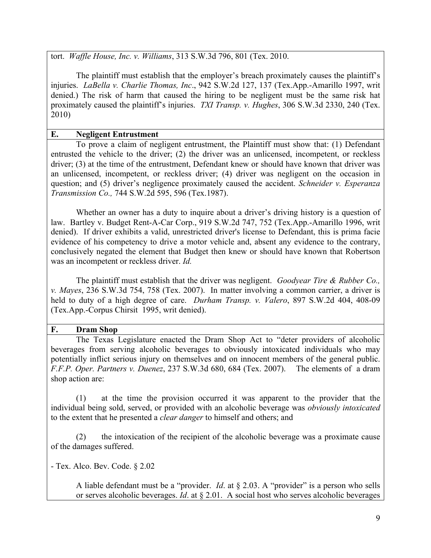tort. *Waffle House, Inc. v. Williams*, 313 S.W.3d 796, 801 (Tex. 2010.

The plaintiff must establish that the employer's breach proximately causes the plaintiff's injuries. *LaBella v. Charlie Thomas, Inc*., 942 S.W.2d 127, 137 (Tex.App.-Amarillo 1997, writ denied.) The risk of harm that caused the hiring to be negligent must be the same risk hat proximately caused the plaintiff's injuries. *TXI Transp. v. Hughes*, 306 S.W.3d 2330, 240 (Tex. 2010)

## **E. Negligent Entrustment**

To prove a claim of negligent entrustment, the Plaintiff must show that: (1) Defendant entrusted the vehicle to the driver; (2) the driver was an unlicensed, incompetent, or reckless driver; (3) at the time of the entrustment, Defendant knew or should have known that driver was an unlicensed, incompetent, or reckless driver; (4) driver was negligent on the occasion in question; and (5) driver's negligence proximately caused the accident. *Schneider v. Esperanza Transmission Co.,* 744 S.W.2d 595, 596 (Tex.1987).

Whether an owner has a duty to inquire about a driver's driving history is a question of law. Bartley v. Budget Rent-A-Car Corp., 919 S.W.2d 747, 752 (Tex.App.-Amarillo 1996, writ denied). If driver exhibits a valid, unrestricted driver's license to Defendant, this is prima facie evidence of his competency to drive a motor vehicle and, absent any evidence to the contrary, conclusively negated the element that Budget then knew or should have known that Robertson was an incompetent or reckless driver. *Id.*

The plaintiff must establish that the driver was negligent. *Goodyear Tire & Rubber Co., v. Mayes*, 236 S.W.3d 754, 758 (Tex. 2007). In matter involving a common carrier, a driver is held to duty of a high degree of care. *Durham Transp. v. Valero*, 897 S.W.2d 404, 408-09 (Tex.App.-Corpus Chirsit 1995, writ denied).

#### **F. Dram Shop**

The Texas Legislature enacted the Dram Shop Act to "deter providers of alcoholic beverages from serving alcoholic beverages to obviously intoxicated individuals who may potentially inflict serious injury on themselves and on innocent members of the general public. *F.F.P. Oper. Partners v. Duenez*, 237 S.W.3d 680, 684 (Tex. 2007). The elements of a dram shop action are:

(1) at the time the provision occurred it was apparent to the provider that the individual being sold, served, or provided with an alcoholic beverage was *obviously intoxicated* to the extent that he presented a *clear danger* to himself and others; and

(2) the intoxication of the recipient of the alcoholic beverage was a proximate cause of the damages suffered.

- Tex. Alco. Bev. Code. § 2.02

A liable defendant must be a "provider. *Id*. at § 2.03. A "provider" is a person who sells or serves alcoholic beverages. *Id*. at § 2.01. A social host who serves alcoholic beverages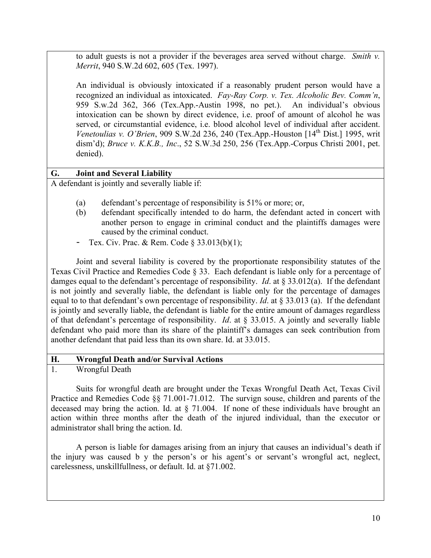to adult guests is not a provider if the beverages area served without charge. *Smith v. Merrit*, 940 S.W.2d 602, 605 (Tex. 1997).

An individual is obviously intoxicated if a reasonably prudent person would have a recognized an individual as intoxicated. *Fay-Ray Corp. v. Tex. Alcoholic Bev. Comm'n*, 959 S.w.2d 362, 366 (Tex.App.-Austin 1998, no pet.). An individual's obvious intoxication can be shown by direct evidence, i.e. proof of amount of alcohol he was served, or circumstantial evidence, i.e. blood alcohol level of individual after accident. *Venetoulias v. O'Brien*, 909 S.W.2d 236, 240 (Tex.App.-Houston [14<sup>th</sup> Dist.] 1995, writ dism'd); *Bruce v. K.K.B., Inc*., 52 S.W.3d 250, 256 (Tex.App.-Corpus Christi 2001, pet. denied).

## **G. Joint and Several Liability**

A defendant is jointly and severally liable if:

- (a) defendant's percentage of responsibility is 51% or more; or,
- (b) defendant specifically intended to do harm, the defendant acted in concert with another person to engage in criminal conduct and the plaintiffs damages were caused by the criminal conduct.
- Tex. Civ. Prac. & Rem. Code  $\S 33.013(b)(1)$ ;

Joint and several liability is covered by the proportionate responsibility statutes of the Texas Civil Practice and Remedies Code § 33. Each defendant is liable only for a percentage of damges equal to the defendant's percentage of responsibility. *Id*. at § 33.012(a). If the defendant is not jointly and severally liable, the defendant is liable only for the percentage of damages equal to to that defendant's own percentage of responsibility. *Id*. at § 33.013 (a). If the defendant is jointly and severally liable, the defendant is liable for the entire amount of damages regardless of that defendant's percentage of responsibility. *Id*. at § 33.015. A jointly and severally liable defendant who paid more than its share of the plaintiff's damages can seek contribution from another defendant that paid less than its own share. Id. at 33.015.

#### **H. Wrongful Death and/or Survival Actions**

1. Wrongful Death

Suits for wrongful death are brought under the Texas Wrongful Death Act, Texas Civil Practice and Remedies Code §§ 71.001-71.012. The survign souse, children and parents of the deceased may bring the action. Id. at § 71.004. If none of these individuals have brought an action within three months after the death of the injured individual, than the executor or administrator shall bring the action. Id.

A person is liable for damages arising from an injury that causes an individual's death if the injury was caused b y the person's or his agent's or servant's wrongful act, neglect, carelessness, unskillfullness, or default. Id. at §71.002.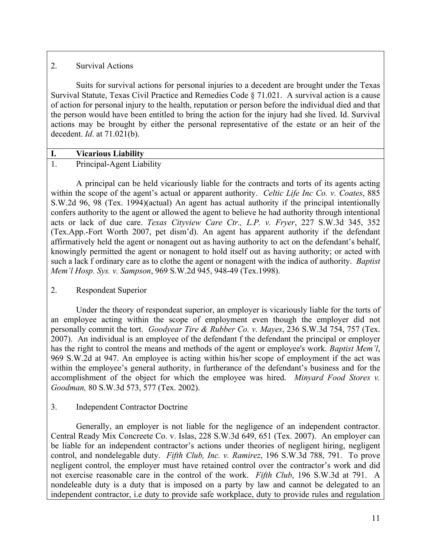## 2. Survival Actions

Suits for survival actions for personal injuries to a decedent are brought under the Texas Survival Statute, Texas Civil Practice and Remedies Code § 71.021. A survival action is a cause of action for personal injury to the health, reputation or person before the individual died and that the person would have been entitled to bring the action for the injury had she lived. Id. Survival actions may be brought by either the personal representative of the estate or an heir of the decedent. *Id*. at 71.021(b).

## **I. Vicarious Liability**

## 1. Principal-Agent Liability

A principal can be held vicariously liable for the contracts and torts of its agents acting within the scope of the agent's actual or apparent authority. *Celtic Life Inc Co. v. Coates*, 885 S.W.2d 96, 98 (Tex. 1994)(actual) An agent has actual authority if the principal intentionally confers authority to the agent or allowed the agent to believe he had authority through intentional acts or lack of due care. *Texas Cityview Care Ctr., L.P. v. Fryer*, 227 S.W.3d 345, 352 (Tex.App.-Fort Worth 2007, pet dism'd). An agent has apparent authority if the defendant affirmatively held the agent or nonagent out as having authority to act on the defendant's behalf, knowingly permitted the agent or nonagent to hold itself out as having authority; or acted with such a lack f ordinary care as to clothe the agent or nonagent with the indica of authority. *Baptist Mem'l Hosp. Sys. v. Sampson*, 969 S.W.2d 945, 948-49 (Tex.1998).

#### 2. Respondeat Superior

Under the theory of respondeat superior, an employer is vicariously liable for the torts of an employee acting within the scope of employment even though the employer did not personally commit the tort. *Goodyear Tire & Rubber Co. v. Mayes*, 236 S.W.3d 754, 757 (Tex. 2007). An individual is an employee of the defendant f the defendant the principal or employer has the right to control the means and methods of the agent or employee's work. *Baptist Mem'l*, 969 S.W.2d at 947. An employee is acting within his/her scope of employment if the act was within the employee's general authority, in furtherance of the defendant's business and for the accomplishment of the object for which the employee was hired. *Minyard Food Stores v. Goodman,* 80 S.W.3d 573, 577 (Tex. 2002).

## 3. Independent Contractor Doctrine

Generally, an employer is not liable for the negligence of an independent contractor. Central Ready Mix Concreete Co. v. Islas, 228 S.W.3d 649, 651 (Tex. 2007). An employer can be liable for an independent contractor's actions under theories of negligent hiring, negligent control, and nondelegable duty. *Fifth Club, Inc. v. Ramirez*, 196 S.W.3d 788, 791. To prove negligent control, the employer must have retained control over the contractor's work and did not exercise reasonable care in the control of the work. *Fifth Club*, 196 S.W.3d at 791. A nondeleable duty is a duty that is imposed on a party by law and cannot be delegated to an independent contractor, i.e duty to provide safe workplace, duty to provide rules and regulation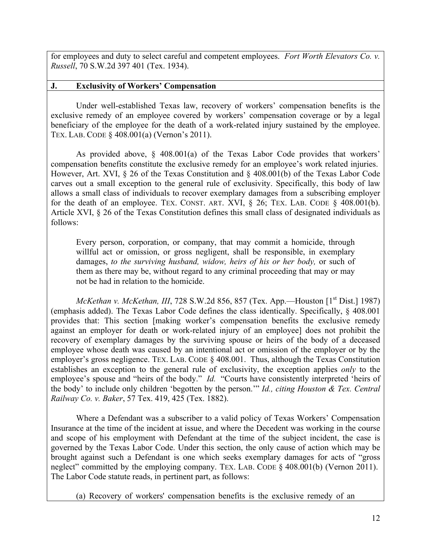for employees and duty to select careful and competent employees. *Fort Worth Elevators Co. v. Russell*, 70 S.W.2d 397 401 (Tex. 1934).

#### **J. Exclusivity of Workers' Compensation**

Under well-established Texas law, recovery of workers' compensation benefits is the exclusive remedy of an employee covered by workers' compensation coverage or by a legal beneficiary of the employee for the death of a work-related injury sustained by the employee. TEX. LAB. CODE § 408.001(a) (Vernon's 2011).

As provided above, § 408.001(a) of the Texas Labor Code provides that workers' compensation benefits constitute the exclusive remedy for an employee's work related injuries. However, Art. XVI, § 26 of the Texas Constitution and § 408.001(b) of the Texas Labor Code carves out a small exception to the general rule of exclusivity. Specifically, this body of law allows a small class of individuals to recover exemplary damages from a subscribing employer for the death of an employee. TEX. CONST. ART. XVI,  $\S$  26; TEX. LAB. CODE  $\S$  408.001(b). Article XVI, § 26 of the Texas Constitution defines this small class of designated individuals as follows:

Every person, corporation, or company, that may commit a homicide, through willful act or omission, or gross negligent, shall be responsible, in exemplary damages, *to the surviving husband, widow, heirs of his or her body*, or such of them as there may be, without regard to any criminal proceeding that may or may not be had in relation to the homicide.

*McKethan v. McKethan, III, 728 S.W.2d 856, 857 (Tex. App.—Houston [1<sup>st</sup> Dist.] 1987)* (emphasis added). The Texas Labor Code defines the class identically. Specifically, § 408.001 provides that: This section [making worker's compensation benefits the exclusive remedy against an employer for death or work-related injury of an employee] does not prohibit the recovery of exemplary damages by the surviving spouse or heirs of the body of a deceased employee whose death was caused by an intentional act or omission of the employer or by the employer's gross negligence. TEX. LAB. CODE § 408.001. Thus, although the Texas Constitution establishes an exception to the general rule of exclusivity, the exception applies *only* to the employee's spouse and "heirs of the body." *Id.* "Courts have consistently interpreted 'heirs of the body' to include only children 'begotten by the person.'" *Id., citing Houston & Tex. Central Railway Co. v. Baker*, 57 Tex. 419, 425 (Tex. 1882).

Where a Defendant was a subscriber to a valid policy of Texas Workers' Compensation Insurance at the time of the incident at issue, and where the Decedent was working in the course and scope of his employment with Defendant at the time of the subject incident, the case is governed by the Texas Labor Code. Under this section, the only cause of action which may be brought against such a Defendant is one which seeks exemplary damages for acts of "gross neglect" committed by the employing company. TEX. LAB. CODE § 408.001(b) (Vernon 2011). The Labor Code statute reads, in pertinent part, as follows:

(a) Recovery of workers' compensation benefits is the exclusive remedy of an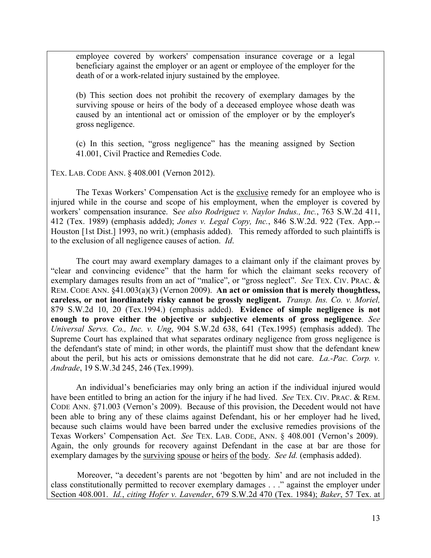employee covered by workers' compensation insurance coverage or a legal beneficiary against the employer or an agent or employee of the employer for the death of or a work-related injury sustained by the employee.

(b) This section does not prohibit the recovery of exemplary damages by the surviving spouse or heirs of the body of a deceased employee whose death was caused by an intentional act or omission of the employer or by the employer's gross negligence.

(c) In this section, "gross negligence" has the meaning assigned by Section 41.001, Civil Practice and Remedies Code.

TEX. LAB. CODE ANN. § 408.001 (Vernon 2012).

The Texas Workers' Compensation Act is the exclusive remedy for an employee who is injured while in the course and scope of his employment, when the employer is covered by workers' compensation insurance. S*ee also Rodriguez v. Naylor Indus., Inc.*, 763 S.W.2d 411, 412 (Tex. 1989) (emphasis added); *Jones v. Legal Copy, Inc.*, 846 S.W.2d. 922 (Tex. App.-- Houston [1st Dist.] 1993, no writ.) (emphasis added). This remedy afforded to such plaintiffs is to the exclusion of all negligence causes of action. *Id*.

The court may award exemplary damages to a claimant only if the claimant proves by "clear and convincing evidence" that the harm for which the claimant seeks recovery of exemplary damages results from an act of "malice", or "gross neglect". *See* TEX. CIV. PRAC. & REM. CODE ANN. §41.003(a)(3) (Vernon 2009). **An act or omission that is merely thoughtless, careless, or not inordinately risky cannot be grossly negligent.** *Transp. Ins. Co. v. Moriel,*  879 S.W.2d 10, 20 (Tex.1994.) (emphasis added). **Evidence of simple negligence is not enough to prove either the objective or subjective elements of gross negligence**. *See Universal Servs. Co., Inc. v. Ung*, 904 S.W.2d 638, 641 (Tex.1995) (emphasis added). The Supreme Court has explained that what separates ordinary negligence from gross negligence is the defendant's state of mind; in other words, the plaintiff must show that the defendant knew about the peril, but his acts or omissions demonstrate that he did not care. *La.-Pac. Corp. v. Andrade*, 19 S.W.3d 245, 246 (Tex.1999).

An individual's beneficiaries may only bring an action if the individual injured would have been entitled to bring an action for the injury if he had lived. *See* TEX. CIV. PRAC. & REM. CODE ANN. §71.003 (Vernon's 2009). Because of this provision, the Decedent would not have been able to bring any of these claims against Defendant, his or her employer had he lived, because such claims would have been barred under the exclusive remedies provisions of the Texas Workers' Compensation Act. *See* TEX. LAB. CODE, ANN. § 408.001 (Vernon's 2009). Again, the only grounds for recovery against Defendant in the case at bar are those for exemplary damages by the surviving spouse or heirs of the body. *See Id.* (emphasis added).

 Moreover, "a decedent's parents are not 'begotten by him' and are not included in the class constitutionally permitted to recover exemplary damages . . ." against the employer under Section 408.001. *Id.*, *citing Hofer v. Lavender*, 679 S.W.2d 470 (Tex. 1984); *Baker*, 57 Tex. at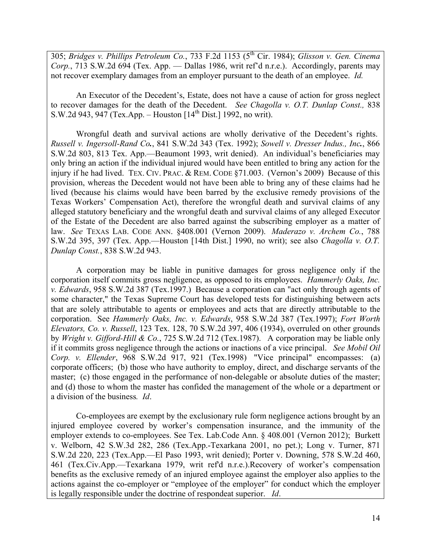305; *Bridges v. Phillips Petroleum Co.*, 733 F.2d 1153 (5th Cir. 1984); *Glisson v. Gen. Cinema Corp.*, 713 S.W.2d 694 (Tex. App. — Dallas 1986, writ ref'd n.r.e.). Accordingly, parents may not recover exemplary damages from an employer pursuant to the death of an employee. *Id.*

An Executor of the Decedent's, Estate, does not have a cause of action for gross neglect to recover damages for the death of the Decedent. *See Chagolla v. O.T. Dunlap Const.,* 838 S.W.2d 943, 947 (Tex.App. – Houston  $[14<sup>th</sup> Dist.]$  1992, no writ).

Wrongful death and survival actions are wholly derivative of the Decedent's rights. *Russell v. Ingersoll-Rand Co.*, 841 S.W.2d 343 (Tex. 1992); *Sowell v. Dresser Indus., Inc.*, 866 S.W.2d 803, 813 Tex. App.—Beaumont 1993, writ denied). An individual's beneficiaries may only bring an action if the individual injured would have been entitled to bring any action for the injury if he had lived. TEX. CIV. PRAC. & REM. CODE §71.003. (Vernon's 2009) Because of this provision, whereas the Decedent would not have been able to bring any of these claims had he lived (because his claims would have been barred by the exclusive remedy provisions of the Texas Workers' Compensation Act), therefore the wrongful death and survival claims of any alleged statutory beneficiary and the wrongful death and survival claims of any alleged Executor of the Estate of the Decedent are also barred against the subscribing employer as a matter of law. *See* TEXAS LAB. CODE ANN. §408.001 (Vernon 2009). *Maderazo v. Archem Co.*, 788 S.W.2d 395, 397 (Tex. App.—Houston [14th Dist.] 1990, no writ); see also *Chagolla v. O.T. Dunlap Const.*, 838 S.W.2d 943.

A corporation may be liable in punitive damages for gross negligence only if the corporation itself commits gross negligence, as opposed to its employees. *Hammerly Oaks, Inc. v. Edwards*, 958 S.W.2d 387 (Tex.1997.) Because a corporation can "act only through agents of some character," the Texas Supreme Court has developed tests for distinguishing between acts that are solely attributable to agents or employees and acts that are directly attributable to the corporation. See *Hammerly Oaks, Inc. v. Edwards*, 958 S.W.2d 387 (Tex.1997); *Fort Worth Elevators, Co. v. Russell*, 123 Tex. 128, 70 S.W.2d 397, 406 (1934), overruled on other grounds by *Wright v. Gifford-Hill & Co.*, 725 S.W.2d 712 (Tex.1987). A corporation may be liable only if it commits gross negligence through the actions or inactions of a vice principal. *See Mobil Oil Corp. v. Ellender*, 968 S.W.2d 917, 921 (Tex.1998) "Vice principal" encompasses: (a) corporate officers; (b) those who have authority to employ, direct, and discharge servants of the master; (c) those engaged in the performance of non-delegable or absolute duties of the master; and (d) those to whom the master has confided the management of the whole or a department or a division of the business*. Id*.

Co-employees are exempt by the exclusionary rule form negligence actions brought by an injured employee covered by worker's compensation insurance, and the immunity of the employer extends to co-employees. See Tex. Lab.Code Ann. § 408.001 (Vernon 2012); Burkett v. Welborn, 42 S.W.3d 282, 286 (Tex.App.-Texarkana 2001, no pet.); Long v. Turner, 871 S.W.2d 220, 223 (Tex.App.—El Paso 1993, writ denied); Porter v. Downing, 578 S.W.2d 460, 461 (Tex.Civ.App.—Texarkana 1979, writ ref'd n.r.e.).Recovery of worker's compensation benefits as the exclusive remedy of an injured employee against the employer also applies to the actions against the co-employer or "employee of the employer" for conduct which the employer is legally responsible under the doctrine of respondeat superior. *Id*.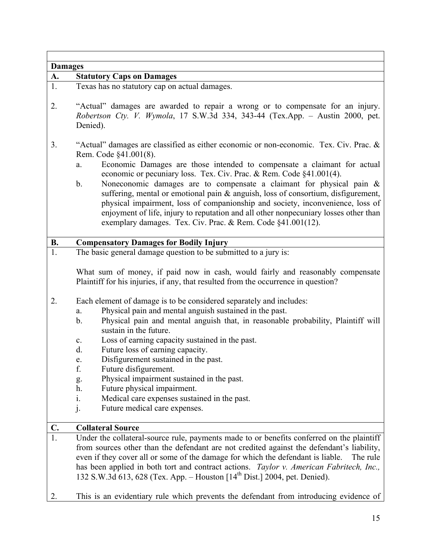|                  | <b>Damages</b>                                                                                                                                                                                                                                                                                                                                                                                                                                                                                                                                                                                                                                                                                   |  |  |  |  |
|------------------|--------------------------------------------------------------------------------------------------------------------------------------------------------------------------------------------------------------------------------------------------------------------------------------------------------------------------------------------------------------------------------------------------------------------------------------------------------------------------------------------------------------------------------------------------------------------------------------------------------------------------------------------------------------------------------------------------|--|--|--|--|
| <b>A.</b>        | <b>Statutory Caps on Damages</b>                                                                                                                                                                                                                                                                                                                                                                                                                                                                                                                                                                                                                                                                 |  |  |  |  |
| $\overline{1}$ . | Texas has no statutory cap on actual damages.                                                                                                                                                                                                                                                                                                                                                                                                                                                                                                                                                                                                                                                    |  |  |  |  |
| 2.               | "Actual" damages are awarded to repair a wrong or to compensate for an injury.<br>Robertson Cty. V. Wymola, 17 S.W.3d 334, 343-44 (Tex.App. - Austin 2000, pet.<br>Denied).                                                                                                                                                                                                                                                                                                                                                                                                                                                                                                                      |  |  |  |  |
| 3.               | "Actual" damages are classified as either economic or non-economic. Tex. Civ. Prac. &<br>Rem. Code §41.001(8).<br>Economic Damages are those intended to compensate a claimant for actual<br>a.<br>economic or pecuniary loss. Tex. Civ. Prac. & Rem. Code §41.001(4).<br>Noneconomic damages are to compensate a claimant for physical pain $\&$<br>$\mathbf b$ .<br>suffering, mental or emotional pain & anguish, loss of consortium, disfigurement,<br>physical impairment, loss of companionship and society, inconvenience, loss of<br>enjoyment of life, injury to reputation and all other nonpecuniary losses other than<br>exemplary damages. Tex. Civ. Prac. & Rem. Code §41.001(12). |  |  |  |  |
| <b>B.</b>        | <b>Compensatory Damages for Bodily Injury</b>                                                                                                                                                                                                                                                                                                                                                                                                                                                                                                                                                                                                                                                    |  |  |  |  |
| 1.               | The basic general damage question to be submitted to a jury is:<br>What sum of money, if paid now in cash, would fairly and reasonably compensate<br>Plaintiff for his injuries, if any, that resulted from the occurrence in question?                                                                                                                                                                                                                                                                                                                                                                                                                                                          |  |  |  |  |
| 2.               | Each element of damage is to be considered separately and includes:<br>Physical pain and mental anguish sustained in the past.<br>a.<br>Physical pain and mental anguish that, in reasonable probability, Plaintiff will<br>b.<br>sustain in the future.<br>Loss of earning capacity sustained in the past.<br>$\mathbf{c}$ .<br>Future loss of earning capacity.<br>d.<br>Disfigurement sustained in the past.<br>e.<br>f.<br>Future disfigurement.<br>Physical impairment sustained in the past.<br>g.<br>h.<br>Future physical impairment.<br>i.<br>Medical care expenses sustained in the past.<br>Future medical care expenses.<br>$\cdot$                                                  |  |  |  |  |
| $\mathbf{C}$ .   | <b>Collateral Source</b>                                                                                                                                                                                                                                                                                                                                                                                                                                                                                                                                                                                                                                                                         |  |  |  |  |
| 1.               | Under the collateral-source rule, payments made to or benefits conferred on the plaintiff<br>from sources other than the defendant are not credited against the defendant's liability,<br>even if they cover all or some of the damage for which the defendant is liable.<br>The rule<br>has been applied in both tort and contract actions. Taylor v. American Fabritech, Inc.,<br>132 S.W.3d 613, 628 (Tex. App. – Houston [14 <sup>th</sup> Dist.] 2004, pet. Denied).                                                                                                                                                                                                                        |  |  |  |  |

2. This is an evidentiary rule which prevents the defendant from introducing evidence of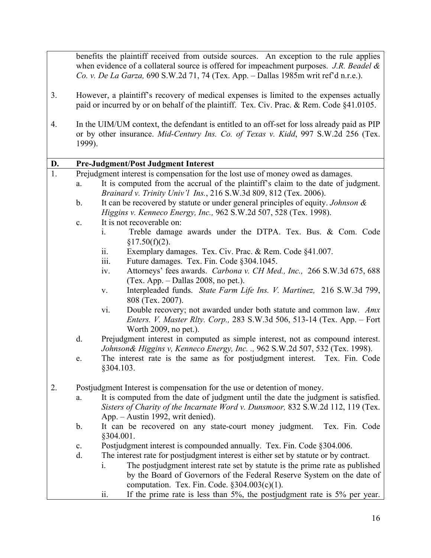|    | benefits the plaintiff received from outside sources. An exception to the rule applies<br>when evidence of a collateral source is offered for impeachment purposes. J.R. Beadel $\&$<br>Co. v. De La Garza, 690 S.W.2d 71, 74 (Tex. App. - Dallas 1985m writ ref'd n.r.e.). |                |
|----|-----------------------------------------------------------------------------------------------------------------------------------------------------------------------------------------------------------------------------------------------------------------------------|----------------|
| 3. | However, a plaintiff's recovery of medical expenses is limited to the expenses actually<br>paid or incurred by or on behalf of the plaintiff. Tex. Civ. Prac. & Rem. Code §41.0105.                                                                                         |                |
| 4. | In the UIM/UM context, the defendant is entitled to an off-set for loss already paid as PIP<br>or by other insurance. Mid-Century Ins. Co. of Texas v. Kidd, 997 S.W.2d 256 (Tex.<br>1999).                                                                                 |                |
| D. | <b>Pre-Judgment/Post Judgment Interest</b>                                                                                                                                                                                                                                  |                |
| 1. | Prejudgment interest is compensation for the lost use of money owed as damages.                                                                                                                                                                                             |                |
|    | It is computed from the accrual of the plaintiff's claim to the date of judgment.<br>a.<br>Brainard v. Trinity Univ'l Ins., 216 S.W.3d 809, 812 (Tex. 2006).                                                                                                                |                |
|    | It can be recovered by statute or under general principles of equity. Johnson $\&$<br>$\mathbf b$ .<br>Higgins v. Kenneco Energy, Inc., 962 S.W.2d 507, 528 (Tex. 1998).                                                                                                    |                |
|    | It is not recoverable on:<br>c.                                                                                                                                                                                                                                             |                |
|    | Treble damage awards under the DTPA. Tex. Bus. & Com. Code<br>1.<br>§17.50(f)(2).                                                                                                                                                                                           |                |
|    | ii.<br>Exemplary damages. Tex. Civ. Prac. & Rem. Code §41.007.                                                                                                                                                                                                              |                |
|    | iii.<br>Future damages. Tex. Fin. Code §304.1045.                                                                                                                                                                                                                           |                |
|    | Attorneys' fees awards. Carbona v. CH Med., Inc., 266 S.W.3d 675, 688<br>iv.                                                                                                                                                                                                |                |
|    | (Tex. App. – Dallas 2008, no pet.).                                                                                                                                                                                                                                         |                |
|    | Interpleaded funds. State Farm Life Ins. V. Martinez, 216 S.W.3d 799,<br>V.<br>808 (Tex. 2007).                                                                                                                                                                             |                |
|    | Double recovery; not awarded under both statute and common law. Amx<br>vi.<br><i>Enters. V. Master Rlty. Corp., 283 S.W.3d 506, 513-14 (Tex. App. – Fort)</i><br>Worth 2009, no pet.).                                                                                      |                |
|    | d.<br>Prejudgment interest in computed as simple interest, not as compound interest.<br>Johnson& Higgins v, Kenneco Energy, Inc. ., 962 S.W.2d 507, 532 (Tex. 1998).                                                                                                        |                |
|    | The interest rate is the same as for postjudgment interest. Tex. Fin. Code<br>e.<br>§304.103.                                                                                                                                                                               |                |
| 2. | Postjudgment Interest is compensation for the use or detention of money.                                                                                                                                                                                                    |                |
|    | It is computed from the date of judgment until the date the judgment is satisfied.<br>a.<br>Sisters of Charity of the Incarnate Word v. Dunsmoor, 832 S.W.2d 112, 119 (Tex.<br>App. – Austin 1992, writ denied).                                                            |                |
|    | It can be recovered on any state-court money judgment.<br>$\mathbf b$ .<br>§304.001.                                                                                                                                                                                        | Tex. Fin. Code |
|    | Postjudgment interest is compounded annually. Tex. Fin. Code §304.006.<br>$\mathbf{c}.$                                                                                                                                                                                     |                |
|    | The interest rate for postjudgment interest is either set by statute or by contract.<br>d.                                                                                                                                                                                  |                |
|    | The postjudgment interest rate set by statute is the prime rate as published<br>$\mathbf{i}$ .                                                                                                                                                                              |                |
|    | by the Board of Governors of the Federal Reserve System on the date of                                                                                                                                                                                                      |                |
|    | computation. Tex. Fin. Code. $§304.003(c)(1)$ .                                                                                                                                                                                                                             |                |
|    | If the prime rate is less than $5\%$ , the postjudgment rate is $5\%$ per year.<br>ii.                                                                                                                                                                                      |                |

ii. If the prime rate is less than 5%, the postjudgment rate is 5% per year.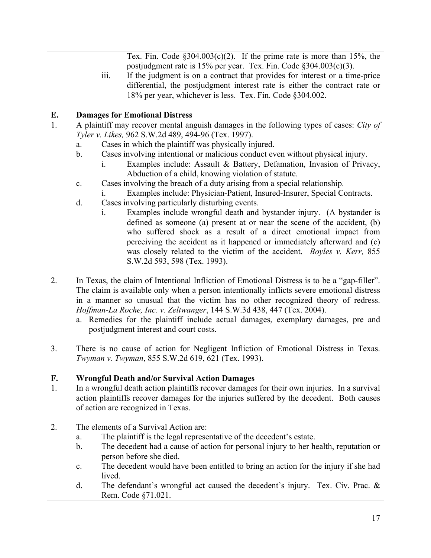| postjudgment rate is $15\%$ per year. Tex. Fin. Code $\S 304.003(c)(3)$ .<br>iii.<br>If the judgment is on a contract that provides for interest or a time-price<br>differential, the postjudgment interest rate is either the contract rate or                                                                                                                                                                                                                                               |  |
|-----------------------------------------------------------------------------------------------------------------------------------------------------------------------------------------------------------------------------------------------------------------------------------------------------------------------------------------------------------------------------------------------------------------------------------------------------------------------------------------------|--|
| 18% per year, whichever is less. Tex. Fin. Code §304.002.                                                                                                                                                                                                                                                                                                                                                                                                                                     |  |
| E.<br><b>Damages for Emotional Distress</b>                                                                                                                                                                                                                                                                                                                                                                                                                                                   |  |
| A plaintiff may recover mental anguish damages in the following types of cases: City of<br>1.<br>Tyler v. Likes, 962 S.W.2d 489, 494-96 (Tex. 1997).                                                                                                                                                                                                                                                                                                                                          |  |
| Cases in which the plaintiff was physically injured.<br>a.                                                                                                                                                                                                                                                                                                                                                                                                                                    |  |
| Cases involving intentional or malicious conduct even without physical injury.<br>b.<br>Examples include: Assault & Battery, Defamation, Invasion of Privacy,<br>$\mathbf{1}$ .<br>Abduction of a child, knowing violation of statute.                                                                                                                                                                                                                                                        |  |
| Cases involving the breach of a duty arising from a special relationship.<br>$\mathbf{c}.$<br>Examples include: Physician-Patient, Insured-Insurer, Special Contracts.<br>$d$ .<br>Cases involving particularly disturbing events.                                                                                                                                                                                                                                                            |  |
| Examples include wrongful death and bystander injury. (A bystander is<br>$\mathbf{i}$ .<br>defined as someone (a) present at or near the scene of the accident, (b)<br>who suffered shock as a result of a direct emotional impact from<br>perceiving the accident as it happened or immediately afterward and (c)<br>was closely related to the victim of the accident. Boyles v. Kerr, 855<br>S.W.2d 593, 598 (Tex. 1993).                                                                  |  |
| In Texas, the claim of Intentional Infliction of Emotional Distress is to be a "gap-filler".<br>2.<br>The claim is available only when a person intentionally inflicts severe emotional distress<br>in a manner so unusual that the victim has no other recognized theory of redress.<br>Hoffman-La Roche, Inc. v. Zeltwanger, 144 S.W.3d 438, 447 (Tex. 2004).<br>a. Remedies for the plaintiff include actual damages, exemplary damages, pre and<br>postjudgment interest and court costs. |  |
| There is no cause of action for Negligent Infliction of Emotional Distress in Texas.<br>3.<br>Twyman v. Twyman, 855 S.W.2d 619, 621 (Tex. 1993).                                                                                                                                                                                                                                                                                                                                              |  |
| F.<br><b>Wrongful Death and/or Survival Action Damages</b>                                                                                                                                                                                                                                                                                                                                                                                                                                    |  |
| In a wrongful death action plaintiffs recover damages for their own injuries. In a survival<br>1.<br>action plaintiffs recover damages for the injuries suffered by the decedent. Both causes<br>of action are recognized in Texas.                                                                                                                                                                                                                                                           |  |
| The elements of a Survival Action are:<br>2.<br>The plaintiff is the legal representative of the decedent's estate.<br>a.                                                                                                                                                                                                                                                                                                                                                                     |  |
| The decedent had a cause of action for personal injury to her health, reputation or<br>b.<br>person before she died.                                                                                                                                                                                                                                                                                                                                                                          |  |
| The decedent would have been entitled to bring an action for the injury if she had<br>$\mathbf{c}$ .<br>lived.                                                                                                                                                                                                                                                                                                                                                                                |  |
| The defendant's wrongful act caused the decedent's injury. Tex. Civ. Prac. &<br>d.<br>Rem. Code §71.021.                                                                                                                                                                                                                                                                                                                                                                                      |  |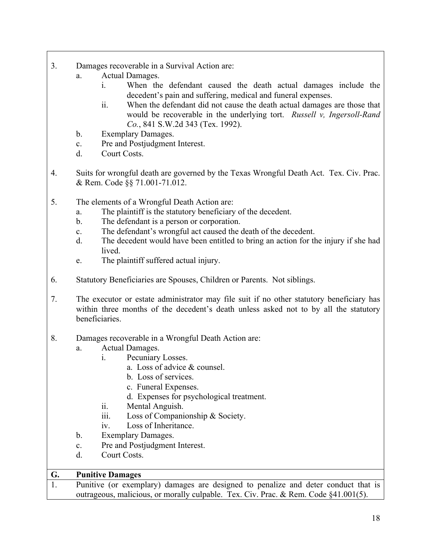- 3. Damages recoverable in a Survival Action are:
	- a. Actual Damages.
		- i. When the defendant caused the death actual damages include the decedent's pain and suffering, medical and funeral expenses.
		- ii. When the defendant did not cause the death actual damages are those that would be recoverable in the underlying tort. *Russell v, Ingersoll-Rand Co.*, 841 S.W.2d 343 (Tex. 1992).
	- b. Exemplary Damages.
	- c. Pre and Postjudgment Interest.
	- d. Court Costs.
- 4. Suits for wrongful death are governed by the Texas Wrongful Death Act. Tex. Civ. Prac. & Rem. Code §§ 71.001-71.012.
- 5. The elements of a Wrongful Death Action are:
	- a. The plaintiff is the statutory beneficiary of the decedent.
	- b. The defendant is a person or corporation.
	- c. The defendant's wrongful act caused the death of the decedent.
	- d. The decedent would have been entitled to bring an action for the injury if she had lived.
	- e. The plaintiff suffered actual injury.
- 6. Statutory Beneficiaries are Spouses, Children or Parents. Not siblings.
- 7. The executor or estate administrator may file suit if no other statutory beneficiary has within three months of the decedent's death unless asked not to by all the statutory beneficiaries.
- 8. Damages recoverable in a Wrongful Death Action are:
	- a. Actual Damages.
		- i. Pecuniary Losses.
			- a. Loss of advice & counsel.
			- b. Loss of services.
			- c. Funeral Expenses.
			- d. Expenses for psychological treatment.
		- ii. Mental Anguish.
		- iii. Loss of Companionship & Society.
		- iv. Loss of Inheritance.
	- b. Exemplary Damages.
	- c. Pre and Postjudgment Interest.
	- d. Court Costs.

#### **G. Punitive Damages**

| Punitive (or exemplary) damages are designed to penalize and deter conduct that is       |
|------------------------------------------------------------------------------------------|
| outrageous, malicious, or morally culpable. Tex. Civ. Prac. & Rem. Code $\S 41.001(5)$ . |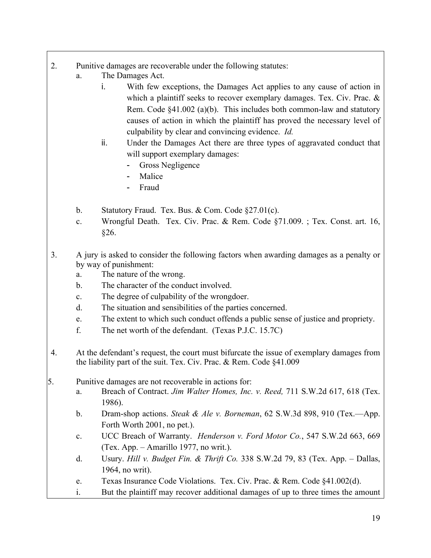- 2. Punitive damages are recoverable under the following statutes:
	- a. The Damages Act.
		- i. With few exceptions, the Damages Act applies to any cause of action in which a plaintiff seeks to recover exemplary damages. Tex. Civ. Prac. & Rem. Code §41.002 (a)(b). This includes both common-law and statutory causes of action in which the plaintiff has proved the necessary level of culpability by clear and convincing evidence. *Id.*
		- ii. Under the Damages Act there are three types of aggravated conduct that will support exemplary damages:
			- Gross Negligence
			- Malice
			- Fraud
	- b. Statutory Fraud. Tex. Bus. & Com. Code §27.01(c).
	- c. Wrongful Death. Tex. Civ. Prac. & Rem. Code §71.009. ; Tex. Const. art. 16, §26.
- 3. A jury is asked to consider the following factors when awarding damages as a penalty or by way of punishment:
	- a. The nature of the wrong.
	- b. The character of the conduct involved
	- c. The degree of culpability of the wrongdoer.
	- d. The situation and sensibilities of the parties concerned.
	- e. The extent to which such conduct offends a public sense of justice and propriety.
	- f. The net worth of the defendant. (Texas P.J.C. 15.7C)
- 4. At the defendant's request, the court must bifurcate the issue of exemplary damages from the liability part of the suit. Tex. Civ. Prac. & Rem. Code §41.009
- 5. Punitive damages are not recoverable in actions for:
	- a. Breach of Contract. *Jim Walter Homes, Inc. v. Reed,* 711 S.W.2d 617, 618 (Tex. 1986).
	- b. Dram-shop actions. *Steak & Ale v. Borneman*, 62 S.W.3d 898, 910 (Tex.—App. Forth Worth 2001, no pet.).
	- c. UCC Breach of Warranty. *Henderson v. Ford Motor Co.*, 547 S.W.2d 663, 669 (Tex. App. – Amarillo 1977, no writ.).
	- d. Usury. *Hill v. Budget Fin. & Thrift Co.* 338 S.W.2d 79, 83 (Tex. App. Dallas, 1964, no writ).
	- e. Texas Insurance Code Violations. Tex. Civ. Prac. & Rem. Code §41.002(d).
	- i. But the plaintiff may recover additional damages of up to three times the amount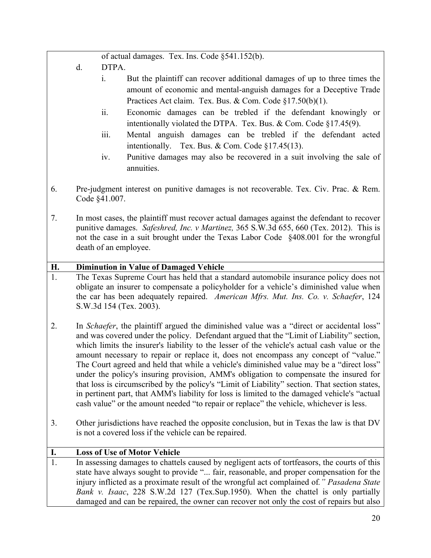of actual damages. Tex. Ins. Code §541.152(b).

- d. DTPA.
	- i. But the plaintiff can recover additional damages of up to three times the amount of economic and mental-anguish damages for a Deceptive Trade Practices Act claim. Tex. Bus. & Com. Code §17.50(b)(1).
	- ii. Economic damages can be trebled if the defendant knowingly or intentionally violated the DTPA. Tex. Bus. & Com. Code §17.45(9).
	- iii. Mental anguish damages can be trebled if the defendant acted intentionally. Tex. Bus. & Com. Code §17.45(13).
	- iv. Punitive damages may also be recovered in a suit involving the sale of annuities.
- 6. Pre-judgment interest on punitive damages is not recoverable. Tex. Civ. Prac. & Rem. Code §41.007.
- 7. In most cases, the plaintiff must recover actual damages against the defendant to recover punitive damages. *Safeshred, Inc. v Martinez,* 365 S.W.3d 655, 660 (Tex. 2012). This is not the case in a suit brought under the Texas Labor Code §408.001 for the wrongful death of an employee.

## **H. Diminution in Value of Damaged Vehicle**

- 1. The Texas Supreme Court has held that a standard automobile insurance policy does not obligate an insurer to compensate a policyholder for a vehicle's diminished value when the car has been adequately repaired. *American Mfrs. Mut. Ins. Co. v. Schaefer*, 124 S.W.3d 154 (Tex. 2003).
- 2. In *Schaefer*, the plaintiff argued the diminished value was a "direct or accidental loss" and was covered under the policy. Defendant argued that the "Limit of Liability" section, which limits the insurer's liability to the lesser of the vehicle's actual cash value or the amount necessary to repair or replace it, does not encompass any concept of "value." The Court agreed and held that while a vehicle's diminished value may be a "direct loss" under the policy's insuring provision, AMM's obligation to compensate the insured for that loss is circumscribed by the policy's "Limit of Liability" section. That section states, in pertinent part, that AMM's liability for loss is limited to the damaged vehicle's "actual cash value" or the amount needed "to repair or replace" the vehicle, whichever is less.
- 3. Other jurisdictions have reached the opposite conclusion, but in Texas the law is that DV is not a covered loss if the vehicle can be repaired.

#### **I. Loss of Use of Motor Vehicle**

1. In assessing damages to chattels caused by negligent acts of tortfeasors, the courts of this state have always sought to provide "... fair, reasonable, and proper compensation for the injury inflicted as a proximate result of the wrongful act complained of*." Pasadena State Bank v. Isaac*, 228 S.W.2d 127 (Tex.Sup.1950). When the chattel is only partially damaged and can be repaired, the owner can recover not only the cost of repairs but also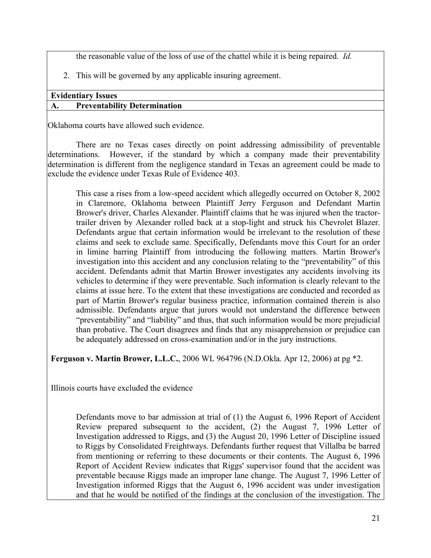the reasonable value of the loss of use of the chattel while it is being repaired. *Id.*

2. This will be governed by any applicable insuring agreement.

#### **Evidentiary Issues A. Preventability Determination**

Oklahoma courts have allowed such evidence.

There are no Texas cases directly on point addressing admissibility of preventable determinations. However, if the standard by which a company made their preventability determination is different from the negligence standard in Texas an agreement could be made to exclude the evidence under Texas Rule of Evidence 403.

This case a rises from a low-speed accident which allegedly occurred on October 8, 2002 in Claremore, Oklahoma between Plaintiff Jerry Ferguson and Defendant Martin Brower's driver, Charles Alexander. Plaintiff claims that he was injured when the tractortrailer driven by Alexander rolled back at a stop-light and struck his Chevrolet Blazer. Defendants argue that certain information would be irrelevant to the resolution of these claims and seek to exclude same. Specifically, Defendants move this Court for an order in limine barring Plaintiff from introducing the following matters. Martin Brower's investigation into this accident and any conclusion relating to the "preventability" of this accident. Defendants admit that Martin Brower investigates any accidents involving its vehicles to determine if they were preventable. Such information is clearly relevant to the claims at issue here. To the extent that these investigations are conducted and recorded as part of Martin Brower's regular business practice, information contained therein is also admissible. Defendants argue that jurors would not understand the difference between "preventability" and "liability" and thus, that such information would be more prejudicial than probative. The Court disagrees and finds that any misapprehension or prejudice can be adequately addressed on cross-examination and/or in the jury instructions.

**Ferguson v. Martin Brower, L.L.C.**, 2006 WL 964796 (N.D.Okla. Apr 12, 2006) at pg \*2.

Illinois courts have excluded the evidence

Defendants move to bar admission at trial of (1) the August 6, 1996 Report of Accident Review prepared subsequent to the accident, (2) the August 7, 1996 Letter of Investigation addressed to Riggs, and (3) the August 20, 1996 Letter of Discipline issued to Riggs by Consolidated Freightways. Defendants further request that Villalba be barred from mentioning or referring to these documents or their contents. The August 6, 1996 Report of Accident Review indicates that Riggs' supervisor found that the accident was preventable because Riggs made an improper lane change. The August 7, 1996 Letter of Investigation informed Riggs that the August 6, 1996 accident was under investigation and that he would be notified of the findings at the conclusion of the investigation. The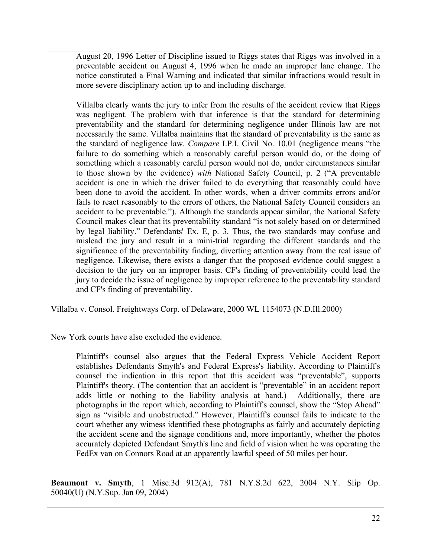August 20, 1996 Letter of Discipline issued to Riggs states that Riggs was involved in a preventable accident on August 4, 1996 when he made an improper lane change. The notice constituted a Final Warning and indicated that similar infractions would result in more severe disciplinary action up to and including discharge.

Villalba clearly wants the jury to infer from the results of the accident review that Riggs was negligent. The problem with that inference is that the standard for determining preventability and the standard for determining negligence under Illinois law are not necessarily the same. Villalba maintains that the standard of preventability is the same as the standard of negligence law. *Compare* I.P.I. Civil No. 10.01 (negligence means "the failure to do something which a reasonably careful person would do, or the doing of something which a reasonably careful person would not do, under circumstances similar to those shown by the evidence) *with* National Safety Council, p. 2 ("A preventable accident is one in which the driver failed to do everything that reasonably could have been done to avoid the accident. In other words, when a driver commits errors and/or fails to react reasonably to the errors of others, the National Safety Council considers an accident to be preventable."). Although the standards appear similar, the National Safety Council makes clear that its preventability standard "is not solely based on or determined by legal liability." Defendants' Ex. E, p. 3. Thus, the two standards may confuse and mislead the jury and result in a mini-trial regarding the different standards and the significance of the preventability finding, diverting attention away from the real issue of negligence. Likewise, there exists a danger that the proposed evidence could suggest a decision to the jury on an improper basis. CF's finding of preventability could lead the jury to decide the issue of negligence by improper reference to the preventability standard and CF's finding of preventability.

Villalba v. Consol. Freightways Corp. of Delaware, 2000 WL 1154073 (N.D.Ill.2000)

New York courts have also excluded the evidence.

Plaintiff's counsel also argues that the Federal Express Vehicle Accident Report establishes Defendants Smyth's and Federal Express's liability. According to Plaintiff's counsel the indication in this report that this accident was "preventable", supports Plaintiff's theory. (The contention that an accident is "preventable" in an accident report adds little or nothing to the liability analysis at hand.) Additionally, there are photographs in the report which, according to Plaintiff's counsel, show the "Stop Ahead" sign as "visible and unobstructed." However, Plaintiff's counsel fails to indicate to the court whether any witness identified these photographs as fairly and accurately depicting the accident scene and the signage conditions and, more importantly, whether the photos accurately depicted Defendant Smyth's line and field of vision when he was operating the FedEx van on Connors Road at an apparently lawful speed of 50 miles per hour.

**Beaumont v. Smyth**, 1 Misc.3d 912(A), 781 N.Y.S.2d 622, 2004 N.Y. Slip Op. 50040(U) (N.Y.Sup. Jan 09, 2004)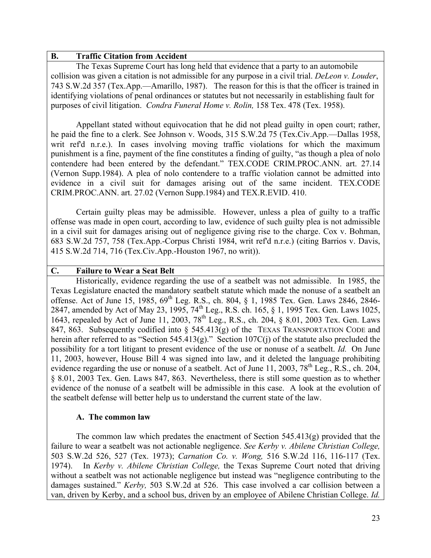#### **B. Traffic Citation from Accident**

The Texas Supreme Court has long held that evidence that a party to an automobile collision was given a citation is not admissible for any purpose in a civil trial. *DeLeon v. Louder*, 743 S.W.2d 357 (Tex.App.—Amarillo, 1987). The reason for this is that the officer is trained in identifying violations of penal ordinances or statutes but not necessarily in establishing fault for purposes of civil litigation. *Condra Funeral Home v. Rolin,* 158 Tex. 478 (Tex. 1958).

Appellant stated without equivocation that he did not plead guilty in open court; rather, he paid the fine to a clerk. See Johnson v. Woods, 315 S.W.2d 75 (Tex.Civ.App.—Dallas 1958, writ ref'd n.r.e.). In cases involving moving traffic violations for which the maximum punishment is a fine, payment of the fine constitutes a finding of guilty, "as though a plea of nolo contendere had been entered by the defendant." TEX.CODE CRIM.PROC.ANN. art. 27.14 (Vernon Supp.1984). A plea of nolo contendere to a traffic violation cannot be admitted into evidence in a civil suit for damages arising out of the same incident. TEX.CODE CRIM.PROC.ANN. art. 27.02 (Vernon Supp.1984) and TEX.R.EVID. 410.

Certain guilty pleas may be admissible. However, unless a plea of guilty to a traffic offense was made in open court, according to law, evidence of such guilty plea is not admissible in a civil suit for damages arising out of negligence giving rise to the charge. Cox v. Bohman, 683 S.W.2d 757, 758 (Tex.App.-Corpus Christi 1984, writ ref'd n.r.e.) (citing Barrios v. Davis, 415 S.W.2d 714, 716 (Tex.Civ.App.-Houston 1967, no writ)).

#### **C. Failure to Wear a Seat Belt**

Historically, evidence regarding the use of a seatbelt was not admissible. In 1985, the Texas Legislature enacted the mandatory seatbelt statute which made the nonuse of a seatbelt an offense. Act of June 15, 1985, 69<sup>th</sup> Leg. R.S., ch. 804, § 1, 1985 Tex. Gen. Laws 2846, 2846-2847, amended by Act of May 23, 1995, 74<sup>th</sup> Leg., R.S. ch. 165, § 1, 1995 Tex. Gen. Laws 1025, 1643, repealed by Act of June 11, 2003, 78<sup>th</sup> Leg., R.S., ch. 204, § 8.01, 2003 Tex. Gen. Laws 847, 863. Subsequently codified into § 545.413(g) of the TEXAS TRANSPORTATION CODE and herein after referred to as "Section 545.413(g)." Section 107C(j) of the statute also precluded the possibility for a tort litigant to present evidence of the use or nonuse of a seatbelt. *Id.* On June 11, 2003, however, House Bill 4 was signed into law, and it deleted the language prohibiting evidence regarding the use or nonuse of a seatbelt. Act of June 11, 2003,  $78<sup>th</sup>$  Leg., R.S., ch. 204, § 8.01, 2003 Tex. Gen. Laws 847, 863. Nevertheless, there is still some question as to whether evidence of the nonuse of a seatbelt will be admissible in this case. A look at the evolution of the seatbelt defense will better help us to understand the current state of the law.

#### **A. The common law**

The common law which predates the enactment of Section  $545.413(g)$  provided that the failure to wear a seatbelt was not actionable negligence. *See Kerby v. Abilene Christian College,*  503 S.W.2d 526, 527 (Tex. 1973); *Carnation Co. v. Wong,* 516 S.W.2d 116, 116-117 (Tex. 1974). In *Kerby v. Abilene Christian College,* the Texas Supreme Court noted that driving without a seatbelt was not actionable negligence but instead was "negligence contributing to the damages sustained." *Kerby,* 503 S.W.2d at 526. This case involved a car collision between a van, driven by Kerby, and a school bus, driven by an employee of Abilene Christian College. *Id.*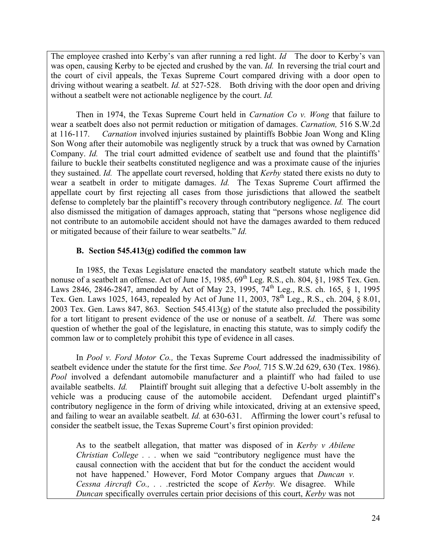The employee crashed into Kerby's van after running a red light. *Id* The door to Kerby's van was open, causing Kerby to be ejected and crushed by the van. *Id.* In reversing the trial court and the court of civil appeals, the Texas Supreme Court compared driving with a door open to driving without wearing a seatbelt. *Id.* at 527-528. Both driving with the door open and driving without a seatbelt were not actionable negligence by the court. *Id.*

Then in 1974, the Texas Supreme Court held in *Carnation Co v. Wong* that failure to wear a seatbelt does also not permit reduction or mitigation of damages. *Carnation,* 516 S.W.2d at 116-117. *Carnation* involved injuries sustained by plaintiffs Bobbie Joan Wong and Kling Son Wong after their automobile was negligently struck by a truck that was owned by Carnation Company. *Id.* The trial court admitted evidence of seatbelt use and found that the plaintiffs' failure to buckle their seatbelts constituted negligence and was a proximate cause of the injuries they sustained. *Id.* The appellate court reversed, holding that *Kerby* stated there exists no duty to wear a seatbelt in order to mitigate damages. *Id.* The Texas Supreme Court affirmed the appellate court by first rejecting all cases from those jurisdictions that allowed the seatbelt defense to completely bar the plaintiff's recovery through contributory negligence. *Id.* The court also dismissed the mitigation of damages approach, stating that "persons whose negligence did not contribute to an automobile accident should not have the damages awarded to them reduced or mitigated because of their failure to wear seatbelts." *Id.*

#### **B. Section 545.413(g) codified the common law**

In 1985, the Texas Legislature enacted the mandatory seatbelt statute which made the nonuse of a seatbelt an offense. Act of June 15, 1985, 69<sup>th</sup> Leg. R.S., ch. 804, §1, 1985 Tex. Gen. Laws 2846, 2846-2847, amended by Act of May 23, 1995, 74<sup>th</sup> Leg., R.S. ch. 165, § 1, 1995 Tex. Gen. Laws 1025, 1643, repealed by Act of June 11, 2003, 78<sup>th</sup> Leg., R.S., ch. 204, § 8.01, 2003 Tex. Gen. Laws 847, 863. Section 545.413(g) of the statute also precluded the possibility for a tort litigant to present evidence of the use or nonuse of a seatbelt. *Id.* There was some question of whether the goal of the legislature, in enacting this statute, was to simply codify the common law or to completely prohibit this type of evidence in all cases.

In *Pool v. Ford Motor Co.,* the Texas Supreme Court addressed the inadmissibility of seatbelt evidence under the statute for the first time. *See Pool,* 715 S.W.2d 629, 630 (Tex. 1986). *Pool* involved a defendant automobile manufacturer and a plaintiff who had failed to use available seatbelts. *Id.* Plaintiff brought suit alleging that a defective U-bolt assembly in the vehicle was a producing cause of the automobile accident. Defendant urged plaintiff's contributory negligence in the form of driving while intoxicated, driving at an extensive speed, and failing to wear an available seatbelt. *Id.* at 630-631. Affirming the lower court's refusal to consider the seatbelt issue, the Texas Supreme Court's first opinion provided:

As to the seatbelt allegation, that matter was disposed of in *Kerby v Abilene Christian College . . .* when we said "contributory negligence must have the causal connection with the accident that but for the conduct the accident would not have happened.' However, Ford Motor Company argues that *Duncan v. Cessna Aircraft Co., . . .*restricted the scope of *Kerby.* We disagree. While *Duncan* specifically overrules certain prior decisions of this court, *Kerby* was not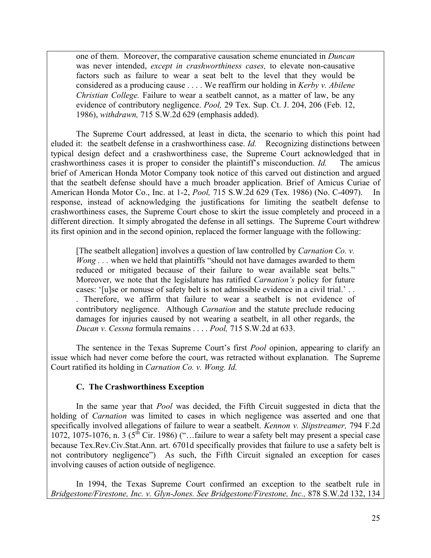one of them. Moreover, the comparative causation scheme enunciated in *Duncan*  was never intended, *except in crashworthiness cases,* to elevate non-causative factors such as failure to wear a seat belt to the level that they would be considered as a producing cause . . . . We reaffirm our holding in *Kerby v. Abilene Christian College.* Failure to wear a seatbelt cannot, as a matter of law, be any evidence of contributory negligence. *Pool,* 29 Tex. Sup. Ct. J. 204, 206 (Feb. 12, 1986), *withdrawn,* 715 S.W.2d 629 (emphasis added).

The Supreme Court addressed, at least in dicta, the scenario to which this point had eluded it: the seatbelt defense in a crashworthiness case. *Id.* Recognizing distinctions between typical design defect and a crashworthiness case, the Supreme Court acknowledged that in crashworthiness cases it is proper to consider the plaintiff's misconduction. *Id.* The amicus brief of American Honda Motor Company took notice of this carved out distinction and argued that the seatbelt defense should have a much broader application. Brief of Amicus Curiae of American Honda Motor Co., Inc. at 1-2, *Pool,* 715 S.W.2d 629 (Tex. 1986) (No. C-4097). In response, instead of acknowledging the justifications for limiting the seatbelt defense to crashworthiness cases, the Supreme Court chose to skirt the issue completely and proceed in a different direction. It simply abrogated the defense in all settings. The Supreme Court withdrew its first opinion and in the second opinion, replaced the former language with the following:

[The seatbelt allegation] involves a question of law controlled by *Carnation Co. v. Wong* . . . when we held that plaintiffs "should not have damages awarded to them reduced or mitigated because of their failure to wear available seat belts." Moreover, we note that the legislature has ratified *Carnation's* policy for future cases: '[u]se or nonuse of safety belt is not admissible evidence in a civil trial.' . . . Therefore, we affirm that failure to wear a seatbelt is not evidence of contributory negligence. Although *Carnation* and the statute preclude reducing damages for injuries caused by not wearing a seatbelt, in all other regards, the *Ducan v. Cessna* formula remains . . . . *Pool,* 715 S.W.2d at 633.

The sentence in the Texas Supreme Court's first *Pool* opinion, appearing to clarify an issue which had never come before the court, was retracted without explanation. The Supreme Court ratified its holding in *Carnation Co. v. Wong. Id.* 

#### **C. The Crashworthiness Exception**

In the same year that *Pool* was decided, the Fifth Circuit suggested in dicta that the holding of *Carnation* was limited to cases in which negligence was asserted and one that specifically involved allegations of failure to wear a seatbelt. *Kennon v. Slipstreamer,* 794 F.2d 1072, 1075-1076, n. 3 ( $5^{th}$  Cir. 1986) ("...failure to wear a safety belt may present a special case because Tex.Rev.Civ.Stat.Ann. art. 6701d specifically provides that failure to use a safety belt is not contributory negligence") As such, the Fifth Circuit signaled an exception for cases involving causes of action outside of negligence.

In 1994, the Texas Supreme Court confirmed an exception to the seatbelt rule in *Bridgestone/Firestone, Inc. v. Glyn-Jones. See Bridgestone/Firestone, Inc.,* 878 S.W.2d 132, 134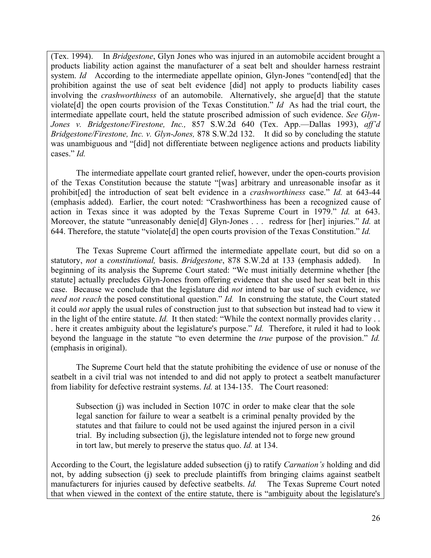(Tex. 1994). In *Bridgestone*, Glyn Jones who was injured in an automobile accident brought a products liability action against the manufacturer of a seat belt and shoulder harness restraint system. *Id* According to the intermediate appellate opinion, Glyn-Jones "contend[ed] that the prohibition against the use of seat belt evidence [did] not apply to products liability cases involving the *crashworthiness* of an automobile. Alternatively, she argue[d] that the statute violate[d] the open courts provision of the Texas Constitution." *Id* As had the trial court, the intermediate appellate court, held the statute proscribed admission of such evidence. *See Glyn-Jones v. Bridgestone/Firestone, Inc.,* 857 S.W.2d 640 (Tex. App.—Dallas 1993), *aff'd Bridgestone/Firestone, Inc. v. Glyn-Jones,* 878 S.W.2d 132. It did so by concluding the statute was unambiguous and "[did] not differentiate between negligence actions and products liability cases." *Id.*

The intermediate appellate court granted relief, however, under the open-courts provision of the Texas Constitution because the statute "[was] arbitrary and unreasonable insofar as it prohibit[ed] the introduction of seat belt evidence in a *crashworthiness* case." *Id.* at 643-44 (emphasis added). Earlier, the court noted: "Crashworthiness has been a recognized cause of action in Texas since it was adopted by the Texas Supreme Court in 1979." *Id.* at 643. Moreover, the statute "unreasonably denie[d] Glyn-Jones . . . redress for [her] injuries." *Id.* at 644. Therefore, the statute "violate[d] the open courts provision of the Texas Constitution." *Id.*

The Texas Supreme Court affirmed the intermediate appellate court, but did so on a statutory, *not* a *constitutional*, basis. *Bridgestone*, 878 S.W.2d at 133 (emphasis added). beginning of its analysis the Supreme Court stated: "We must initially determine whether [the statute] actually precludes Glyn-Jones from offering evidence that she used her seat belt in this case. Because we conclude that the legislature did *not* intend to bar use of such evidence, *we need not reach* the posed constitutional question." *Id.* In construing the statute, the Court stated it could *not* apply the usual rules of construction just to that subsection but instead had to view it in the light of the entire statute. *Id.* It then stated: "While the context normally provides clarity . . . here it creates ambiguity about the legislature's purpose." *Id.* Therefore, it ruled it had to look beyond the language in the statute "to even determine the *true* purpose of the provision." *Id.* (emphasis in original).

The Supreme Court held that the statute prohibiting the evidence of use or nonuse of the seatbelt in a civil trial was not intended to and did not apply to protect a seatbelt manufacturer from liability for defective restraint systems. *Id.* at 134-135. The Court reasoned:

Subsection (j) was included in Section 107C in order to make clear that the sole legal sanction for failure to wear a seatbelt is a criminal penalty provided by the statutes and that failure to could not be used against the injured person in a civil trial. By including subsection (j), the legislature intended not to forge new ground in tort law, but merely to preserve the status quo. *Id.* at 134.

According to the Court, the legislature added subsection (j) to ratify *Carnation's* holding and did not, by adding subsection (j) seek to preclude plaintiffs from bringing claims against seatbelt manufacturers for injuries caused by defective seatbelts. *Id.* The Texas Supreme Court noted that when viewed in the context of the entire statute, there is "ambiguity about the legislature's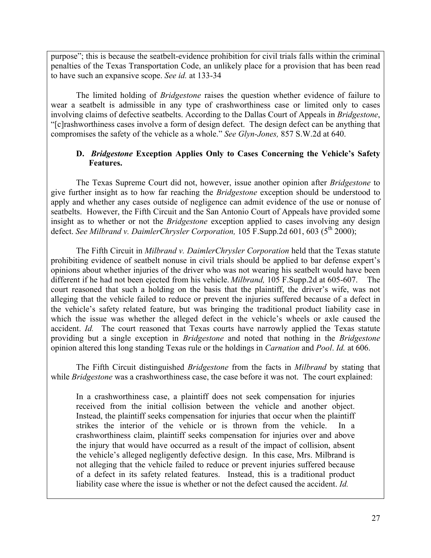purpose"; this is because the seatbelt-evidence prohibition for civil trials falls within the criminal penalties of the Texas Transportation Code, an unlikely place for a provision that has been read to have such an expansive scope. *See id.* at 133-34

The limited holding of *Bridgestone* raises the question whether evidence of failure to wear a seatbelt is admissible in any type of crashworthiness case or limited only to cases involving claims of defective seatbelts. According to the Dallas Court of Appeals in *Bridgestone*, "[c]rashworthiness cases involve a form of design defect. The design defect can be anything that compromises the safety of the vehicle as a whole." *See Glyn-Jones,* 857 S.W.2d at 640.

#### **D.** *Bridgestone* **Exception Applies Only to Cases Concerning the Vehicle's Safety Features.**

The Texas Supreme Court did not, however, issue another opinion after *Bridgestone* to give further insight as to how far reaching the *Bridgestone* exception should be understood to apply and whether any cases outside of negligence can admit evidence of the use or nonuse of seatbelts. However, the Fifth Circuit and the San Antonio Court of Appeals have provided some insight as to whether or not the *Bridgestone* exception applied to cases involving any design defect. *See Milbrand v. DaimlerChrysler Corporation*, 105 F. Supp.2d 601, 603 (5<sup>th</sup> 2000);

The Fifth Circuit in *Milbrand v. DaimlerChrysler Corporation* held that the Texas statute prohibiting evidence of seatbelt nonuse in civil trials should be applied to bar defense expert's opinions about whether injuries of the driver who was not wearing his seatbelt would have been different if he had not been ejected from his vehicle. *Milbrand,* 105 F.Supp.2d at 605-607. The court reasoned that such a holding on the basis that the plaintiff, the driver's wife, was not alleging that the vehicle failed to reduce or prevent the injuries suffered because of a defect in the vehicle's safety related feature, but was bringing the traditional product liability case in which the issue was whether the alleged defect in the vehicle's wheels or axle caused the accident. *Id.* The court reasoned that Texas courts have narrowly applied the Texas statute providing but a single exception in *Bridgestone* and noted that nothing in the *Bridgestone*  opinion altered this long standing Texas rule or the holdings in *Carnation* and *Pool*. *Id.* at 606.

The Fifth Circuit distinguished *Bridgestone* from the facts in *Milbrand* by stating that while *Bridgestone* was a crashworthiness case, the case before it was not. The court explained:

In a crashworthiness case, a plaintiff does not seek compensation for injuries received from the initial collision between the vehicle and another object. Instead, the plaintiff seeks compensation for injuries that occur when the plaintiff strikes the interior of the vehicle or is thrown from the vehicle. In a crashworthiness claim, plaintiff seeks compensation for injuries over and above the injury that would have occurred as a result of the impact of collision, absent the vehicle's alleged negligently defective design. In this case, Mrs. Milbrand is not alleging that the vehicle failed to reduce or prevent injuries suffered because of a defect in its safety related features. Instead, this is a traditional product liability case where the issue is whether or not the defect caused the accident. *Id.*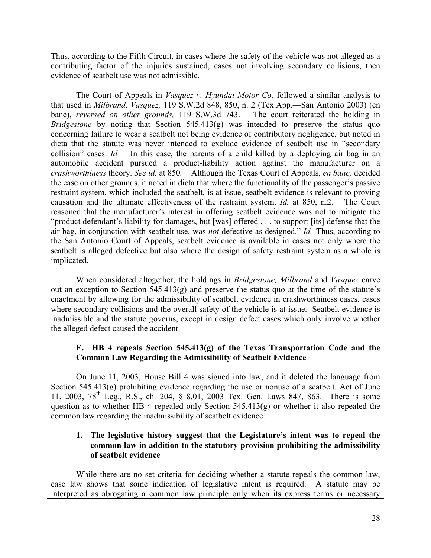Thus, according to the Fifth Circuit, in cases where the safety of the vehicle was not alleged as a contributing factor of the injuries sustained, cases not involving secondary collisions, then evidence of seatbelt use was not admissible.

The Court of Appeals in *Vasquez v. Hyundai Motor Co.* followed a similar analysis to that used in *Milbrand*. *Vasquez,* 119 S.W.2d 848, 850, n. 2 (Tex.App.—San Antonio 2003) (en banc), *reversed on other grounds,* 119 S.W.3d 743. The court reiterated the holding in *Bridgestone* by noting that Section 545.413(g) was intended to preserve the status quo concerning failure to wear a seatbelt not being evidence of contributory negligence, but noted in dicta that the statute was never intended to exclude evidence of seatbelt use in "secondary collision" cases. *Id* In this case, the parents of a child killed by a deploying air bag in an automobile accident pursued a product-liability action against the manufacturer on a *crashworthiness* theory. *See id.* at 850*.* Although the Texas Court of Appeals, *en banc,* decided the case on other grounds, it noted in dicta that where the functionality of the passenger's passive restraint system, which included the seatbelt, is at issue, seatbelt evidence is relevant to proving causation and the ultimate effectiveness of the restraint system. *Id.* at 850, n.2. The Court reasoned that the manufacturer's interest in offering seatbelt evidence was not to mitigate the "product defendant's liability for damages, but [was] offered . . . to support [its] defense that the air bag, in conjunction with seatbelt use, was *not* defective as designed." *Id.* Thus, according to the San Antonio Court of Appeals, seatbelt evidence is available in cases not only where the seatbelt is alleged defective but also where the design of safety restraint system as a whole is implicated.

When considered altogether, the holdings in *Bridgestone, Milbrand* and *Vasquez* carve out an exception to Section 545.413(g) and preserve the status quo at the time of the statute's enactment by allowing for the admissibility of seatbelt evidence in crashworthiness cases, cases where secondary collisions and the overall safety of the vehicle is at issue. Seatbelt evidence is inadmissible and the statute governs, except in design defect cases which only involve whether the alleged defect caused the accident.

#### **E. HB 4 repeals Section 545.413(g) of the Texas Transportation Code and the Common Law Regarding the Admissibility of Seatbelt Evidence**

On June 11, 2003, House Bill 4 was signed into law, and it deleted the language from Section 545.413(g) prohibiting evidence regarding the use or nonuse of a seatbelt. Act of June 11, 2003, 78th Leg., R.S., ch. 204, § 8.01, 2003 Tex. Gen. Laws 847, 863. There is some question as to whether HB 4 repealed only Section 545.413(g) or whether it also repealed the common law regarding the inadmissibility of seatbelt evidence.

#### **1. The legislative history suggest that the Legislature's intent was to repeal the common law in addition to the statutory provision prohibiting the admissibility of seatbelt evidence**

While there are no set criteria for deciding whether a statute repeals the common law, case law shows that some indication of legislative intent is required. A statute may be interpreted as abrogating a common law principle only when its express terms or necessary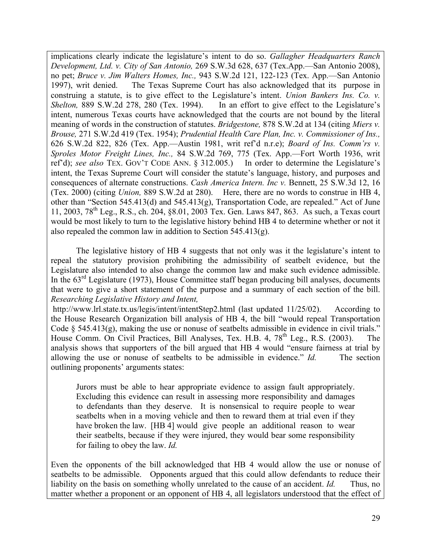implications clearly indicate the legislature's intent to do so. *Gallagher Headquarters Ranch Development, Ltd. v. City of San Antonio,* 269 S.W.3d 628, 637 (Tex.App.—San Antonio 2008), no pet; *Bruce v. Jim Walters Homes, Inc.,* 943 S.W.2d 121, 122-123 (Tex. App.—San Antonio 1997), writ denied. The Texas Supreme Court has also acknowledged that its purpose in construing a statute, is to give effect to the Legislature's intent. *Union Bankers Ins. Co. v. Shelton,* 889 S.W.2d 278, 280 (Tex. 1994). In an effort to give effect to the Legislature's intent, numerous Texas courts have acknowledged that the courts are not bound by the literal meaning of words in the construction of statutes. *Bridgestone,* 878 S.W.2d at 134 (citing *Miers v. Brouse,* 271 S.W.2d 419 (Tex. 1954); *Prudential Health Care Plan, Inc. v. Commissioner of Ins.,*  626 S.W.2d 822, 826 (Tex. App.—Austin 1981, writ ref'd n.r.e); *Board of Ins. Comm'rs v. Sproles Motor Freight Lines, Inc.,* 84 S.W.2d 769, 775 (Tex. App.—Fort Worth 1936, writ ref'd); *see also* TEX. GOV'T CODE ANN. § 312.005.) In order to determine the Legislature's intent, the Texas Supreme Court will consider the statute's language, history, and purposes and consequences of alternate constructions. *Cash America Intern. Inc v.* Bennett, 25 S.W.3d 12, 16 (Tex. 2000) (citing *Union,* 889 S.W.2d at 280). Here, there are no words to construe in HB 4, other than "Section 545.413(d) and 545.413(g), Transportation Code, are repealed." Act of June 11, 2003, 78th Leg., R.S., ch. 204, §8.01, 2003 Tex. Gen. Laws 847, 863. As such, a Texas court would be most likely to turn to the legislative history behind HB 4 to determine whether or not it also repealed the common law in addition to Section 545.413(g).

The legislative history of HB 4 suggests that not only was it the legislature's intent to repeal the statutory provision prohibiting the admissibility of seatbelt evidence, but the Legislature also intended to also change the common law and make such evidence admissible. In the 63<sup>rd</sup> Legislature (1973), House Committee staff began producing bill analyses, documents that were to give a short statement of the purpose and a summary of each section of the bill. *Researching Legislative History and Intent,*

http://www.lrl.state.tx.us/legis/intent/intentStep2.html (last updated 11/25/02). According to the House Research Organization bill analysis of HB 4, the bill "would repeal Transportation Code § 545.413(g), making the use or nonuse of seatbelts admissible in evidence in civil trials." House Comm. On Civil Practices, Bill Analyses, Tex. H.B. 4, 78<sup>th</sup> Leg., R.S. (2003). The analysis shows that supporters of the bill argued that HB 4 would "ensure fairness at trial by allowing the use or nonuse of seatbelts to be admissible in evidence." *Id.* The section outlining proponents' arguments states:

Jurors must be able to hear appropriate evidence to assign fault appropriately. Excluding this evidence can result in assessing more responsibility and damages to defendants than they deserve. It is nonsensical to require people to wear seatbelts when in a moving vehicle and then to reward them at trial even if they have broken the law. [HB 4] would give people an additional reason to wear their seatbelts, because if they were injured, they would bear some responsibility for failing to obey the law. *Id.* 

Even the opponents of the bill acknowledged that HB 4 would allow the use or nonuse of seatbelts to be admissible. Opponents argued that this could allow defendants to reduce their liability on the basis on something wholly unrelated to the cause of an accident. *Id.* Thus, no matter whether a proponent or an opponent of HB 4, all legislators understood that the effect of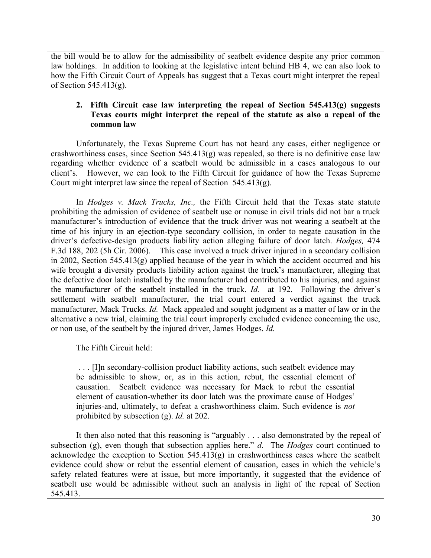the bill would be to allow for the admissibility of seatbelt evidence despite any prior common law holdings. In addition to looking at the legislative intent behind HB 4, we can also look to how the Fifth Circuit Court of Appeals has suggest that a Texas court might interpret the repeal of Section 545.413(g).

#### **2. Fifth Circuit case law interpreting the repeal of Section 545.413(g) suggests Texas courts might interpret the repeal of the statute as also a repeal of the common law**

Unfortunately, the Texas Supreme Court has not heard any cases, either negligence or crashworthiness cases, since Section 545.413(g) was repealed, so there is no definitive case law regarding whether evidence of a seatbelt would be admissible in a cases analogous to our client's. However, we can look to the Fifth Circuit for guidance of how the Texas Supreme Court might interpret law since the repeal of Section 545.413(g).

In *Hodges v. Mack Trucks, Inc.,* the Fifth Circuit held that the Texas state statute prohibiting the admission of evidence of seatbelt use or nonuse in civil trials did not bar a truck manufacturer's introduction of evidence that the truck driver was not wearing a seatbelt at the time of his injury in an ejection-type secondary collision, in order to negate causation in the driver's defective-design products liability action alleging failure of door latch. *Hodges,* 474 F.3d 188, 202 (5h Cir. 2006). This case involved a truck driver injured in a secondary collision in 2002, Section 545.413(g) applied because of the year in which the accident occurred and his wife brought a diversity products liability action against the truck's manufacturer, alleging that the defective door latch installed by the manufacturer had contributed to his injuries, and against the manufacturer of the seatbelt installed in the truck. *Id.* at 192. Following the driver's settlement with seatbelt manufacturer, the trial court entered a verdict against the truck manufacturer, Mack Trucks. *Id.* Mack appealed and sought judgment as a matter of law or in the alternative a new trial, claiming the trial court improperly excluded evidence concerning the use, or non use, of the seatbelt by the injured driver, James Hodges. *Id.*

The Fifth Circuit held:

 . . . [I]n secondary-collision product liability actions, such seatbelt evidence may be admissible to show, or, as in this action, rebut, the essential element of causation. Seatbelt evidence was necessary for Mack to rebut the essential element of causation-whether its door latch was the proximate cause of Hodges' injuries-and, ultimately, to defeat a crashworthiness claim. Such evidence is *not*  prohibited by subsection (g). *Id.* at 202.

It then also noted that this reasoning is "arguably . . . also demonstrated by the repeal of subsection (g), even though that subsection applies here." *d.* The *Hodges* court continued to acknowledge the exception to Section  $545.413(g)$  in crashworthiness cases where the seatbelt evidence could show or rebut the essential element of causation, cases in which the vehicle's safety related features were at issue, but more importantly, it suggested that the evidence of seatbelt use would be admissible without such an analysis in light of the repeal of Section 545.413.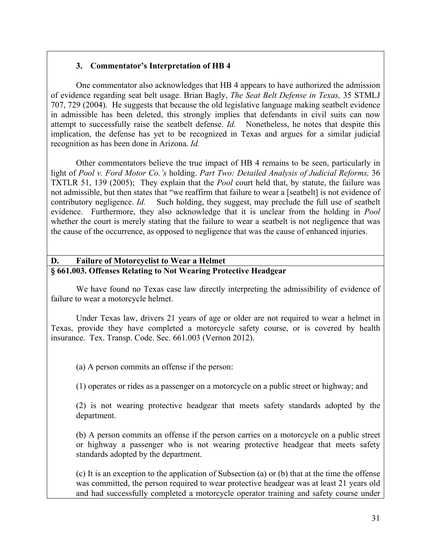## **3. Commentator's Interpretation of HB 4**

One commentator also acknowledges that HB 4 appears to have authorized the admission of evidence regarding seat belt usage. Brian Bagly, *The Seat Belt Defense in Texas,* 35 STMLJ 707, 729 (2004). He suggests that because the old legislative language making seatbelt evidence in admissible has been deleted, this strongly implies that defendants in civil suits can now attempt to successfully raise the seatbelt defense. *Id.* Nonetheless, he notes that despite this implication, the defense has yet to be recognized in Texas and argues for a similar judicial recognition as has been done in Arizona. *Id.* 

Other commentators believe the true impact of HB 4 remains to be seen, particularly in light of *Pool v. Ford Motor Co.'s* holding. *Part Two: Detailed Analysis of Judicial Reforms,* 36 TXTLR 51, 139 (2005); They explain that the *Pool* court held that, by statute, the failure was not admissible, but then states that "we reaffirm that failure to wear a [seatbelt] is not evidence of contributory negligence. *Id.* Such holding, they suggest, may preclude the full use of seatbelt evidence. Furthermore, they also acknowledge that it is unclear from the holding in *Pool* whether the court is merely stating that the failure to wear a seatbelt is not negligence that was the cause of the occurrence, as opposed to negligence that was the cause of enhanced injuries.

#### **D. Failure of Motorcyclist to Wear a Helmet § 661.003. Offenses Relating to Not Wearing Protective Headgear**

We have found no Texas case law directly interpreting the admissibility of evidence of failure to wear a motorcycle helmet.

Under Texas law, drivers 21 years of age or older are not required to wear a helmet in Texas, provide they have completed a motorcycle safety course, or is covered by health insurance. Tex. Transp. Code. Sec. 661.003 (Vernon 2012).

(a) A person commits an offense if the person:

(1) operates or rides as a passenger on a motorcycle on a public street or highway; and

(2) is not wearing protective headgear that meets safety standards adopted by the department.

(b) A person commits an offense if the person carries on a motorcycle on a public street or highway a passenger who is not wearing protective headgear that meets safety standards adopted by the department.

(c) It is an exception to the application of Subsection (a) or (b) that at the time the offense was committed, the person required to wear protective headgear was at least 21 years old and had successfully completed a motorcycle operator training and safety course under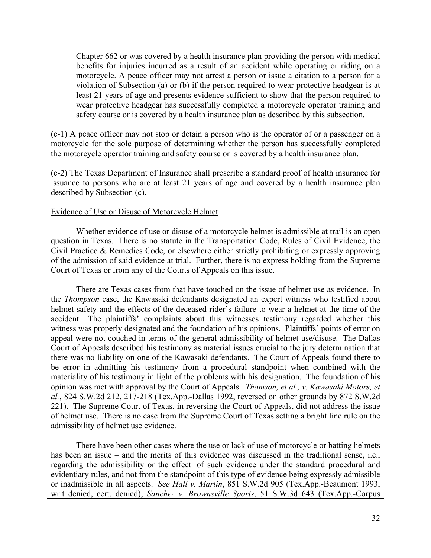Chapter 662 or was covered by a health insurance plan providing the person with medical benefits for injuries incurred as a result of an accident while operating or riding on a motorcycle. A peace officer may not arrest a person or issue a citation to a person for a violation of Subsection (a) or (b) if the person required to wear protective headgear is at least 21 years of age and presents evidence sufficient to show that the person required to wear protective headgear has successfully completed a motorcycle operator training and safety course or is covered by a health insurance plan as described by this subsection.

(c-1) A peace officer may not stop or detain a person who is the operator of or a passenger on a motorcycle for the sole purpose of determining whether the person has successfully completed the motorcycle operator training and safety course or is covered by a health insurance plan.

(c-2) The Texas Department of Insurance shall prescribe a standard proof of health insurance for issuance to persons who are at least 21 years of age and covered by a health insurance plan described by Subsection (c).

#### Evidence of Use or Disuse of Motorcycle Helmet

Whether evidence of use or disuse of a motorcycle helmet is admissible at trail is an open question in Texas. There is no statute in the Transportation Code, Rules of Civil Evidence, the Civil Practice & Remedies Code, or elsewhere either strictly prohibiting or expressly approving of the admission of said evidence at trial. Further, there is no express holding from the Supreme Court of Texas or from any of the Courts of Appeals on this issue.

There are Texas cases from that have touched on the issue of helmet use as evidence. In the *Thompson* case, the Kawasaki defendants designated an expert witness who testified about helmet safety and the effects of the deceased rider's failure to wear a helmet at the time of the accident. The plaintiffs' complaints about this witnesses testimony regarded whether this witness was properly designated and the foundation of his opinions. Plaintiffs' points of error on appeal were not couched in terms of the general admissibility of helmet use/disuse. The Dallas Court of Appeals described his testimony as material issues crucial to the jury determination that there was no liability on one of the Kawasaki defendants. The Court of Appeals found there to be error in admitting his testimony from a procedural standpoint when combined with the materiality of his testimony in light of the problems with his designation. The foundation of his opinion was met with approval by the Court of Appeals. *Thomson, et al., v. Kawasaki Motors, et al.*, 824 S.W.2d 212, 217-218 (Tex.App.-Dallas 1992, reversed on other grounds by 872 S.W.2d 221). The Supreme Court of Texas, in reversing the Court of Appeals, did not address the issue of helmet use. There is no case from the Supreme Court of Texas setting a bright line rule on the admissibility of helmet use evidence.

There have been other cases where the use or lack of use of motorcycle or batting helmets has been an issue – and the merits of this evidence was discussed in the traditional sense, i.e., regarding the admissibility or the effect of such evidence under the standard procedural and evidentiary rules, and not from the standpoint of this type of evidence being expressly admissible or inadmissible in all aspects. *See Hall v. Martin*, 851 S.W.2d 905 (Tex.App.-Beaumont 1993, writ denied, cert. denied); *Sanchez v. Brownsville Sports*, 51 S.W.3d 643 (Tex.App.-Corpus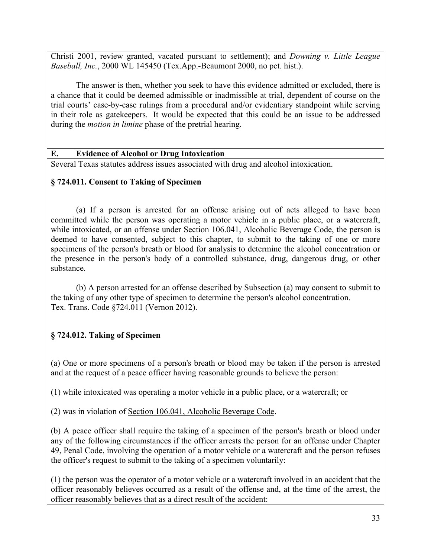Christi 2001, review granted, vacated pursuant to settlement); and *Downing v. Little League Baseball, Inc.*, 2000 WL 145450 (Tex.App.-Beaumont 2000, no pet. hist.).

The answer is then, whether you seek to have this evidence admitted or excluded, there is a chance that it could be deemed admissible or inadmissible at trial, dependent of course on the trial courts' case-by-case rulings from a procedural and/or evidentiary standpoint while serving in their role as gatekeepers. It would be expected that this could be an issue to be addressed during the *motion in limine* phase of the pretrial hearing.

## **E. Evidence of Alcohol or Drug Intoxication**

Several Texas statutes address issues associated with drug and alcohol intoxication.

## **§ 724.011. Consent to Taking of Specimen**

(a) If a person is arrested for an offense arising out of acts alleged to have been committed while the person was operating a motor vehicle in a public place, or a watercraft, while intoxicated, or an offense under Section 106.041, Alcoholic Beverage Code, the person is deemed to have consented, subject to this chapter, to submit to the taking of one or more specimens of the person's breath or blood for analysis to determine the alcohol concentration or the presence in the person's body of a controlled substance, drug, dangerous drug, or other substance.

(b) A person arrested for an offense described by Subsection (a) may consent to submit to the taking of any other type of specimen to determine the person's alcohol concentration. Tex. Trans. Code §724.011 (Vernon 2012).

# **§ 724.012. Taking of Specimen**

(a) One or more specimens of a person's breath or blood may be taken if the person is arrested and at the request of a peace officer having reasonable grounds to believe the person:

(1) while intoxicated was operating a motor vehicle in a public place, or a watercraft; or

(2) was in violation of Section 106.041, Alcoholic Beverage Code.

(b) A peace officer shall require the taking of a specimen of the person's breath or blood under any of the following circumstances if the officer arrests the person for an offense under Chapter 49, Penal Code, involving the operation of a motor vehicle or a watercraft and the person refuses the officer's request to submit to the taking of a specimen voluntarily:

(1) the person was the operator of a motor vehicle or a watercraft involved in an accident that the officer reasonably believes occurred as a result of the offense and, at the time of the arrest, the officer reasonably believes that as a direct result of the accident: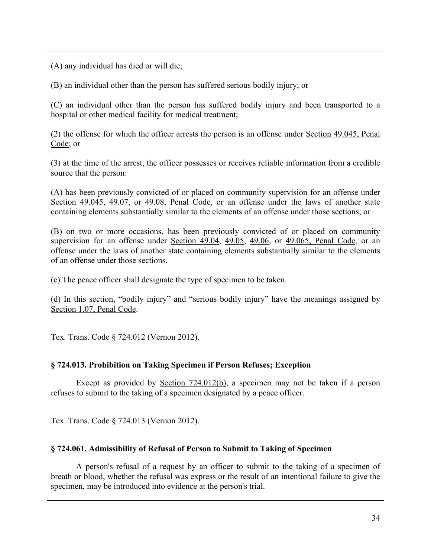(A) any individual has died or will die;

(B) an individual other than the person has suffered serious bodily injury; or

(C) an individual other than the person has suffered bodily injury and been transported to a hospital or other medical facility for medical treatment;

(2) the offense for which the officer arrests the person is an offense under Section 49.045, Penal Code; or

(3) at the time of the arrest, the officer possesses or receives reliable information from a credible source that the person:

(A) has been previously convicted of or placed on community supervision for an offense under Section 49.045, 49.07, or 49.08, Penal Code, or an offense under the laws of another state containing elements substantially similar to the elements of an offense under those sections; or

(B) on two or more occasions, has been previously convicted of or placed on community supervision for an offense under Section 49.04, 49.05, 49.06, or 49.065, Penal Code, or an offense under the laws of another state containing elements substantially similar to the elements of an offense under those sections.

(c) The peace officer shall designate the type of specimen to be taken.

(d) In this section, "bodily injury" and "serious bodily injury" have the meanings assigned by Section 1.07, Penal Code.

Tex. Trans. Code § 724.012 (Vernon 2012).

## **§ 724.013. Prohibition on Taking Specimen if Person Refuses; Exception**

Except as provided by Section 724.012(b), a specimen may not be taken if a person refuses to submit to the taking of a specimen designated by a peace officer.

Tex. Trans. Code § 724.013 (Vernon 2012).

## **§ 724.061. Admissibility of Refusal of Person to Submit to Taking of Specimen**

A person's refusal of a request by an officer to submit to the taking of a specimen of breath or blood, whether the refusal was express or the result of an intentional failure to give the specimen, may be introduced into evidence at the person's trial.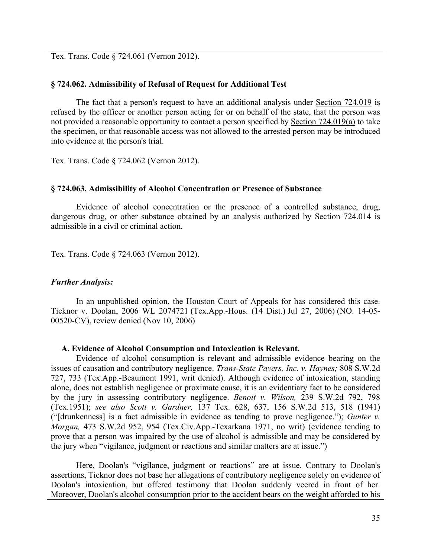Tex. Trans. Code § 724.061 (Vernon 2012).

## **§ 724.062. Admissibility of Refusal of Request for Additional Test**

The fact that a person's request to have an additional analysis under Section 724.019 is refused by the officer or another person acting for or on behalf of the state, that the person was not provided a reasonable opportunity to contact a person specified by Section 724.019(a) to take the specimen, or that reasonable access was not allowed to the arrested person may be introduced into evidence at the person's trial.

Tex. Trans. Code § 724.062 (Vernon 2012).

#### **§ 724.063. Admissibility of Alcohol Concentration or Presence of Substance**

Evidence of alcohol concentration or the presence of a controlled substance, drug, dangerous drug, or other substance obtained by an analysis authorized by Section 724.014 is admissible in a civil or criminal action.

Tex. Trans. Code § 724.063 (Vernon 2012).

## *Further Analysis:*

In an unpublished opinion, the Houston Court of Appeals for has considered this case. Ticknor v. Doolan, 2006 WL 2074721 (Tex.App.-Hous. (14 Dist.) Jul 27, 2006) (NO. 14-05- 00520-CV), review denied (Nov 10, 2006)

#### **A. Evidence of Alcohol Consumption and Intoxication is Relevant.**

Evidence of alcohol consumption is relevant and admissible evidence bearing on the issues of causation and contributory negligence. *Trans-State Pavers, Inc. v. Haynes;* 808 S.W.2d 727, 733 (Tex.App.-Beaumont 1991, writ denied). Although evidence of intoxication, standing alone, does not establish negligence or proximate cause, it is an evidentiary fact to be considered by the jury in assessing contributory negligence. *Benoit v. Wilson,* 239 S.W.2d 792, 798 (Tex.1951); *see also Scott v. Gardner,* 137 Tex. 628, 637, 156 S.W.2d 513, 518 (1941) ("[drunkenness] is a fact admissible in evidence as tending to prove negligence."); *Gunter v. Morgan,* 473 S.W.2d 952, 954 (Tex.Civ.App.-Texarkana 1971, no writ) (evidence tending to prove that a person was impaired by the use of alcohol is admissible and may be considered by the jury when "vigilance, judgment or reactions and similar matters are at issue.")

Here, Doolan's "vigilance, judgment or reactions" are at issue. Contrary to Doolan's assertions, Ticknor does not base her allegations of contributory negligence solely on evidence of Doolan's intoxication, but offered testimony that Doolan suddenly veered in front of her. Moreover, Doolan's alcohol consumption prior to the accident bears on the weight afforded to his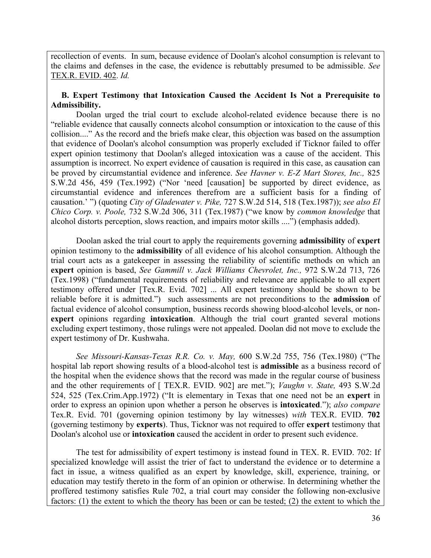recollection of events. In sum, because evidence of Doolan's alcohol consumption is relevant to the claims and defenses in the case, the evidence is rebuttably presumed to be admissible. *See* TEX.R. EVID. 402. *Id.*

#### **B. Expert Testimony that Intoxication Caused the Accident Is Not a Prerequisite to Admissibility.**

Doolan urged the trial court to exclude alcohol-related evidence because there is no "reliable evidence that causally connects alcohol consumption or intoxication to the cause of this collision...." As the record and the briefs make clear, this objection was based on the assumption that evidence of Doolan's alcohol consumption was properly excluded if Ticknor failed to offer expert opinion testimony that Doolan's alleged intoxication was a cause of the accident. This assumption is incorrect. No expert evidence of causation is required in this case, as causation can be proved by circumstantial evidence and inference. *See Havner v. E-Z Mart Stores, Inc.,* 825 S.W.2d 456, 459 (Tex.1992) ("Nor 'need [causation] be supported by direct evidence, as circumstantial evidence and inferences therefrom are a sufficient basis for a finding of causation.' ") (quoting *City of Gladewater v. Pike,* 727 S.W.2d 514, 518 (Tex.1987)); *see also El Chico Corp. v. Poole,* 732 S.W.2d 306, 311 (Tex.1987) ("we know by *common knowledge* that alcohol distorts perception, slows reaction, and impairs motor skills ....") (emphasis added).

Doolan asked the trial court to apply the requirements governing **admissibility** of **expert** opinion testimony to the **admissibility** of all evidence of his alcohol consumption. Although the trial court acts as a gatekeeper in assessing the reliability of scientific methods on which an **expert** opinion is based, *See Gammill v. Jack Williams Chevrolet, Inc.,* 972 S.W.2d 713, 726 (Tex.1998) ("fundamental requirements of reliability and relevance are applicable to all expert testimony offered under [Tex.R. Evid. 702] ... All expert testimony should be shown to be reliable before it is admitted.") such assessments are not preconditions to the **admission** of factual evidence of alcohol consumption, business records showing blood-alcohol levels, or non**expert** opinions regarding **intoxication**. Although the trial court granted several motions excluding expert testimony, those rulings were not appealed. Doolan did not move to exclude the expert testimony of Dr. Kushwaha.

*See Missouri-Kansas-Texas R.R. Co. v. May,* 600 S.W.2d 755, 756 (Tex.1980) ("The hospital lab report showing results of a blood-alcohol test is **admissible** as a business record of the hospital when the evidence shows that the record was made in the regular course of business and the other requirements of [ TEX.R. EVID. 902] are met."); *Vaughn v. State,* 493 S.W.2d 524, 525 (Tex.Crim.App.1972) ("It is elementary in Texas that one need not be an **expert** in order to express an opinion upon whether a person he observes is **intoxicated**."); *also compare* Tex.R. Evid. 701 (governing opinion testimony by lay witnesses) *with* TEX.R. EVID. **702** (governing testimony by **experts**). Thus, Ticknor was not required to offer **expert** testimony that Doolan's alcohol use or **intoxication** caused the accident in order to present such evidence.

The test for admissibility of expert testimony is instead found in TEX. R. EVID. 702: If specialized knowledge will assist the trier of fact to understand the evidence or to determine a fact in issue, a witness qualified as an expert by knowledge, skill, experience, training, or education may testify thereto in the form of an opinion or otherwise. In determining whether the proffered testimony satisfies Rule 702, a trial court may consider the following non-exclusive factors: (1) the extent to which the theory has been or can be tested; (2) the extent to which the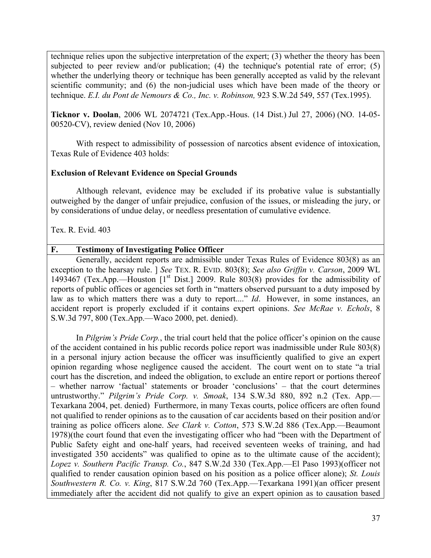technique relies upon the subjective interpretation of the expert; (3) whether the theory has been subjected to peer review and/or publication; (4) the technique's potential rate of error; (5) whether the underlying theory or technique has been generally accepted as valid by the relevant scientific community; and (6) the non-judicial uses which have been made of the theory or technique. *E.I. du Pont de Nemours & Co., Inc. v. Robinson,* 923 S.W.2d 549, 557 (Tex.1995).

**Ticknor v. Doolan**, 2006 WL 2074721 (Tex.App.-Hous. (14 Dist.) Jul 27, 2006) (NO. 14-05- 00520-CV), review denied (Nov 10, 2006)

With respect to admissibility of possession of narcotics absent evidence of intoxication, Texas Rule of Evidence 403 holds:

## **Exclusion of Relevant Evidence on Special Grounds**

Although relevant, evidence may be excluded if its probative value is substantially outweighed by the danger of unfair prejudice, confusion of the issues, or misleading the jury, or by considerations of undue delay, or needless presentation of cumulative evidence.

Tex. R. Evid. 403

## **F. Testimony of Investigating Police Officer**

Generally, accident reports are admissible under Texas Rules of Evidence 803(8) as an exception to the hearsay rule. ] *See* TEX. R. EVID. 803(8); *See also Griffin v. Carson*, 2009 WL 1493467 (Tex.App.—Houston  $[1<sup>st</sup> Dist.]$  2009. Rule 803(8) provides for the admissibility of reports of public offices or agencies set forth in "matters observed pursuant to a duty imposed by law as to which matters there was a duty to report...." *Id*. However, in some instances, an accident report is properly excluded if it contains expert opinions. *See McRae v. Echols*, 8 S.W.3d 797, 800 (Tex.App.—Waco 2000, pet. denied).

In *Pilgrim's Pride Corp.*, the trial court held that the police officer's opinion on the cause of the accident contained in his public records police report was inadmissible under Rule 803(8) in a personal injury action because the officer was insufficiently qualified to give an expert opinion regarding whose negligence caused the accident. The court went on to state "a trial court has the discretion, and indeed the obligation, to exclude an entire report or portions thereof – whether narrow 'factual' statements or broader 'conclusions' – that the court determines untrustworthy." *Pilgrim's Pride Corp. v. Smoak*, 134 S.W.3d 880, 892 n.2 (Tex. App.— Texarkana 2004, pet. denied) Furthermore, in many Texas courts, police officers are often found not qualified to render opinions as to the causation of car accidents based on their position and/or training as police officers alone. *See Clark v. Cotton*, 573 S.W.2d 886 (Tex.App.—Beaumont 1978)(the court found that even the investigating officer who had "been with the Department of Public Safety eight and one-half years, had received seventeen weeks of training, and had investigated 350 accidents" was qualified to opine as to the ultimate cause of the accident); *Lopez v. Southern Pacific Transp. Co.*, 847 S.W.2d 330 (Tex.App.—El Paso 1993)(officer not qualified to render causation opinion based on his position as a police officer alone); *St. Louis Southwestern R. Co. v. King*, 817 S.W.2d 760 (Tex.App.—Texarkana 1991)(an officer present immediately after the accident did not qualify to give an expert opinion as to causation based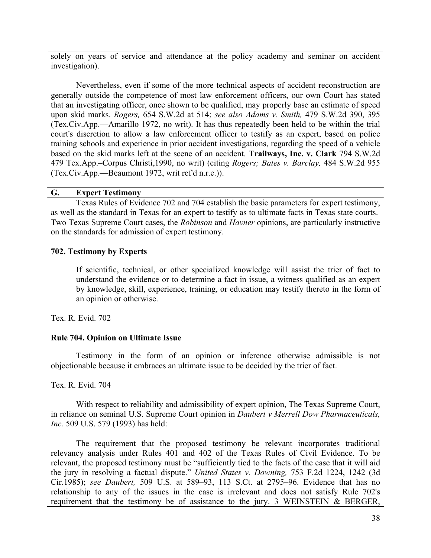solely on years of service and attendance at the policy academy and seminar on accident investigation).

Nevertheless, even if some of the more technical aspects of accident reconstruction are generally outside the competence of most law enforcement officers, our own Court has stated that an investigating officer, once shown to be qualified, may properly base an estimate of speed upon skid marks. *Rogers,* 654 S.W.2d at 514; *see also Adams v. Smith,* 479 S.W.2d 390, 395 (Tex.Civ.App.—Amarillo 1972, no writ). It has thus repeatedly been held to be within the trial court's discretion to allow a law enforcement officer to testify as an expert, based on police training schools and experience in prior accident investigations, regarding the speed of a vehicle based on the skid marks left at the scene of an accident. **Trailways, Inc. v. Clark** 794 S.W.2d 479 Tex.App.–Corpus Christi,1990, no writ) (citing *Rogers; Bates v. Barclay,* 484 S.W.2d 955 (Tex.Civ.App.—Beaumont 1972, writ ref'd n.r.e.)).

#### **G. Expert Testimony**

Texas Rules of Evidence 702 and 704 establish the basic parameters for expert testimony, as well as the standard in Texas for an expert to testify as to ultimate facts in Texas state courts. Two Texas Supreme Court cases, the *Robinson* and *Havner* opinions, are particularly instructive on the standards for admission of expert testimony.

## **702. Testimony by Experts**

If scientific, technical, or other specialized knowledge will assist the trier of fact to understand the evidence or to determine a fact in issue, a witness qualified as an expert by knowledge, skill, experience, training, or education may testify thereto in the form of an opinion or otherwise.

Tex. R. Evid. 702

## **Rule 704. Opinion on Ultimate Issue**

Testimony in the form of an opinion or inference otherwise admissible is not objectionable because it embraces an ultimate issue to be decided by the trier of fact.

Tex. R. Evid. 704

With respect to reliability and admissibility of expert opinion, The Texas Supreme Court, in reliance on seminal U.S. Supreme Court opinion in *Daubert v Merrell Dow Pharmaceuticals, Inc.* 509 U.S. 579 (1993) has held:

The requirement that the proposed testimony be relevant incorporates traditional relevancy analysis under Rules 401 and 402 of the Texas Rules of Civil Evidence. To be relevant, the proposed testimony must be "sufficiently tied to the facts of the case that it will aid the jury in resolving a factual dispute." *United States v. Downing,* 753 F.2d 1224, 1242 (3d Cir.1985); *see Daubert,* 509 U.S. at 589–93, 113 S.Ct. at 2795–96. Evidence that has no relationship to any of the issues in the case is irrelevant and does not satisfy Rule 702's requirement that the testimony be of assistance to the jury. 3 WEINSTEIN & BERGER,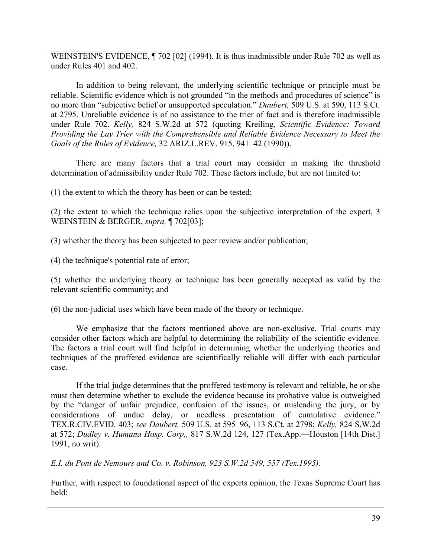WEINSTEIN'S EVIDENCE,  $\P$  702 [02] (1994). It is thus inadmissible under Rule 702 as well as under Rules 401 and 402.

In addition to being relevant, the underlying scientific technique or principle must be reliable. Scientific evidence which is not grounded "in the methods and procedures of science" is no more than "subjective belief or unsupported speculation." *Daubert,* 509 U.S. at 590, 113 S.Ct. at 2795. Unreliable evidence is of no assistance to the trier of fact and is therefore inadmissible under Rule 702. *Kelly,* 824 S.W.2d at 572 (quoting Kreiling, *Scientific Evidence: Toward Providing the Lay Trier with the Comprehensible and Reliable Evidence Necessary to Meet the Goals of the Rules of Evidence,* 32 ARIZ.L.REV. 915, 941–42 (1990)).

There are many factors that a trial court may consider in making the threshold determination of admissibility under Rule 702. These factors include, but are not limited to:

(1) the extent to which the theory has been or can be tested;

(2) the extent to which the technique relies upon the subjective interpretation of the expert, 3 WEINSTEIN & BERGER, *supra,* ¶ 702[03];

(3) whether the theory has been subjected to peer review and/or publication;

(4) the technique's potential rate of error;

(5) whether the underlying theory or technique has been generally accepted as valid by the relevant scientific community; and

(6) the non-judicial uses which have been made of the theory or technique.

We emphasize that the factors mentioned above are non-exclusive. Trial courts may consider other factors which are helpful to determining the reliability of the scientific evidence. The factors a trial court will find helpful in determining whether the underlying theories and techniques of the proffered evidence are scientifically reliable will differ with each particular case.

If the trial judge determines that the proffered testimony is relevant and reliable, he or she must then determine whether to exclude the evidence because its probative value is outweighed by the "danger of unfair prejudice, confusion of the issues, or misleading the jury, or by considerations of undue delay, or needless presentation of cumulative evidence." TEX.R.CIV.EVID. 403; *see Daubert,* 509 U.S. at 595–96, 113 S.Ct. at 2798; *Kelly,* 824 S.W.2d at 572; *Dudley v. Humana Hosp. Corp.,* 817 S.W.2d 124, 127 (Tex.App.—Houston [14th Dist.] 1991, no writ).

*E.I. du Pont de Nemours and Co. v. Robinson, 923 S.W.2d 549, 557 (Tex.1995).*

Further, with respect to foundational aspect of the experts opinion, the Texas Supreme Court has held: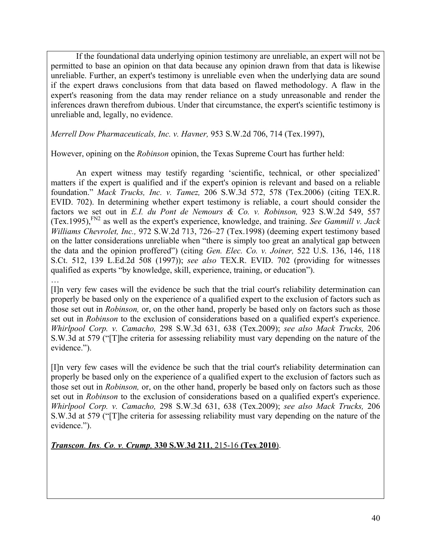If the foundational data underlying opinion testimony are unreliable, an expert will not be permitted to base an opinion on that data because any opinion drawn from that data is likewise unreliable. Further, an expert's testimony is unreliable even when the underlying data are sound if the expert draws conclusions from that data based on flawed methodology. A flaw in the expert's reasoning from the data may render reliance on a study unreasonable and render the inferences drawn therefrom dubious. Under that circumstance, the expert's scientific testimony is unreliable and, legally, no evidence.

*Merrell Dow Pharmaceuticals, Inc. v. Havner,* 953 S.W.2d 706, 714 (Tex.1997),

However, opining on the *Robinson* opinion, the Texas Supreme Court has further held:

An expert witness may testify regarding 'scientific, technical, or other specialized' matters if the expert is qualified and if the expert's opinion is relevant and based on a reliable foundation." *Mack Trucks, Inc. v. Tamez,* 206 S.W.3d 572, 578 (Tex.2006) (citing TEX.R. EVID. 702). In determining whether expert testimony is reliable, a court should consider the factors we set out in *E.I. du Pont de Nemours & Co. v. Robinson,* 923 S.W.2d 549, 557 (Tex.1995), FN2 as well as the expert's experience, knowledge, and training. *See Gammill v. Jack Williams Chevrolet, Inc.,* 972 S.W.2d 713, 726–27 (Tex.1998) (deeming expert testimony based on the latter considerations unreliable when "there is simply too great an analytical gap between the data and the opinion proffered") (citing *Gen. Elec. Co. v. Joiner,* 522 U.S. 136, 146, 118 S.Ct. 512, 139 L.Ed.2d 508 (1997)); *see also* TEX.R. EVID. 702 (providing for witnesses qualified as experts "by knowledge, skill, experience, training, or education").

…

[I]n very few cases will the evidence be such that the trial court's reliability determination can properly be based only on the experience of a qualified expert to the exclusion of factors such as those set out in *Robinson,* or, on the other hand, properly be based only on factors such as those set out in *Robinson* to the exclusion of considerations based on a qualified expert's experience. *Whirlpool Corp. v. Camacho,* 298 S.W.3d 631, 638 (Tex.2009); *see also Mack Trucks,* 206 S.W.3d at 579 ("[T]he criteria for assessing reliability must vary depending on the nature of the evidence.").

[I]n very few cases will the evidence be such that the trial court's reliability determination can properly be based only on the experience of a qualified expert to the exclusion of factors such as those set out in *Robinson,* or, on the other hand, properly be based only on factors such as those set out in *Robinson* to the exclusion of considerations based on a qualified expert's experience. *Whirlpool Corp. v. Camacho,* 298 S.W.3d 631, 638 (Tex.2009); *see also Mack Trucks,* 206 S.W.3d at 579 ("[T]he criteria for assessing reliability must vary depending on the nature of the evidence.").

## *Transcon. Ins. Co. v. Crump,* **330 S.W**.**3d 211**, 215-16 **(Tex**.**2010**).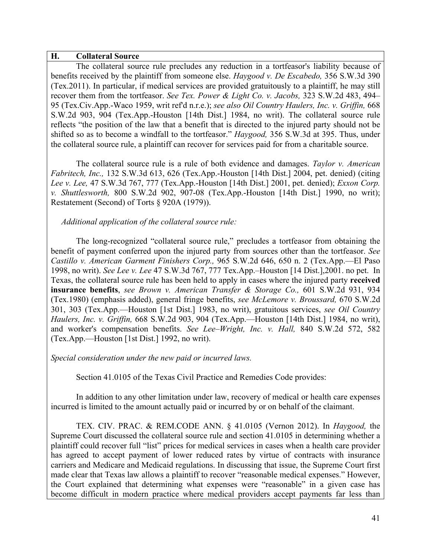#### **H. Collateral Source**

The collateral source rule precludes any reduction in a tortfeasor's liability because of benefits received by the plaintiff from someone else. *Haygood v. De Escabedo,* 356 S.W.3d 390 (Tex.2011). In particular, if medical services are provided gratuitously to a plaintiff, he may still recover them from the tortfeasor. *See Tex. Power & Light Co. v. Jacobs,* 323 S.W.2d 483, 494– 95 (Tex.Civ.App.-Waco 1959, writ ref'd n.r.e.); *see also Oil Country Haulers, Inc. v. Griffin,* 668 S.W.2d 903, 904 (Tex.App.-Houston [14th Dist.] 1984, no writ). The collateral source rule reflects "the position of the law that a benefit that is directed to the injured party should not be shifted so as to become a windfall to the tortfeasor." *Haygood,* 356 S.W.3d at 395. Thus, under the collateral source rule, a plaintiff can recover for services paid for from a charitable source.

The collateral source rule is a rule of both evidence and damages. *Taylor v. American Fabritech, Inc.,* 132 S.W.3d 613, 626 (Tex.App.-Houston [14th Dist.] 2004, pet. denied) (citing *Lee v. Lee,* 47 S.W.3d 767, 777 (Tex.App.-Houston [14th Dist.] 2001, pet. denied); *Exxon Corp. v. Shuttlesworth,* 800 S.W.2d 902, 907-08 (Tex.App.-Houston [14th Dist.] 1990, no writ); Restatement (Second) of Torts § 920A (1979)).

### *Additional application of the collateral source rule:*

The long-recognized "collateral source rule," precludes a tortfeasor from obtaining the benefit of payment conferred upon the injured party from sources other than the tortfeasor. *See Castillo v. American Garment Finishers Corp.,* 965 S.W.2d 646, 650 n. 2 (Tex.App.—El Paso 1998, no writ). *See Lee v. Lee* 47 S.W.3d 767, 777 Tex.App.–Houston [14 Dist.],2001. no pet. In Texas, the collateral source rule has been held to apply in cases where the injured party **received insurance benefits**, *see Brown v. American Transfer & Storage Co.,* 601 S.W.2d 931, 934 (Tex.1980) (emphasis added), general fringe benefits, *see McLemore v. Broussard,* 670 S.W.2d 301, 303 (Tex.App.—Houston [1st Dist.] 1983, no writ), gratuitous services, *see Oil Country Haulers, Inc. v. Griffin,* 668 S.W.2d 903, 904 (Tex.App.—Houston [14th Dist.] 1984, no writ), and worker's compensation benefits. *See Lee–Wright, Inc. v. Hall,* 840 S.W.2d 572, 582 (Tex.App.—Houston [1st Dist.] 1992, no writ).

*Special consideration under the new paid or incurred laws.*

Section 41.0105 of the Texas Civil Practice and Remedies Code provides:

In addition to any other limitation under law, recovery of medical or health care expenses incurred is limited to the amount actually paid or incurred by or on behalf of the claimant.

TEX. CIV. PRAC. & REM.CODE ANN. § 41.0105 (Vernon 2012). In *Haygood,* the Supreme Court discussed the collateral source rule and section 41.0105 in determining whether a plaintiff could recover full "list" prices for medical services in cases when a health care provider has agreed to accept payment of lower reduced rates by virtue of contracts with insurance carriers and Medicare and Medicaid regulations. In discussing that issue, the Supreme Court first made clear that Texas law allows a plaintiff to recover "reasonable medical expenses." However, the Court explained that determining what expenses were "reasonable" in a given case has become difficult in modern practice where medical providers accept payments far less than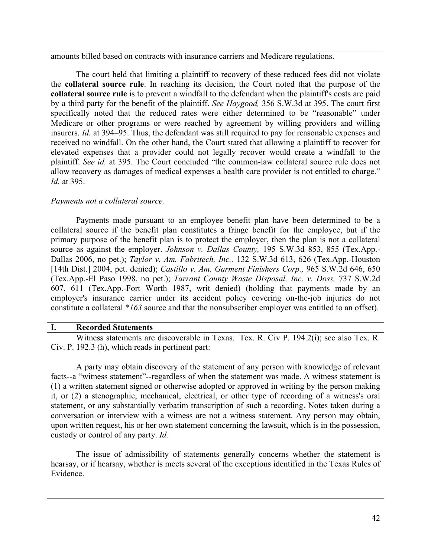amounts billed based on contracts with insurance carriers and Medicare regulations.

The court held that limiting a plaintiff to recovery of these reduced fees did not violate the **collateral source rule**. In reaching its decision, the Court noted that the purpose of the **collateral source rule** is to prevent a windfall to the defendant when the plaintiff's costs are paid by a third party for the benefit of the plaintiff. *See Haygood,* 356 S.W.3d at 395. The court first specifically noted that the reduced rates were either determined to be "reasonable" under Medicare or other programs or were reached by agreement by willing providers and willing insurers. *Id.* at 394–95. Thus, the defendant was still required to pay for reasonable expenses and received no windfall. On the other hand, the Court stated that allowing a plaintiff to recover for elevated expenses that a provider could not legally recover would create a windfall to the plaintiff. *See id.* at 395. The Court concluded "the common-law collateral source rule does not allow recovery as damages of medical expenses a health care provider is not entitled to charge." *Id.* at 395.

### *Payments not a collateral source.*

Payments made pursuant to an employee benefit plan have been determined to be a collateral source if the benefit plan constitutes a fringe benefit for the employee, but if the primary purpose of the benefit plan is to protect the employer, then the plan is not a collateral source as against the employer. *Johnson v. Dallas County,* 195 S.W.3d 853, 855 (Tex.App.- Dallas 2006, no pet.); *Taylor v. Am. Fabritech, Inc.,* 132 S.W.3d 613, 626 (Tex.App.-Houston [14th Dist.] 2004, pet. denied); *Castillo v. Am. Garment Finishers Corp.,* 965 S.W.2d 646, 650 (Tex.App.-El Paso 1998, no pet.); *Tarrant County Waste Disposal, Inc. v. Doss,* 737 S.W.2d 607, 611 (Tex.App.-Fort Worth 1987, writ denied) (holding that payments made by an employer's insurance carrier under its accident policy covering on-the-job injuries do not constitute a collateral *\*163* source and that the nonsubscriber employer was entitled to an offset).

### **I. Recorded Statements**

Witness statements are discoverable in Texas. Tex. R. Civ P. 194.2(i); see also Tex. R. Civ. P. 192.3 (h), which reads in pertinent part:

A party may obtain discovery of the statement of any person with knowledge of relevant facts--a "witness statement"--regardless of when the statement was made. A witness statement is (1) a written statement signed or otherwise adopted or approved in writing by the person making it, or (2) a stenographic, mechanical, electrical, or other type of recording of a witness's oral statement, or any substantially verbatim transcription of such a recording. Notes taken during a conversation or interview with a witness are not a witness statement. Any person may obtain, upon written request, his or her own statement concerning the lawsuit, which is in the possession, custody or control of any party. *Id.*

The issue of admissibility of statements generally concerns whether the statement is hearsay, or if hearsay, whether is meets several of the exceptions identified in the Texas Rules of Evidence.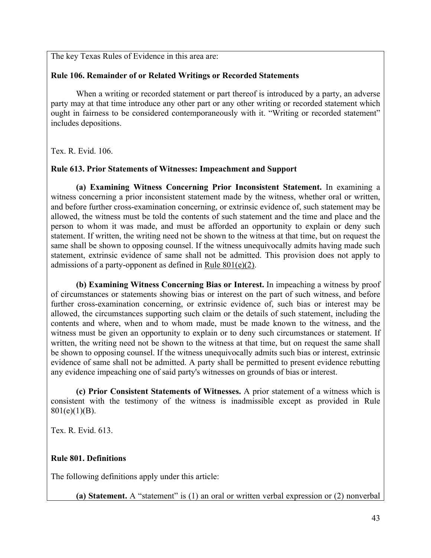The key Texas Rules of Evidence in this area are:

#### **Rule 106. Remainder of or Related Writings or Recorded Statements**

When a writing or recorded statement or part thereof is introduced by a party, an adverse party may at that time introduce any other part or any other writing or recorded statement which ought in fairness to be considered contemporaneously with it. "Writing or recorded statement" includes depositions.

Tex. R. Evid. 106.

#### **Rule 613. Prior Statements of Witnesses: Impeachment and Support**

**(a) Examining Witness Concerning Prior Inconsistent Statement.** In examining a witness concerning a prior inconsistent statement made by the witness, whether oral or written, and before further cross-examination concerning, or extrinsic evidence of, such statement may be allowed, the witness must be told the contents of such statement and the time and place and the person to whom it was made, and must be afforded an opportunity to explain or deny such statement. If written, the writing need not be shown to the witness at that time, but on request the same shall be shown to opposing counsel. If the witness unequivocally admits having made such statement, extrinsic evidence of same shall not be admitted. This provision does not apply to admissions of a party-opponent as defined in Rule 801(e)(2).

**(b) Examining Witness Concerning Bias or Interest.** In impeaching a witness by proof of circumstances or statements showing bias or interest on the part of such witness, and before further cross-examination concerning, or extrinsic evidence of, such bias or interest may be allowed, the circumstances supporting such claim or the details of such statement, including the contents and where, when and to whom made, must be made known to the witness, and the witness must be given an opportunity to explain or to deny such circumstances or statement. If written, the writing need not be shown to the witness at that time, but on request the same shall be shown to opposing counsel. If the witness unequivocally admits such bias or interest, extrinsic evidence of same shall not be admitted. A party shall be permitted to present evidence rebutting any evidence impeaching one of said party's witnesses on grounds of bias or interest.

**(c) Prior Consistent Statements of Witnesses.** A prior statement of a witness which is consistent with the testimony of the witness is inadmissible except as provided in Rule  $801(e)(1)(B)$ .

Tex. R. Evid. 613.

### **Rule 801. Definitions**

The following definitions apply under this article:

**(a) Statement.** A "statement" is (1) an oral or written verbal expression or (2) nonverbal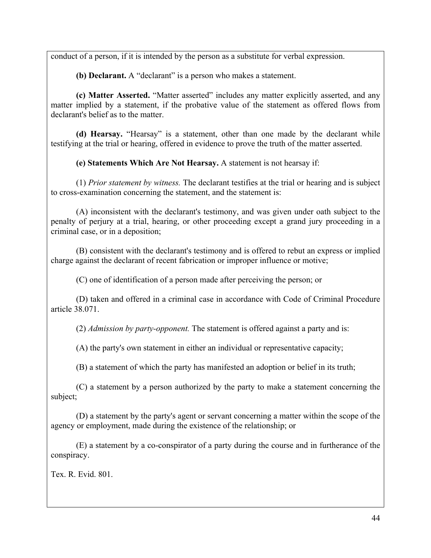conduct of a person, if it is intended by the person as a substitute for verbal expression.

**(b) Declarant.** A "declarant" is a person who makes a statement.

**(c) Matter Asserted.** "Matter asserted" includes any matter explicitly asserted, and any matter implied by a statement, if the probative value of the statement as offered flows from declarant's belief as to the matter.

**(d) Hearsay.** "Hearsay" is a statement, other than one made by the declarant while testifying at the trial or hearing, offered in evidence to prove the truth of the matter asserted.

**(e) Statements Which Are Not Hearsay.** A statement is not hearsay if:

(1) *Prior statement by witness.* The declarant testifies at the trial or hearing and is subject to cross-examination concerning the statement, and the statement is:

(A) inconsistent with the declarant's testimony, and was given under oath subject to the penalty of perjury at a trial, hearing, or other proceeding except a grand jury proceeding in a criminal case, or in a deposition;

(B) consistent with the declarant's testimony and is offered to rebut an express or implied charge against the declarant of recent fabrication or improper influence or motive;

(C) one of identification of a person made after perceiving the person; or

(D) taken and offered in a criminal case in accordance with Code of Criminal Procedure article 38.071.

(2) *Admission by party-opponent.* The statement is offered against a party and is:

(A) the party's own statement in either an individual or representative capacity;

(B) a statement of which the party has manifested an adoption or belief in its truth;

(C) a statement by a person authorized by the party to make a statement concerning the subject;

(D) a statement by the party's agent or servant concerning a matter within the scope of the agency or employment, made during the existence of the relationship; or

(E) a statement by a co-conspirator of a party during the course and in furtherance of the conspiracy.

Tex. R. Evid. 801.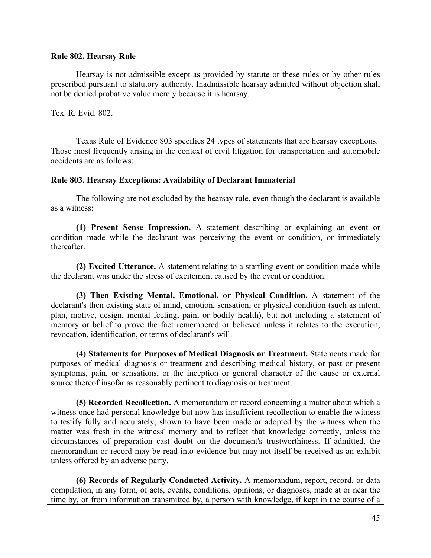#### **Rule 802. Hearsay Rule**

Hearsay is not admissible except as provided by statute or these rules or by other rules prescribed pursuant to statutory authority. Inadmissible hearsay admitted without objection shall not be denied probative value merely because it is hearsay.

Tex. R. Evid. 802.

Texas Rule of Evidence 803 specifics 24 types of statements that are hearsay exceptions. Those most frequently arising in the context of civil litigation for transportation and automobile accidents are as follows:

### **Rule 803. Hearsay Exceptions: Availability of Declarant Immaterial**

The following are not excluded by the hearsay rule, even though the declarant is available as a witness:

**(1) Present Sense Impression.** A statement describing or explaining an event or condition made while the declarant was perceiving the event or condition, or immediately thereafter.

**(2) Excited Utterance.** A statement relating to a startling event or condition made while the declarant was under the stress of excitement caused by the event or condition.

**(3) Then Existing Mental, Emotional, or Physical Condition.** A statement of the declarant's then existing state of mind, emotion, sensation, or physical condition (such as intent, plan, motive, design, mental feeling, pain, or bodily health), but not including a statement of memory or belief to prove the fact remembered or believed unless it relates to the execution, revocation, identification, or terms of declarant's will.

**(4) Statements for Purposes of Medical Diagnosis or Treatment.** Statements made for purposes of medical diagnosis or treatment and describing medical history, or past or present symptoms, pain, or sensations, or the inception or general character of the cause or external source thereof insofar as reasonably pertinent to diagnosis or treatment.

**(5) Recorded Recollection.** A memorandum or record concerning a matter about which a witness once had personal knowledge but now has insufficient recollection to enable the witness to testify fully and accurately, shown to have been made or adopted by the witness when the matter was fresh in the witness' memory and to reflect that knowledge correctly, unless the circumstances of preparation cast doubt on the document's trustworthiness. If admitted, the memorandum or record may be read into evidence but may not itself be received as an exhibit unless offered by an adverse party.

**(6) Records of Regularly Conducted Activity.** A memorandum, report, record, or data compilation, in any form, of acts, events, conditions, opinions, or diagnoses, made at or near the time by, or from information transmitted by, a person with knowledge, if kept in the course of a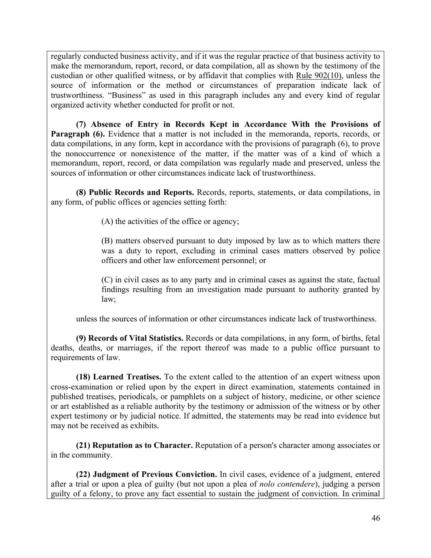regularly conducted business activity, and if it was the regular practice of that business activity to make the memorandum, report, record, or data compilation, all as shown by the testimony of the custodian or other qualified witness, or by affidavit that complies with Rule 902(10), unless the source of information or the method or circumstances of preparation indicate lack of trustworthiness. "Business" as used in this paragraph includes any and every kind of regular organized activity whether conducted for profit or not.

**(7) Absence of Entry in Records Kept in Accordance With the Provisions of Paragraph (6).** Evidence that a matter is not included in the memoranda, reports, records, or data compilations, in any form, kept in accordance with the provisions of paragraph (6), to prove the nonoccurrence or nonexistence of the matter, if the matter was of a kind of which a memorandum, report, record, or data compilation was regularly made and preserved, unless the sources of information or other circumstances indicate lack of trustworthiness.

**(8) Public Records and Reports.** Records, reports, statements, or data compilations, in any form, of public offices or agencies setting forth:

(A) the activities of the office or agency;

(B) matters observed pursuant to duty imposed by law as to which matters there was a duty to report, excluding in criminal cases matters observed by police officers and other law enforcement personnel; or

(C) in civil cases as to any party and in criminal cases as against the state, factual findings resulting from an investigation made pursuant to authority granted by law;

unless the sources of information or other circumstances indicate lack of trustworthiness.

**(9) Records of Vital Statistics.** Records or data compilations, in any form, of births, fetal deaths, deaths, or marriages, if the report thereof was made to a public office pursuant to requirements of law.

**(18) Learned Treatises.** To the extent called to the attention of an expert witness upon cross-examination or relied upon by the expert in direct examination, statements contained in published treatises, periodicals, or pamphlets on a subject of history, medicine, or other science or art established as a reliable authority by the testimony or admission of the witness or by other expert testimony or by judicial notice. If admitted, the statements may be read into evidence but may not be received as exhibits.

**(21) Reputation as to Character.** Reputation of a person's character among associates or in the community.

**(22) Judgment of Previous Conviction.** In civil cases, evidence of a judgment, entered after a trial or upon a plea of guilty (but not upon a plea of *nolo contendere*), judging a person guilty of a felony, to prove any fact essential to sustain the judgment of conviction. In criminal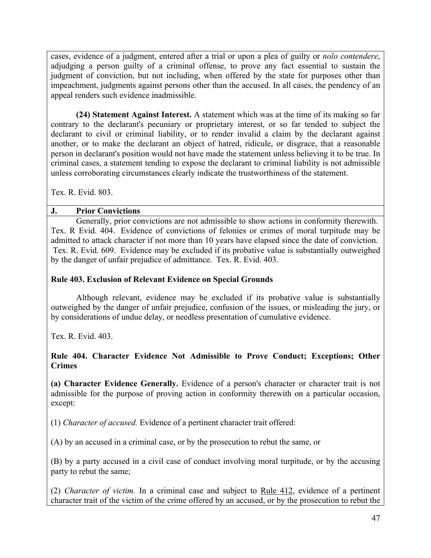cases, evidence of a judgment, entered after a trial or upon a plea of guilty or *nolo contendere*, adjudging a person guilty of a criminal offense, to prove any fact essential to sustain the judgment of conviction, but not including, when offered by the state for purposes other than impeachment, judgments against persons other than the accused. In all cases, the pendency of an appeal renders such evidence inadmissible.

**(24) Statement Against Interest.** A statement which was at the time of its making so far contrary to the declarant's pecuniary or proprietary interest, or so far tended to subject the declarant to civil or criminal liability, or to render invalid a claim by the declarant against another, or to make the declarant an object of hatred, ridicule, or disgrace, that a reasonable person in declarant's position would not have made the statement unless believing it to be true. In criminal cases, a statement tending to expose the declarant to criminal liability is not admissible unless corroborating circumstances clearly indicate the trustworthiness of the statement.

Tex. R. Evid. 803.

### **J. Prior Convictions**

Generally, prior convictions are not admissible to show actions in conformity therewith. Tex. R Evid. 404. Evidence of convictions of felonies or crimes of moral turpitude may be admitted to attack character if not more than 10 years have elapsed since the date of conviction. Tex. R. Evid. 609. Evidence may be excluded if its probative value is substantially outweighed by the danger of unfair prejudice of admittance. Tex. R. Evid. 403.

### **Rule 403. Exclusion of Relevant Evidence on Special Grounds**

Although relevant, evidence may be excluded if its probative value is substantially outweighed by the danger of unfair prejudice, confusion of the issues, or misleading the jury, or by considerations of undue delay, or needless presentation of cumulative evidence.

Tex. R. Evid. 403.

## **Rule 404. Character Evidence Not Admissible to Prove Conduct; Exceptions; Other Crimes**

**(a) Character Evidence Generally.** Evidence of a person's character or character trait is not admissible for the purpose of proving action in conformity therewith on a particular occasion, except:

(1) *Character of accused.* Evidence of a pertinent character trait offered:

(A) by an accused in a criminal case, or by the prosecution to rebut the same, or

(B) by a party accused in a civil case of conduct involving moral turpitude, or by the accusing party to rebut the same;

(2) *Character of victim.* In a criminal case and subject to Rule 412, evidence of a pertinent character trait of the victim of the crime offered by an accused, or by the prosecution to rebut the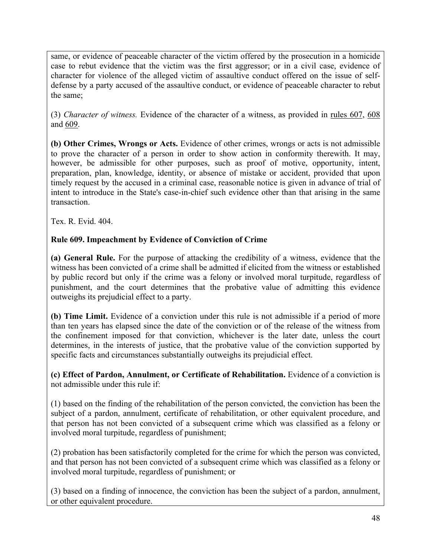same, or evidence of peaceable character of the victim offered by the prosecution in a homicide case to rebut evidence that the victim was the first aggressor; or in a civil case, evidence of character for violence of the alleged victim of assaultive conduct offered on the issue of selfdefense by a party accused of the assaultive conduct, or evidence of peaceable character to rebut the same;

(3) *Character of witness.* Evidence of the character of a witness, as provided in rules 607, 608 and 609.

**(b) Other Crimes, Wrongs or Acts.** Evidence of other crimes, wrongs or acts is not admissible to prove the character of a person in order to show action in conformity therewith. It may, however, be admissible for other purposes, such as proof of motive, opportunity, intent, preparation, plan, knowledge, identity, or absence of mistake or accident, provided that upon timely request by the accused in a criminal case, reasonable notice is given in advance of trial of intent to introduce in the State's case-in-chief such evidence other than that arising in the same transaction.

Tex. R. Evid. 404.

## **Rule 609. Impeachment by Evidence of Conviction of Crime**

**(a) General Rule.** For the purpose of attacking the credibility of a witness, evidence that the witness has been convicted of a crime shall be admitted if elicited from the witness or established by public record but only if the crime was a felony or involved moral turpitude, regardless of punishment, and the court determines that the probative value of admitting this evidence outweighs its prejudicial effect to a party.

**(b) Time Limit.** Evidence of a conviction under this rule is not admissible if a period of more than ten years has elapsed since the date of the conviction or of the release of the witness from the confinement imposed for that conviction, whichever is the later date, unless the court determines, in the interests of justice, that the probative value of the conviction supported by specific facts and circumstances substantially outweighs its prejudicial effect.

**(c) Effect of Pardon, Annulment, or Certificate of Rehabilitation.** Evidence of a conviction is not admissible under this rule if:

(1) based on the finding of the rehabilitation of the person convicted, the conviction has been the subject of a pardon, annulment, certificate of rehabilitation, or other equivalent procedure, and that person has not been convicted of a subsequent crime which was classified as a felony or involved moral turpitude, regardless of punishment;

(2) probation has been satisfactorily completed for the crime for which the person was convicted, and that person has not been convicted of a subsequent crime which was classified as a felony or involved moral turpitude, regardless of punishment; or

(3) based on a finding of innocence, the conviction has been the subject of a pardon, annulment, or other equivalent procedure.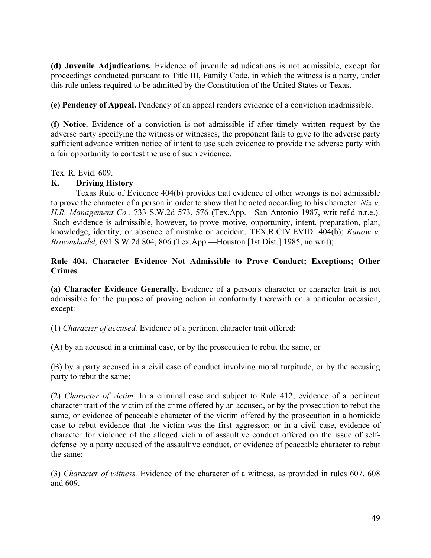**(d) Juvenile Adjudications.** Evidence of juvenile adjudications is not admissible, except for proceedings conducted pursuant to Title III, Family Code, in which the witness is a party, under this rule unless required to be admitted by the Constitution of the United States or Texas.

**(e) Pendency of Appeal.** Pendency of an appeal renders evidence of a conviction inadmissible.

**(f) Notice.** Evidence of a conviction is not admissible if after timely written request by the adverse party specifying the witness or witnesses, the proponent fails to give to the adverse party sufficient advance written notice of intent to use such evidence to provide the adverse party with a fair opportunity to contest the use of such evidence.

Tex. R. Evid. 609.

## **K. Driving History**

Texas Rule of Evidence 404(b) provides that evidence of other wrongs is not admissible to prove the character of a person in order to show that he acted according to his character. *Nix v. H.R. Management Co.,* 733 S.W.2d 573, 576 (Tex.App.—San Antonio 1987, writ ref'd n.r.e.). Such evidence is admissible, however, to prove motive, opportunity, intent, preparation, plan, knowledge, identity, or absence of mistake or accident. TEX.R.CIV.EVID. 404(b); *Kanow v. Brownshadel,* 691 S.W.2d 804, 806 (Tex.App.—Houston [1st Dist.] 1985, no writ);

### **Rule 404. Character Evidence Not Admissible to Prove Conduct; Exceptions; Other Crimes**

**(a) Character Evidence Generally.** Evidence of a person's character or character trait is not admissible for the purpose of proving action in conformity therewith on a particular occasion, except:

(1) *Character of accused.* Evidence of a pertinent character trait offered:

(A) by an accused in a criminal case, or by the prosecution to rebut the same, or

(B) by a party accused in a civil case of conduct involving moral turpitude, or by the accusing party to rebut the same;

(2) *Character of victim.* In a criminal case and subject to Rule 412, evidence of a pertinent character trait of the victim of the crime offered by an accused, or by the prosecution to rebut the same, or evidence of peaceable character of the victim offered by the prosecution in a homicide case to rebut evidence that the victim was the first aggressor; or in a civil case, evidence of character for violence of the alleged victim of assaultive conduct offered on the issue of selfdefense by a party accused of the assaultive conduct, or evidence of peaceable character to rebut the same;

(3) *Character of witness.* Evidence of the character of a witness, as provided in rules 607, 608 and 609.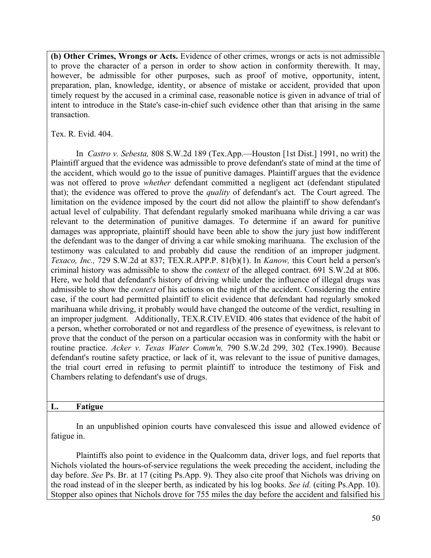**(b) Other Crimes, Wrongs or Acts.** Evidence of other crimes, wrongs or acts is not admissible to prove the character of a person in order to show action in conformity therewith. It may, however, be admissible for other purposes, such as proof of motive, opportunity, intent, preparation, plan, knowledge, identity, or absence of mistake or accident, provided that upon timely request by the accused in a criminal case, reasonable notice is given in advance of trial of intent to introduce in the State's case-in-chief such evidence other than that arising in the same transaction.

Tex. R. Evid. 404.

In *Castro v. Sebesta,* 808 S.W.2d 189 (Tex.App.—Houston [1st Dist.] 1991, no writ) the Plaintiff argued that the evidence was admissible to prove defendant's state of mind at the time of the accident, which would go to the issue of punitive damages. Plaintiff argues that the evidence was not offered to prove *whether* defendant committed a negligent act (defendant stipulated that); the evidence was offered to prove the *quality* of defendant's act. The Court agreed. The limitation on the evidence imposed by the court did not allow the plaintiff to show defendant's actual level of culpability. That defendant regularly smoked marihuana while driving a car was relevant to the determination of punitive damages. To determine if an award for punitive damages was appropriate, plaintiff should have been able to show the jury just how indifferent the defendant was to the danger of driving a car while smoking marihuana. The exclusion of the testimony was calculated to and probably did cause the rendition of an improper judgment. *Texaco, Inc.,* 729 S.W.2d at 837; TEX.R.APP.P. 81(b)(1). In *Kanow,* this Court held a person's criminal history was admissible to show the *context* of the alleged contract. 691 S.W.2d at 806. Here, we hold that defendant's history of driving while under the influence of illegal drugs was admissible to show the *context* of his actions on the night of the accident. Considering the entire case, if the court had permitted plaintiff to elicit evidence that defendant had regularly smoked marihuana while driving, it probably would have changed the outcome of the verdict, resulting in an improper judgment. Additionally, TEX.R.CIV.EVID. 406 states that evidence of the habit of a person, whether corroborated or not and regardless of the presence of eyewitness, is relevant to prove that the conduct of the person on a particular occasion was in conformity with the habit or routine practice. *Acker v. Texas Water Comm'n,* 790 S.W.2d 299, 302 (Tex.1990). Because defendant's routine safety practice, or lack of it, was relevant to the issue of punitive damages, the trial court erred in refusing to permit plaintiff to introduce the testimony of Fisk and Chambers relating to defendant's use of drugs.

## **L. Fatigue**

In an unpublished opinion courts have convalesced this issue and allowed evidence of fatigue in.

Plaintiffs also point to evidence in the Qualcomm data, driver logs, and fuel reports that Nichols violated the hours-of-service regulations the week preceding the accident, including the day before. *See* Ps. Br. at 17 (citing Ps.App. 9). They also cite proof that Nichols was driving on the road instead of in the sleeper berth, as indicated by his log books. *See id.* (citing Ps.App. 10). Stopper also opines that Nichols drove for 755 miles the day before the accident and falsified his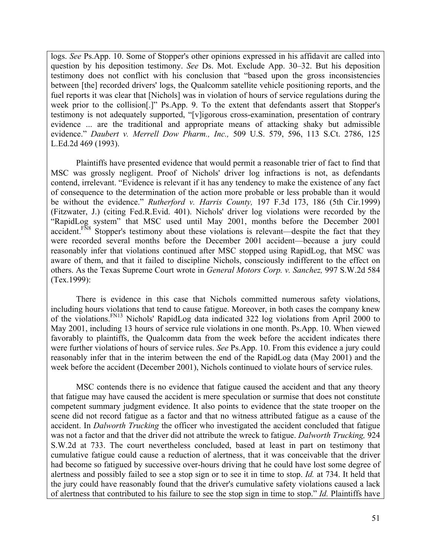logs. *See* Ps.App. 10. Some of Stopper's other opinions expressed in his affidavit are called into question by his deposition testimony. *See* Ds. Mot. Exclude App. 30–32. But his deposition testimony does not conflict with his conclusion that "based upon the gross inconsistencies between [the] recorded drivers' logs, the Qualcomm satellite vehicle positioning reports, and the fuel reports it was clear that [Nichols] was in violation of hours of service regulations during the week prior to the collision[.]" Ps.App. 9. To the extent that defendants assert that Stopper's testimony is not adequately supported, "[v]igorous cross-examination, presentation of contrary evidence ... are the traditional and appropriate means of attacking shaky but admissible evidence." *Daubert v. Merrell Dow Pharm., Inc.,* 509 U.S. 579, 596, 113 S.Ct. 2786, 125 L.Ed.2d 469 (1993).

Plaintiffs have presented evidence that would permit a reasonable trier of fact to find that MSC was grossly negligent. Proof of Nichols' driver log infractions is not, as defendants contend, irrelevant. "Evidence is relevant if it has any tendency to make the existence of any fact of consequence to the determination of the action more probable or less probable than it would be without the evidence." *Rutherford v. Harris County,* 197 F.3d 173, 186 (5th Cir.1999) (Fitzwater, J.) (citing Fed.R.Evid. 401). Nichols' driver log violations were recorded by the "RapidLog system" that MSC used until May 2001, months before the December 2001 accident.<sup>FN8</sup> Stopper's testimony about these violations is relevant—despite the fact that they were recorded several months before the December 2001 accident—because a jury could reasonably infer that violations continued after MSC stopped using RapidLog, that MSC was aware of them, and that it failed to discipline Nichols, consciously indifferent to the effect on others. As the Texas Supreme Court wrote in *General Motors Corp. v. Sanchez,* 997 S.W.2d 584 (Tex.1999):

There is evidence in this case that Nichols committed numerous safety violations, including hours violations that tend to cause fatigue. Moreover, in both cases the company knew of the violations. FN13 Nichols' RapidLog data indicated 322 log violations from April 2000 to May 2001, including 13 hours of service rule violations in one month. Ps.App. 10. When viewed favorably to plaintiffs, the Qualcomm data from the week before the accident indicates there were further violations of hours of service rules. *See* Ps.App. 10. From this evidence a jury could reasonably infer that in the interim between the end of the RapidLog data (May 2001) and the week before the accident (December 2001), Nichols continued to violate hours of service rules.

MSC contends there is no evidence that fatigue caused the accident and that any theory that fatigue may have caused the accident is mere speculation or surmise that does not constitute competent summary judgment evidence. It also points to evidence that the state trooper on the scene did not record fatigue as a factor and that no witness attributed fatigue as a cause of the accident. In *Dalworth Trucking* the officer who investigated the accident concluded that fatigue was not a factor and that the driver did not attribute the wreck to fatigue. *Dalworth Trucking,* 924 S.W.2d at 733. The court nevertheless concluded, based at least in part on testimony that cumulative fatigue could cause a reduction of alertness, that it was conceivable that the driver had become so fatigued by successive over-hours driving that he could have lost some degree of alertness and possibly failed to see a stop sign or to see it in time to stop. *Id.* at 734. It held that the jury could have reasonably found that the driver's cumulative safety violations caused a lack of alertness that contributed to his failure to see the stop sign in time to stop." *Id.* Plaintiffs have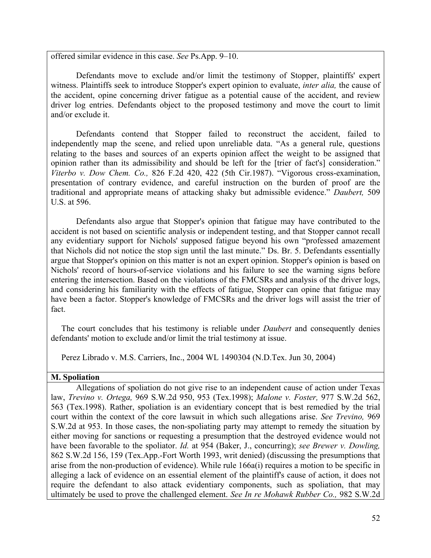offered similar evidence in this case. *See* Ps.App. 9–10.

Defendants move to exclude and/or limit the testimony of Stopper, plaintiffs' expert witness. Plaintiffs seek to introduce Stopper's expert opinion to evaluate, *inter alia,* the cause of the accident, opine concerning driver fatigue as a potential cause of the accident, and review driver log entries. Defendants object to the proposed testimony and move the court to limit and/or exclude it.

Defendants contend that Stopper failed to reconstruct the accident, failed to independently map the scene, and relied upon unreliable data. "As a general rule, questions relating to the bases and sources of an experts opinion affect the weight to be assigned that opinion rather than its admissibility and should be left for the [trier of fact's] consideration." *Viterbo v. Dow Chem. Co.,* 826 F.2d 420, 422 (5th Cir.1987). "Vigorous cross-examination, presentation of contrary evidence, and careful instruction on the burden of proof are the traditional and appropriate means of attacking shaky but admissible evidence." *Daubert,* 509 U.S. at 596.

Defendants also argue that Stopper's opinion that fatigue may have contributed to the accident is not based on scientific analysis or independent testing, and that Stopper cannot recall any evidentiary support for Nichols' supposed fatigue beyond his own "professed amazement that Nichols did not notice the stop sign until the last minute." Ds. Br. 5. Defendants essentially argue that Stopper's opinion on this matter is not an expert opinion. Stopper's opinion is based on Nichols' record of hours-of-service violations and his failure to see the warning signs before entering the intersection. Based on the violations of the FMCSRs and analysis of the driver logs, and considering his familiarity with the effects of fatigue, Stopper can opine that fatigue may have been a factor. Stopper's knowledge of FMCSRs and the driver logs will assist the trier of fact.

The court concludes that his testimony is reliable under *Daubert* and consequently denies defendants' motion to exclude and/or limit the trial testimony at issue.

Perez Librado v. M.S. Carriers, Inc., 2004 WL 1490304 (N.D.Tex. Jun 30, 2004)

### **M. Spoliation**

Allegations of spoliation do not give rise to an independent cause of action under Texas law, *Trevino v. Ortega,* 969 S.W.2d 950, 953 (Tex.1998); *Malone v. Foster,* 977 S.W.2d 562, 563 (Tex.1998). Rather, spoliation is an evidentiary concept that is best remedied by the trial court within the context of the core lawsuit in which such allegations arise. *See Trevino,* 969 S.W.2d at 953. In those cases, the non-spoliating party may attempt to remedy the situation by either moving for sanctions or requesting a presumption that the destroyed evidence would not have been favorable to the spoliator. *Id.* at 954 (Baker, J., concurring); *see Brewer v. Dowling,* 862 S.W.2d 156, 159 (Tex.App.-Fort Worth 1993, writ denied) (discussing the presumptions that arise from the non-production of evidence). While rule 166a(i) requires a motion to be specific in alleging a lack of evidence on an essential element of the plaintiff's cause of action, it does not require the defendant to also attack evidentiary components, such as spoliation, that may ultimately be used to prove the challenged element. *See In re Mohawk Rubber Co.,* 982 S.W.2d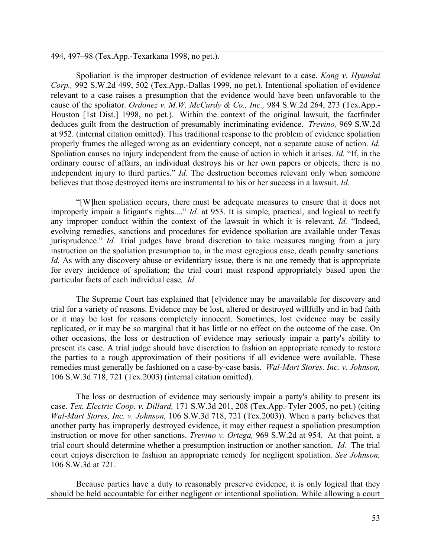494, 497–98 (Tex.App.-Texarkana 1998, no pet.).

Spoliation is the improper destruction of evidence relevant to a case. *Kang v. Hyundai Corp.,* 992 S.W.2d 499, 502 (Tex.App.-Dallas 1999, no pet.). Intentional spoliation of evidence relevant to a case raises a presumption that the evidence would have been unfavorable to the cause of the spoliator. *Ordonez v. M.W. McCurdy & Co., Inc.,* 984 S.W.2d 264, 273 (Tex.App.- Houston [1st Dist.] 1998, no pet.). Within the context of the original lawsuit, the factfinder deduces guilt from the destruction of presumably incriminating evidence. *Trevino,* 969 S.W.2d at 952. (internal citation omitted). This traditional response to the problem of evidence spoliation properly frames the alleged wrong as an evidentiary concept, not a separate cause of action. *Id.* Spoliation causes no injury independent from the cause of action in which it arises. *Id.* "If, in the ordinary course of affairs, an individual destroys his or her own papers or objects, there is no independent injury to third parties." *Id.* The destruction becomes relevant only when someone believes that those destroyed items are instrumental to his or her success in a lawsuit. *Id.*

"[W]hen spoliation occurs, there must be adequate measures to ensure that it does not improperly impair a litigant's rights...." *Id.* at 953. It is simple, practical, and logical to rectify any improper conduct within the context of the lawsuit in which it is relevant. *Id.* "Indeed, evolving remedies, sanctions and procedures for evidence spoliation are available under Texas jurisprudence." *Id.* Trial judges have broad discretion to take measures ranging from a jury instruction on the spoliation presumption to, in the most egregious case, death penalty sanctions. *Id.* As with any discovery abuse or evidentiary issue, there is no one remedy that is appropriate for every incidence of spoliation; the trial court must respond appropriately based upon the particular facts of each individual case*. Id.*

The Supreme Court has explained that [e]vidence may be unavailable for discovery and trial for a variety of reasons. Evidence may be lost, altered or destroyed willfully and in bad faith or it may be lost for reasons completely innocent. Sometimes, lost evidence may be easily replicated, or it may be so marginal that it has little or no effect on the outcome of the case. On other occasions, the loss or destruction of evidence may seriously impair a party's ability to present its case. A trial judge should have discretion to fashion an appropriate remedy to restore the parties to a rough approximation of their positions if all evidence were available. These remedies must generally be fashioned on a case-by-case basis. *Wal-Mart Stores, Inc. v. Johnson,* 106 S.W.3d 718, 721 (Tex.2003) (internal citation omitted).

The loss or destruction of evidence may seriously impair a party's ability to present its case. *Tex. Electric Coop. v. Dillard,* 171 S.W.3d 201, 208 (Tex.App.-Tyler 2005, no pet.) (citing *Wal-Mart Stores, Inc. v. Johnson,* 106 S.W.3d 718, 721 (Tex.2003)). When a party believes that another party has improperly destroyed evidence, it may either request a spoliation presumption instruction or move for other sanctions. *Trevino v. Ortega,* 969 S.W.2d at 954. At that point, a trial court should determine whether a presumption instruction or another sanction. *Id.* The trial court enjoys discretion to fashion an appropriate remedy for negligent spoliation. *See Johnson,* 106 S.W.3d at 721.

Because parties have a duty to reasonably preserve evidence, it is only logical that they should be held accountable for either negligent or intentional spoliation. While allowing a court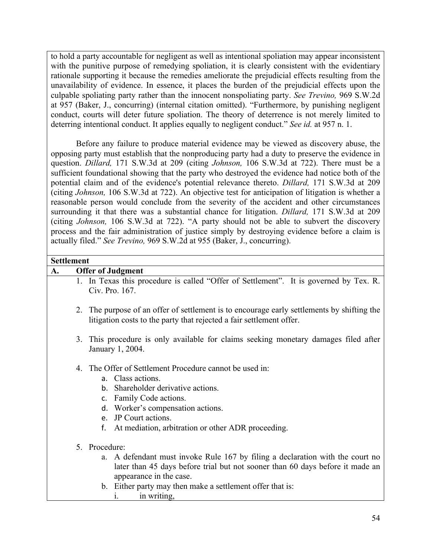to hold a party accountable for negligent as well as intentional spoliation may appear inconsistent with the punitive purpose of remedying spoliation, it is clearly consistent with the evidentiary rationale supporting it because the remedies ameliorate the prejudicial effects resulting from the unavailability of evidence. In essence, it places the burden of the prejudicial effects upon the culpable spoliating party rather than the innocent nonspoliating party. *See Trevino,* 969 S.W.2d at 957 (Baker, J., concurring) (internal citation omitted). "Furthermore, by punishing negligent conduct, courts will deter future spoliation. The theory of deterrence is not merely limited to deterring intentional conduct. It applies equally to negligent conduct." *See id.* at 957 n. 1.

Before any failure to produce material evidence may be viewed as discovery abuse, the opposing party must establish that the nonproducing party had a duty to preserve the evidence in question. *Dillard,* 171 S.W.3d at 209 (citing *Johnson,* 106 S.W.3d at 722). There must be a sufficient foundational showing that the party who destroyed the evidence had notice both of the potential claim and of the evidence's potential relevance thereto. *Dillard,* 171 S.W.3d at 209 (citing *Johnson,* 106 S.W.3d at 722). An objective test for anticipation of litigation is whether a reasonable person would conclude from the severity of the accident and other circumstances surrounding it that there was a substantial chance for litigation. *Dillard,* 171 S.W.3d at 209 (citing *Johnson,* 106 S.W.3d at 722). "A party should not be able to subvert the discovery process and the fair administration of justice simply by destroying evidence before a claim is actually filed." *See Trevino,* 969 S.W.2d at 955 (Baker, J., concurring).

| <b>Settlement</b> |  |                                                                                                                                                                                                                                                                                                             |  |  |
|-------------------|--|-------------------------------------------------------------------------------------------------------------------------------------------------------------------------------------------------------------------------------------------------------------------------------------------------------------|--|--|
| A.                |  | <b>Offer of Judgment</b>                                                                                                                                                                                                                                                                                    |  |  |
|                   |  | 1. In Texas this procedure is called "Offer of Settlement". It is governed by Tex. R.<br>Civ. Pro. 167.                                                                                                                                                                                                     |  |  |
|                   |  | 2. The purpose of an offer of settlement is to encourage early settlements by shifting the<br>litigation costs to the party that rejected a fair settlement offer.                                                                                                                                          |  |  |
|                   |  | 3. This procedure is only available for claims seeking monetary damages filed after<br>January 1, 2004.                                                                                                                                                                                                     |  |  |
|                   |  | 4. The Offer of Settlement Procedure cannot be used in:<br>a. Class actions.<br>b. Shareholder derivative actions.<br>c. Family Code actions.<br>d. Worker's compensation actions.<br>e. JP Court actions.<br>At mediation, arbitration or other ADR proceeding.<br>f.                                      |  |  |
|                   |  | 5. Procedure:<br>A defendant must invoke Rule 167 by filing a declaration with the court no<br>a.<br>later than 45 days before trial but not sooner than 60 days before it made an<br>appearance in the case.<br>b. Either party may then make a settlement offer that is:<br>in writing,<br>$\mathbf{1}$ . |  |  |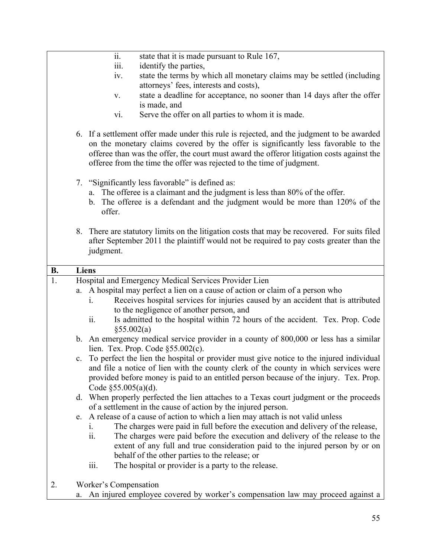| -11. | state that it is made pursuant to Rule 167, |
|------|---------------------------------------------|
|------|---------------------------------------------|

- iii. identify the parties,
- iv. state the terms by which all monetary claims may be settled (including attorneys' fees, interests and costs),
- v. state a deadline for acceptance, no sooner than 14 days after the offer is made, and
- vi. Serve the offer on all parties to whom it is made.
- 6. If a settlement offer made under this rule is rejected, and the judgment to be awarded on the monetary claims covered by the offer is significantly less favorable to the offeree than was the offer, the court must award the offeror litigation costs against the offeree from the time the offer was rejected to the time of judgment.
- 7. "Significantly less favorable" is defined as:
	- a. The offeree is a claimant and the judgment is less than 80% of the offer.
	- b. The offeree is a defendant and the judgment would be more than 120% of the offer.
- 8. There are statutory limits on the litigation costs that may be recovered. For suits filed after September 2011 the plaintiff would not be required to pay costs greater than the judgment.

| <b>B.</b> | Liens                                                                                                       |
|-----------|-------------------------------------------------------------------------------------------------------------|
| 1.        | Hospital and Emergency Medical Services Provider Lien                                                       |
|           | a. A hospital may perfect a lien on a cause of action or claim of a person who                              |
|           | Receives hospital services for injuries caused by an accident that is attributed<br>1.                      |
|           | to the negligence of another person, and                                                                    |
|           | ii.<br>Is admitted to the hospital within 72 hours of the accident. Tex. Prop. Code                         |
|           | §55.002(a)                                                                                                  |
|           | b. An emergency medical service provider in a county of 800,000 or less has a similar                       |
|           | lien. Tex. Prop. Code $§55.002(c)$ .                                                                        |
|           | c. To perfect the lien the hospital or provider must give notice to the injured individual                  |
|           | and file a notice of lien with the county clerk of the county in which services were                        |
|           | provided before money is paid to an entitled person because of the injury. Tex. Prop.                       |
|           | Code $$55.005(a)(d)$ .                                                                                      |
|           | d. When properly perfected the lien attaches to a Texas court judgment or the proceeds                      |
|           | of a settlement in the cause of action by the injured person.                                               |
|           | e. A release of a cause of action to which a lien may attach is not valid unless                            |
|           | The charges were paid in full before the execution and delivery of the release,<br>$\mathbf{1}$ .           |
|           | The charges were paid before the execution and delivery of the release to the<br>$\overline{\mathbf{11}}$ . |
|           | extent of any full and true consideration paid to the injured person by or on                               |
|           | behalf of the other parties to the release; or                                                              |
|           | The hospital or provider is a party to the release.<br>iii.                                                 |
|           | Worker's Compensation                                                                                       |

a. An injured employee covered by worker's compensation law may proceed against a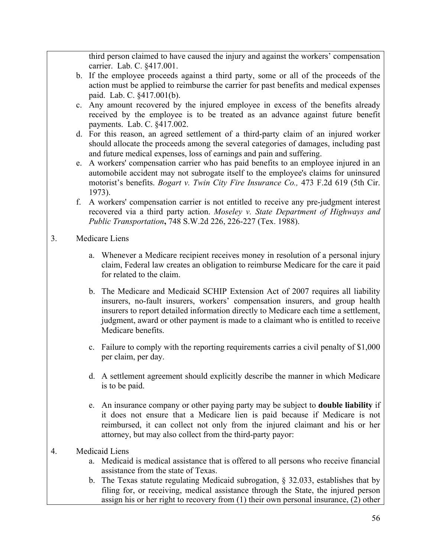third person claimed to have caused the injury and against the workers' compensation carrier. Lab. C. §417.001.

- b. If the employee proceeds against a third party, some or all of the proceeds of the action must be applied to reimburse the carrier for past benefits and medical expenses paid. Lab. C. §417.001(b).
- c. Any amount recovered by the injured employee in excess of the benefits already received by the employee is to be treated as an advance against future benefit payments. Lab. C. §417.002.
- d. For this reason, an agreed settlement of a third-party claim of an injured worker should allocate the proceeds among the several categories of damages, including past and future medical expenses, loss of earnings and pain and suffering.
- e. A workers' compensation carrier who has paid benefits to an employee injured in an automobile accident may not subrogate itself to the employee's claims for uninsured motorist's benefits. *Bogart v. Twin City Fire Insurance Co.,* 473 F.2d 619 (5th Cir. 1973).
- f. A workers' compensation carrier is not entitled to receive any pre-judgment interest recovered via a third party action. *Moseley v. State Department of Highways and Public Transportation***,** 748 S.W.2d 226, 226-227 (Tex. 1988).
- 3. Medicare Liens
	- a. Whenever a Medicare recipient receives money in resolution of a personal injury claim, Federal law creates an obligation to reimburse Medicare for the care it paid for related to the claim.
	- b. The Medicare and Medicaid SCHIP Extension Act of 2007 requires all liability insurers, no-fault insurers, workers' compensation insurers, and group health insurers to report detailed information directly to Medicare each time a settlement, judgment, award or other payment is made to a claimant who is entitled to receive Medicare benefits.
	- c. Failure to comply with the reporting requirements carries a civil penalty of \$1,000 per claim, per day.
	- d. A settlement agreement should explicitly describe the manner in which Medicare is to be paid.
	- e. An insurance company or other paying party may be subject to **double liability** if it does not ensure that a Medicare lien is paid because if Medicare is not reimbursed, it can collect not only from the injured claimant and his or her attorney, but may also collect from the third-party payor:
- 4. Medicaid Liens
	- a. Medicaid is medical assistance that is offered to all persons who receive financial assistance from the state of Texas.
	- b. The Texas statute regulating Medicaid subrogation, § 32.033, establishes that by filing for, or receiving, medical assistance through the State, the injured person assign his or her right to recovery from (1) their own personal insurance, (2) other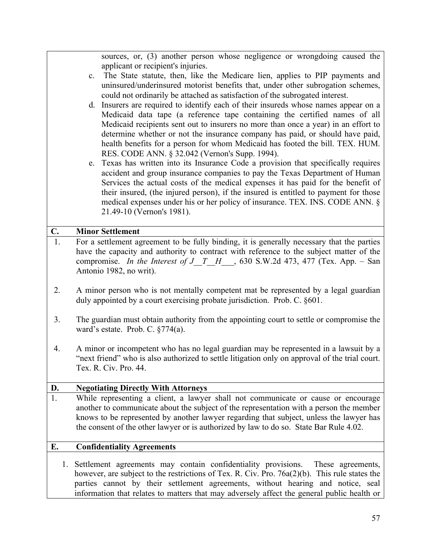sources, or, (3) another person whose negligence or wrongdoing caused the applicant or recipient's injuries.

- c. The State statute, then, like the Medicare lien, applies to PIP payments and uninsured/underinsured motorist benefits that, under other subrogation schemes, could not ordinarily be attached as satisfaction of the subrogated interest.
- d. Insurers are required to identify each of their insureds whose names appear on a Medicaid data tape (a reference tape containing the certified names of all Medicaid recipients sent out to insurers no more than once a year) in an effort to determine whether or not the insurance company has paid, or should have paid, health benefits for a person for whom Medicaid has footed the bill. TEX. HUM. RES. CODE ANN. § 32.042 (Vernon's Supp. 1994).
- e. Texas has written into its Insurance Code a provision that specifically requires accident and group insurance companies to pay the Texas Department of Human Services the actual costs of the medical expenses it has paid for the benefit of their insured, (the injured person), if the insured is entitled to payment for those medical expenses under his or her policy of insurance. TEX. INS. CODE ANN. § 21.49-10 (Vernon's 1981).

### **C. Minor Settlement**

- 1. For a settlement agreement to be fully binding, it is generally necessary that the parties have the capacity and authority to contract with reference to the subject matter of the compromise. *In the Interest of J\_T\_H\_\_*, 630 S.W.2d 473, 477 (Tex. App. – San Antonio 1982, no writ).
- 2. A minor person who is not mentally competent mat be represented by a legal guardian duly appointed by a court exercising probate jurisdiction. Prob. C. §601.
- 3. The guardian must obtain authority from the appointing court to settle or compromise the ward's estate. Prob. C. §774(a).
- 4. A minor or incompetent who has no legal guardian may be represented in a lawsuit by a "next friend" who is also authorized to settle litigation only on approval of the trial court. Tex. R. Civ. Pro. 44.

### **D. Negotiating Directly With Attorneys**

1. While representing a client, a lawyer shall not communicate or cause or encourage another to communicate about the subject of the representation with a person the member knows to be represented by another lawyer regarding that subject, unless the lawyer has the consent of the other lawyer or is authorized by law to do so. State Bar Rule 4.02.

### **E. Confidentiality Agreements**

1. Settlement agreements may contain confidentiality provisions. These agreements, however, are subject to the restrictions of Tex. R. Civ. Pro. 76a(2)(b). This rule states the parties cannot by their settlement agreements, without hearing and notice, seal information that relates to matters that may adversely affect the general public health or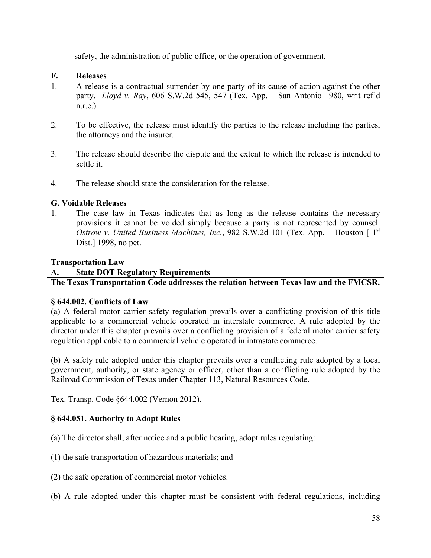safety, the administration of public office, or the operation of government.

|              | <b>Releases</b>                                                                                                                                                                                 |
|--------------|-------------------------------------------------------------------------------------------------------------------------------------------------------------------------------------------------|
| $\mathbf{1}$ | A release is a contractual surrender by one party of its cause of action against the other<br>party. Lloyd v. Ray, 606 S.W.2d 545, 547 (Tex. App. - San Antonio 1980, writ ref'd<br>$n.r.e.$ ). |

- 2. To be effective, the release must identify the parties to the release including the parties, the attorneys and the insurer.
- 3. The release should describe the dispute and the extent to which the release is intended to settle it.
- 4. The release should state the consideration for the release.

## **G. Voidable Releases**

1. The case law in Texas indicates that as long as the release contains the necessary provisions it cannot be voided simply because a party is not represented by counsel. *Ostrow v. United Business Machines, Inc.*, 982 S.W.2d 101 (Tex. App. – Houston  $[1]$ <sup>st</sup> Dist.] 1998, no pet.

## **Transportation Law**

## **A. State DOT Regulatory Requirements**

**The Texas Transportation Code addresses the relation between Texas law and the FMCSR.** 

## **§ 644.002. Conflicts of Law**

(a) A federal motor carrier safety regulation prevails over a conflicting provision of this title applicable to a commercial vehicle operated in interstate commerce. A rule adopted by the director under this chapter prevails over a conflicting provision of a federal motor carrier safety regulation applicable to a commercial vehicle operated in intrastate commerce.

(b) A safety rule adopted under this chapter prevails over a conflicting rule adopted by a local government, authority, or state agency or officer, other than a conflicting rule adopted by the Railroad Commission of Texas under Chapter 113, Natural Resources Code.

Tex. Transp. Code §644.002 (Vernon 2012).

## **§ 644.051. Authority to Adopt Rules**

(a) The director shall, after notice and a public hearing, adopt rules regulating:

(1) the safe transportation of hazardous materials; and

(2) the safe operation of commercial motor vehicles.

(b) A rule adopted under this chapter must be consistent with federal regulations, including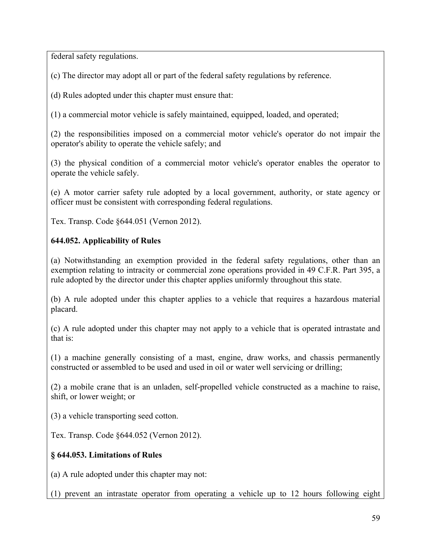federal safety regulations.

(c) The director may adopt all or part of the federal safety regulations by reference.

(d) Rules adopted under this chapter must ensure that:

(1) a commercial motor vehicle is safely maintained, equipped, loaded, and operated;

(2) the responsibilities imposed on a commercial motor vehicle's operator do not impair the operator's ability to operate the vehicle safely; and

(3) the physical condition of a commercial motor vehicle's operator enables the operator to operate the vehicle safely.

(e) A motor carrier safety rule adopted by a local government, authority, or state agency or officer must be consistent with corresponding federal regulations.

Tex. Transp. Code §644.051 (Vernon 2012).

## **644.052. Applicability of Rules**

(a) Notwithstanding an exemption provided in the federal safety regulations, other than an exemption relating to intracity or commercial zone operations provided in 49 C.F.R. Part 395, a rule adopted by the director under this chapter applies uniformly throughout this state.

(b) A rule adopted under this chapter applies to a vehicle that requires a hazardous material placard.

(c) A rule adopted under this chapter may not apply to a vehicle that is operated intrastate and that is:

(1) a machine generally consisting of a mast, engine, draw works, and chassis permanently constructed or assembled to be used and used in oil or water well servicing or drilling;

(2) a mobile crane that is an unladen, self-propelled vehicle constructed as a machine to raise, shift, or lower weight; or

(3) a vehicle transporting seed cotton.

Tex. Transp. Code §644.052 (Vernon 2012).

# **§ 644.053. Limitations of Rules**

(a) A rule adopted under this chapter may not:

(1) prevent an intrastate operator from operating a vehicle up to 12 hours following eight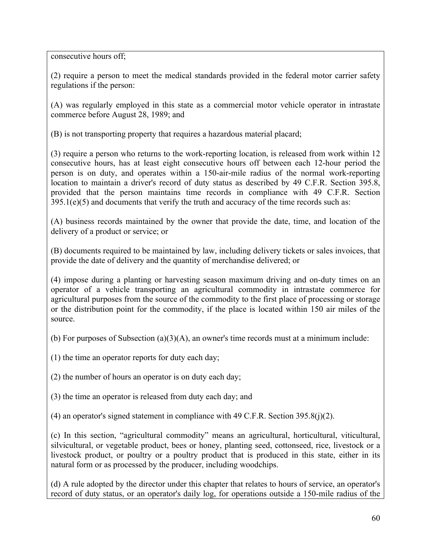consecutive hours off;

(2) require a person to meet the medical standards provided in the federal motor carrier safety regulations if the person:

(A) was regularly employed in this state as a commercial motor vehicle operator in intrastate commerce before August 28, 1989; and

(B) is not transporting property that requires a hazardous material placard;

(3) require a person who returns to the work-reporting location, is released from work within 12 consecutive hours, has at least eight consecutive hours off between each 12-hour period the person is on duty, and operates within a 150-air-mile radius of the normal work-reporting location to maintain a driver's record of duty status as described by 49 C.F.R. Section 395.8, provided that the person maintains time records in compliance with 49 C.F.R. Section  $395.1(e)(5)$  and documents that verify the truth and accuracy of the time records such as:

(A) business records maintained by the owner that provide the date, time, and location of the delivery of a product or service; or

(B) documents required to be maintained by law, including delivery tickets or sales invoices, that provide the date of delivery and the quantity of merchandise delivered; or

(4) impose during a planting or harvesting season maximum driving and on-duty times on an operator of a vehicle transporting an agricultural commodity in intrastate commerce for agricultural purposes from the source of the commodity to the first place of processing or storage or the distribution point for the commodity, if the place is located within 150 air miles of the source.

(b) For purposes of Subsection  $(a)(3)(A)$ , an owner's time records must at a minimum include:

(1) the time an operator reports for duty each day;

(2) the number of hours an operator is on duty each day;

(3) the time an operator is released from duty each day; and

(4) an operator's signed statement in compliance with 49 C.F.R. Section 395.8(j)(2).

(c) In this section, "agricultural commodity" means an agricultural, horticultural, viticultural, silvicultural, or vegetable product, bees or honey, planting seed, cottonseed, rice, livestock or a livestock product, or poultry or a poultry product that is produced in this state, either in its natural form or as processed by the producer, including woodchips.

(d) A rule adopted by the director under this chapter that relates to hours of service, an operator's record of duty status, or an operator's daily log, for operations outside a 150-mile radius of the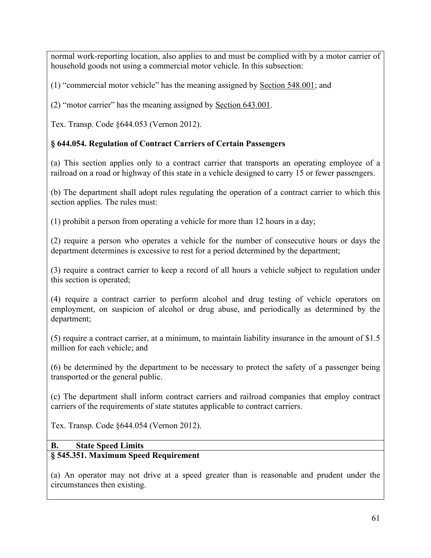normal work-reporting location, also applies to and must be complied with by a motor carrier of household goods not using a commercial motor vehicle. In this subsection:

(1) "commercial motor vehicle" has the meaning assigned by Section 548.001; and

(2) "motor carrier" has the meaning assigned by Section 643.001.

Tex. Transp. Code §644.053 (Vernon 2012).

## **§ 644.054. Regulation of Contract Carriers of Certain Passengers**

(a) This section applies only to a contract carrier that transports an operating employee of a railroad on a road or highway of this state in a vehicle designed to carry 15 or fewer passengers.

(b) The department shall adopt rules regulating the operation of a contract carrier to which this section applies. The rules must:

(1) prohibit a person from operating a vehicle for more than 12 hours in a day;

(2) require a person who operates a vehicle for the number of consecutive hours or days the department determines is excessive to rest for a period determined by the department;

(3) require a contract carrier to keep a record of all hours a vehicle subject to regulation under this section is operated;

(4) require a contract carrier to perform alcohol and drug testing of vehicle operators on employment, on suspicion of alcohol or drug abuse, and periodically as determined by the department;

(5) require a contract carrier, at a minimum, to maintain liability insurance in the amount of \$1.5 million for each vehicle; and

(6) be determined by the department to be necessary to protect the safety of a passenger being transported or the general public.

(c) The department shall inform contract carriers and railroad companies that employ contract carriers of the requirements of state statutes applicable to contract carriers.

Tex. Transp. Code §644.054 (Vernon 2012).

## **B. State Speed Limits**

## **§ 545.351. Maximum Speed Requirement**

(a) An operator may not drive at a speed greater than is reasonable and prudent under the circumstances then existing.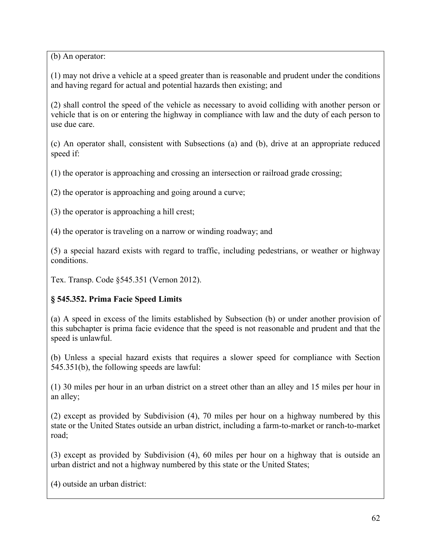(b) An operator:

(1) may not drive a vehicle at a speed greater than is reasonable and prudent under the conditions and having regard for actual and potential hazards then existing; and

(2) shall control the speed of the vehicle as necessary to avoid colliding with another person or vehicle that is on or entering the highway in compliance with law and the duty of each person to use due care.

(c) An operator shall, consistent with Subsections (a) and (b), drive at an appropriate reduced speed if:

(1) the operator is approaching and crossing an intersection or railroad grade crossing;

(2) the operator is approaching and going around a curve;

(3) the operator is approaching a hill crest;

(4) the operator is traveling on a narrow or winding roadway; and

(5) a special hazard exists with regard to traffic, including pedestrians, or weather or highway conditions.

Tex. Transp. Code §545.351 (Vernon 2012).

## **§ 545.352. Prima Facie Speed Limits**

(a) A speed in excess of the limits established by Subsection (b) or under another provision of this subchapter is prima facie evidence that the speed is not reasonable and prudent and that the speed is unlawful.

(b) Unless a special hazard exists that requires a slower speed for compliance with Section 545.351(b), the following speeds are lawful:

(1) 30 miles per hour in an urban district on a street other than an alley and 15 miles per hour in an alley;

(2) except as provided by Subdivision (4), 70 miles per hour on a highway numbered by this state or the United States outside an urban district, including a farm-to-market or ranch-to-market road;

(3) except as provided by Subdivision (4), 60 miles per hour on a highway that is outside an urban district and not a highway numbered by this state or the United States;

(4) outside an urban district: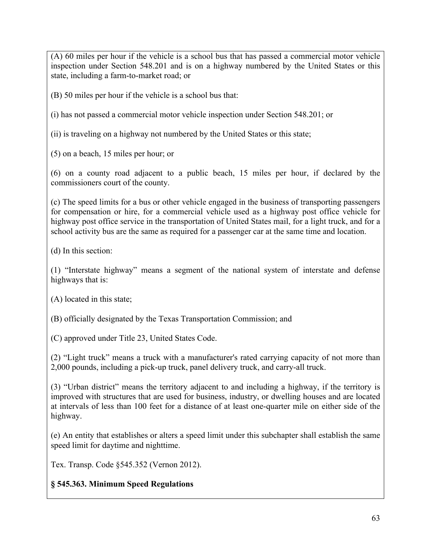(A) 60 miles per hour if the vehicle is a school bus that has passed a commercial motor vehicle inspection under Section 548.201 and is on a highway numbered by the United States or this state, including a farm-to-market road; or

(B) 50 miles per hour if the vehicle is a school bus that:

(i) has not passed a commercial motor vehicle inspection under Section 548.201; or

(ii) is traveling on a highway not numbered by the United States or this state;

(5) on a beach, 15 miles per hour; or

(6) on a county road adjacent to a public beach, 15 miles per hour, if declared by the commissioners court of the county.

(c) The speed limits for a bus or other vehicle engaged in the business of transporting passengers for compensation or hire, for a commercial vehicle used as a highway post office vehicle for highway post office service in the transportation of United States mail, for a light truck, and for a school activity bus are the same as required for a passenger car at the same time and location.

(d) In this section:

(1) "Interstate highway" means a segment of the national system of interstate and defense highways that is:

(A) located in this state;

(B) officially designated by the Texas Transportation Commission; and

(C) approved under Title 23, United States Code.

(2) "Light truck" means a truck with a manufacturer's rated carrying capacity of not more than 2,000 pounds, including a pick-up truck, panel delivery truck, and carry-all truck.

(3) "Urban district" means the territory adjacent to and including a highway, if the territory is improved with structures that are used for business, industry, or dwelling houses and are located at intervals of less than 100 feet for a distance of at least one-quarter mile on either side of the highway.

(e) An entity that establishes or alters a speed limit under this subchapter shall establish the same speed limit for daytime and nighttime.

Tex. Transp. Code §545.352 (Vernon 2012).

**§ 545.363. Minimum Speed Regulations**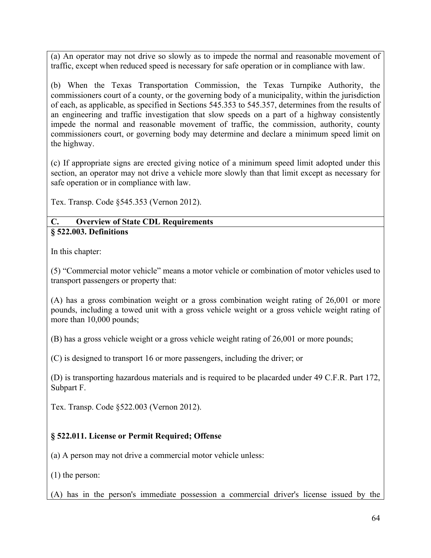(a) An operator may not drive so slowly as to impede the normal and reasonable movement of traffic, except when reduced speed is necessary for safe operation or in compliance with law.

(b) When the Texas Transportation Commission, the Texas Turnpike Authority, the commissioners court of a county, or the governing body of a municipality, within the jurisdiction of each, as applicable, as specified in Sections 545.353 to 545.357, determines from the results of an engineering and traffic investigation that slow speeds on a part of a highway consistently impede the normal and reasonable movement of traffic, the commission, authority, county commissioners court, or governing body may determine and declare a minimum speed limit on the highway.

(c) If appropriate signs are erected giving notice of a minimum speed limit adopted under this section, an operator may not drive a vehicle more slowly than that limit except as necessary for safe operation or in compliance with law.

Tex. Transp. Code §545.353 (Vernon 2012).

#### **C. Overview of State CDL Requirements § 522.003. Definitions**

In this chapter:

(5) "Commercial motor vehicle" means a motor vehicle or combination of motor vehicles used to transport passengers or property that:

(A) has a gross combination weight or a gross combination weight rating of 26,001 or more pounds, including a towed unit with a gross vehicle weight or a gross vehicle weight rating of more than 10,000 pounds;

(B) has a gross vehicle weight or a gross vehicle weight rating of 26,001 or more pounds;

(C) is designed to transport 16 or more passengers, including the driver; or

(D) is transporting hazardous materials and is required to be placarded under 49 C.F.R. Part 172, Subpart F.

Tex. Transp. Code §522.003 (Vernon 2012).

# **§ 522.011. License or Permit Required; Offense**

(a) A person may not drive a commercial motor vehicle unless:

(1) the person:

(A) has in the person's immediate possession a commercial driver's license issued by the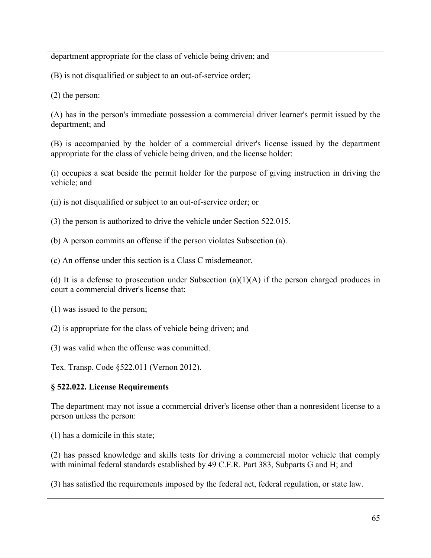department appropriate for the class of vehicle being driven; and

(B) is not disqualified or subject to an out-of-service order;

(2) the person:

(A) has in the person's immediate possession a commercial driver learner's permit issued by the department; and

(B) is accompanied by the holder of a commercial driver's license issued by the department appropriate for the class of vehicle being driven, and the license holder:

(i) occupies a seat beside the permit holder for the purpose of giving instruction in driving the vehicle; and

(ii) is not disqualified or subject to an out-of-service order; or

(3) the person is authorized to drive the vehicle under Section 522.015.

(b) A person commits an offense if the person violates Subsection (a).

(c) An offense under this section is a Class C misdemeanor.

(d) It is a defense to prosecution under Subsection (a)(1)(A) if the person charged produces in court a commercial driver's license that:

(1) was issued to the person;

(2) is appropriate for the class of vehicle being driven; and

(3) was valid when the offense was committed.

Tex. Transp. Code §522.011 (Vernon 2012).

## **§ 522.022. License Requirements**

The department may not issue a commercial driver's license other than a nonresident license to a person unless the person:

(1) has a domicile in this state;

(2) has passed knowledge and skills tests for driving a commercial motor vehicle that comply with minimal federal standards established by 49 C.F.R. Part 383, Subparts G and H; and

(3) has satisfied the requirements imposed by the federal act, federal regulation, or state law.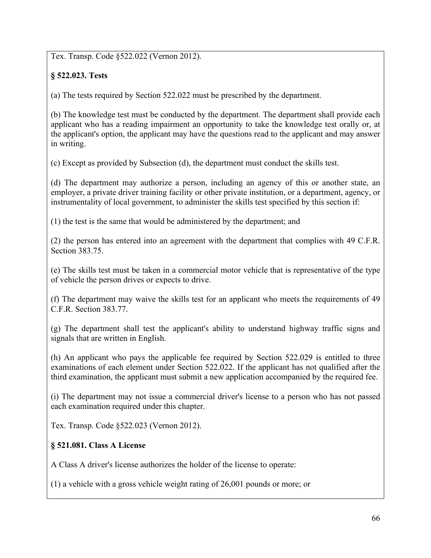Tex. Transp. Code §522.022 (Vernon 2012).

# **§ 522.023. Tests**

(a) The tests required by Section 522.022 must be prescribed by the department.

(b) The knowledge test must be conducted by the department. The department shall provide each applicant who has a reading impairment an opportunity to take the knowledge test orally or, at the applicant's option, the applicant may have the questions read to the applicant and may answer in writing.

(c) Except as provided by Subsection (d), the department must conduct the skills test.

(d) The department may authorize a person, including an agency of this or another state, an employer, a private driver training facility or other private institution, or a department, agency, or instrumentality of local government, to administer the skills test specified by this section if:

(1) the test is the same that would be administered by the department; and

(2) the person has entered into an agreement with the department that complies with 49 C.F.R. Section 383.75.

(e) The skills test must be taken in a commercial motor vehicle that is representative of the type of vehicle the person drives or expects to drive.

(f) The department may waive the skills test for an applicant who meets the requirements of 49 C.F.R. Section 383.77.

(g) The department shall test the applicant's ability to understand highway traffic signs and signals that are written in English.

(h) An applicant who pays the applicable fee required by Section 522.029 is entitled to three examinations of each element under Section 522.022. If the applicant has not qualified after the third examination, the applicant must submit a new application accompanied by the required fee.

(i) The department may not issue a commercial driver's license to a person who has not passed each examination required under this chapter.

Tex. Transp. Code §522.023 (Vernon 2012).

# **§ 521.081. Class A License**

A Class A driver's license authorizes the holder of the license to operate:

(1) a vehicle with a gross vehicle weight rating of 26,001 pounds or more; or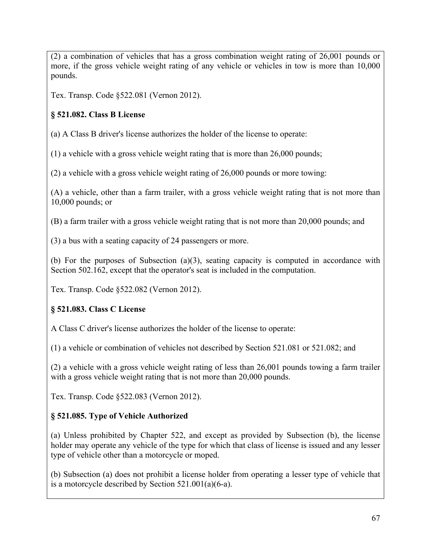(2) a combination of vehicles that has a gross combination weight rating of 26,001 pounds or more, if the gross vehicle weight rating of any vehicle or vehicles in tow is more than 10,000 pounds.

Tex. Transp. Code §522.081 (Vernon 2012).

# **§ 521.082. Class B License**

(a) A Class B driver's license authorizes the holder of the license to operate:

(1) a vehicle with a gross vehicle weight rating that is more than 26,000 pounds;

(2) a vehicle with a gross vehicle weight rating of 26,000 pounds or more towing:

(A) a vehicle, other than a farm trailer, with a gross vehicle weight rating that is not more than 10,000 pounds; or

(B) a farm trailer with a gross vehicle weight rating that is not more than 20,000 pounds; and

(3) a bus with a seating capacity of 24 passengers or more.

(b) For the purposes of Subsection (a)(3), seating capacity is computed in accordance with Section 502.162, except that the operator's seat is included in the computation.

Tex. Transp. Code §522.082 (Vernon 2012).

# **§ 521.083. Class C License**

A Class C driver's license authorizes the holder of the license to operate:

(1) a vehicle or combination of vehicles not described by Section 521.081 or 521.082; and

(2) a vehicle with a gross vehicle weight rating of less than 26,001 pounds towing a farm trailer with a gross vehicle weight rating that is not more than 20,000 pounds.

Tex. Transp. Code §522.083 (Vernon 2012).

# **§ 521.085. Type of Vehicle Authorized**

(a) Unless prohibited by Chapter 522, and except as provided by Subsection (b), the license holder may operate any vehicle of the type for which that class of license is issued and any lesser type of vehicle other than a motorcycle or moped.

(b) Subsection (a) does not prohibit a license holder from operating a lesser type of vehicle that is a motorcycle described by Section 521.001(a)(6-a).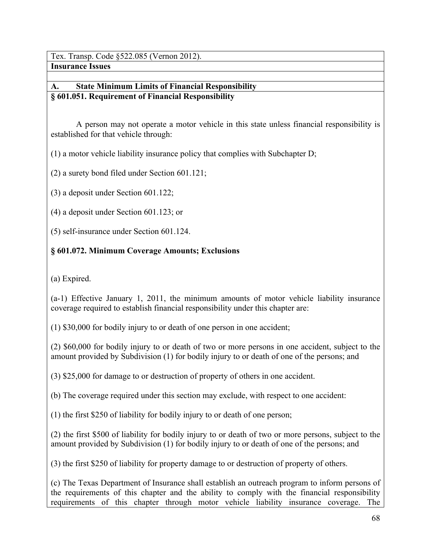Tex. Transp. Code §522.085 (Vernon 2012). **Insurance Issues**

## **A. State Minimum Limits of Financial Responsibility § 601.051. Requirement of Financial Responsibility**

A person may not operate a motor vehicle in this state unless financial responsibility is established for that vehicle through:

(1) a motor vehicle liability insurance policy that complies with Subchapter D;

(2) a surety bond filed under Section 601.121;

(3) a deposit under Section 601.122;

(4) a deposit under Section 601.123; or

(5) self-insurance under Section 601.124.

# **§ 601.072. Minimum Coverage Amounts; Exclusions**

(a) Expired.

(a-1) Effective January 1, 2011, the minimum amounts of motor vehicle liability insurance coverage required to establish financial responsibility under this chapter are:

(1) \$30,000 for bodily injury to or death of one person in one accident;

(2) \$60,000 for bodily injury to or death of two or more persons in one accident, subject to the amount provided by Subdivision (1) for bodily injury to or death of one of the persons; and

(3) \$25,000 for damage to or destruction of property of others in one accident.

(b) The coverage required under this section may exclude, with respect to one accident:

(1) the first \$250 of liability for bodily injury to or death of one person;

(2) the first \$500 of liability for bodily injury to or death of two or more persons, subject to the amount provided by Subdivision (1) for bodily injury to or death of one of the persons; and

(3) the first \$250 of liability for property damage to or destruction of property of others.

(c) The Texas Department of Insurance shall establish an outreach program to inform persons of the requirements of this chapter and the ability to comply with the financial responsibility requirements of this chapter through motor vehicle liability insurance coverage. The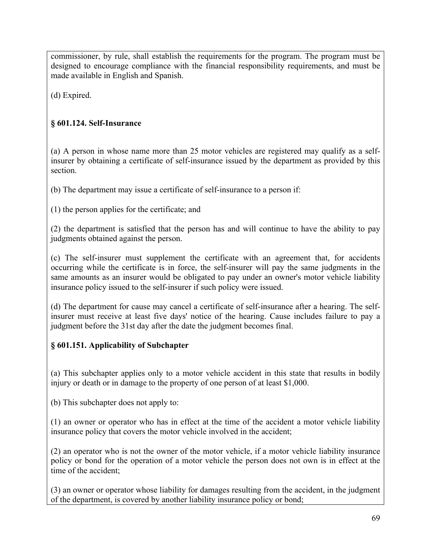commissioner, by rule, shall establish the requirements for the program. The program must be designed to encourage compliance with the financial responsibility requirements, and must be made available in English and Spanish.

(d) Expired.

# **§ 601.124. Self-Insurance**

(a) A person in whose name more than 25 motor vehicles are registered may qualify as a selfinsurer by obtaining a certificate of self-insurance issued by the department as provided by this section.

(b) The department may issue a certificate of self-insurance to a person if:

(1) the person applies for the certificate; and

(2) the department is satisfied that the person has and will continue to have the ability to pay judgments obtained against the person.

(c) The self-insurer must supplement the certificate with an agreement that, for accidents occurring while the certificate is in force, the self-insurer will pay the same judgments in the same amounts as an insurer would be obligated to pay under an owner's motor vehicle liability insurance policy issued to the self-insurer if such policy were issued.

(d) The department for cause may cancel a certificate of self-insurance after a hearing. The selfinsurer must receive at least five days' notice of the hearing. Cause includes failure to pay a judgment before the 31st day after the date the judgment becomes final.

# **§ 601.151. Applicability of Subchapter**

(a) This subchapter applies only to a motor vehicle accident in this state that results in bodily injury or death or in damage to the property of one person of at least \$1,000.

(b) This subchapter does not apply to:

(1) an owner or operator who has in effect at the time of the accident a motor vehicle liability insurance policy that covers the motor vehicle involved in the accident;

(2) an operator who is not the owner of the motor vehicle, if a motor vehicle liability insurance policy or bond for the operation of a motor vehicle the person does not own is in effect at the time of the accident;

(3) an owner or operator whose liability for damages resulting from the accident, in the judgment of the department, is covered by another liability insurance policy or bond;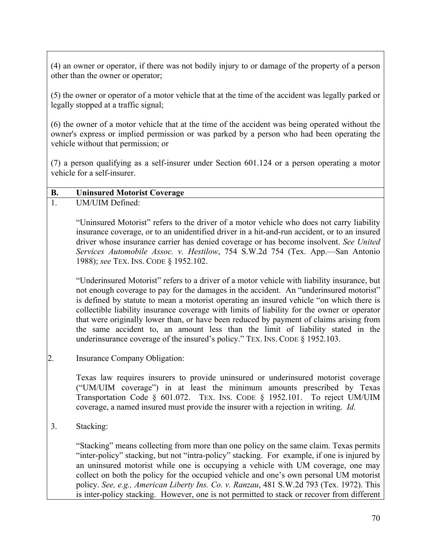(4) an owner or operator, if there was not bodily injury to or damage of the property of a person other than the owner or operator;

(5) the owner or operator of a motor vehicle that at the time of the accident was legally parked or legally stopped at a traffic signal;

(6) the owner of a motor vehicle that at the time of the accident was being operated without the owner's express or implied permission or was parked by a person who had been operating the vehicle without that permission; or

(7) a person qualifying as a self-insurer under Section 601.124 or a person operating a motor vehicle for a self-insurer.

### **B. Uninsured Motorist Coverage**

1. UM/UIM Defined:

"Uninsured Motorist" refers to the driver of a motor vehicle who does not carry liability insurance coverage, or to an unidentified driver in a hit-and-run accident, or to an insured driver whose insurance carrier has denied coverage or has become insolvent. *See United Services Automobile Assoc. v. Hestilow*, 754 S.W.2d 754 (Tex. App.—San Antonio 1988); *see* TEX. INS. CODE § 1952.102.

"Underinsured Motorist" refers to a driver of a motor vehicle with liability insurance, but not enough coverage to pay for the damages in the accident. An "underinsured motorist" is defined by statute to mean a motorist operating an insured vehicle "on which there is collectible liability insurance coverage with limits of liability for the owner or operator that were originally lower than, or have been reduced by payment of claims arising from the same accident to, an amount less than the limit of liability stated in the underinsurance coverage of the insured's policy." TEX. INS. CODE § 1952.103.

2. Insurance Company Obligation:

Texas law requires insurers to provide uninsured or underinsured motorist coverage ("UM/UIM coverage") in at least the minimum amounts prescribed by Texas Transportation Code § 601.072. TEX. INS. CODE § 1952.101. To reject UM/UIM coverage, a named insured must provide the insurer with a rejection in writing. *Id.*

3. Stacking:

"Stacking" means collecting from more than one policy on the same claim. Texas permits "inter-policy" stacking, but not "intra-policy" stacking. For example, if one is injured by an uninsured motorist while one is occupying a vehicle with UM coverage, one may collect on both the policy for the occupied vehicle and one's own personal UM motorist policy. *See, e.g., American Liberty Ins. Co. v. Ranzau*, 481 S.W.2d 793 (Tex. 1972). This is inter-policy stacking. However, one is not permitted to stack or recover from different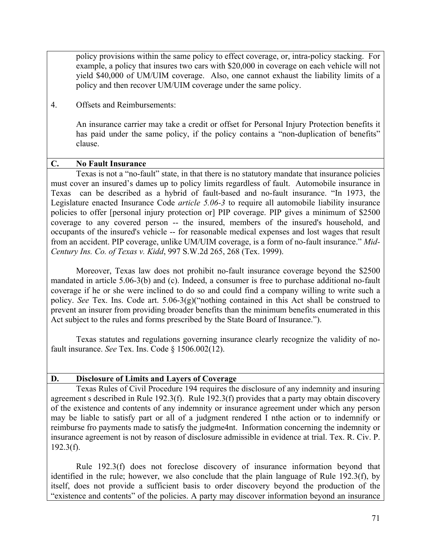policy provisions within the same policy to effect coverage, or, intra-policy stacking. For example, a policy that insures two cars with \$20,000 in coverage on each vehicle will not yield \$40,000 of UM/UIM coverage. Also, one cannot exhaust the liability limits of a policy and then recover UM/UIM coverage under the same policy.

4. Offsets and Reimbursements:

An insurance carrier may take a credit or offset for Personal Injury Protection benefits it has paid under the same policy, if the policy contains a "non-duplication of benefits" clause.

#### **C. No Fault Insurance**

Texas is not a "no-fault" state, in that there is no statutory mandate that insurance policies must cover an insured's dames up to policy limits regardless of fault. Automobile insurance in Texas can be described as a hybrid of fault-based and no-fault insurance. "In 1973, the Legislature enacted Insurance Code *article 5.06-3* to require all automobile liability insurance policies to offer [personal injury protection or] PIP coverage. PIP gives a minimum of \$2500 coverage to any covered person -- the insured, members of the insured's household, and occupants of the insured's vehicle -- for reasonable medical expenses and lost wages that result from an accident. PIP coverage, unlike UM/UIM coverage, is a form of no-fault insurance." *Mid-Century Ins. Co. of Texas v. Kidd*, 997 S.W.2d 265, 268 (Tex. 1999).

Moreover, Texas law does not prohibit no-fault insurance coverage beyond the \$2500 mandated in article 5.06-3(b) and (c). Indeed, a consumer is free to purchase additional no-fault coverage if he or she were inclined to do so and could find a company willing to write such a policy. *See* Tex. Ins. Code art. 5.06-3(g)("nothing contained in this Act shall be construed to prevent an insurer from providing broader benefits than the minimum benefits enumerated in this Act subject to the rules and forms prescribed by the State Board of Insurance.").

Texas statutes and regulations governing insurance clearly recognize the validity of nofault insurance. *See* Tex. Ins. Code § 1506.002(12).

#### **D. Disclosure of Limits and Layers of Coverage**

Texas Rules of Civil Procedure 194 requires the disclosure of any indemnity and insuring agreement s described in Rule 192.3(f). Rule 192.3(f) provides that a party may obtain discovery of the existence and contents of any indemnity or insurance agreement under which any person may be liable to satisfy part or all of a judgment rendered I nthe action or to indemnify or reimburse fro payments made to satisfy the judgme4nt. Information concerning the indemnity or insurance agreement is not by reason of disclosure admissible in evidence at trial. Tex. R. Civ. P.  $192.3(f)$ .

Rule 192.3(f) does not foreclose discovery of insurance information beyond that identified in the rule; however, we also conclude that the plain language of Rule 192.3(f), by itself, does not provide a sufficient basis to order discovery beyond the production of the "existence and contents" of the policies. A party may discover information beyond an insurance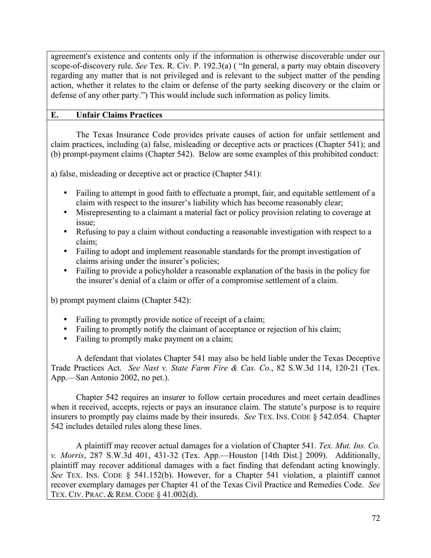agreement's existence and contents only if the information is otherwise discoverable under our scope-of-discovery rule. *See* Tex. R. Civ. P. 192.3(a) ( "In general, a party may obtain discovery regarding any matter that is not privileged and is relevant to the subject matter of the pending action, whether it relates to the claim or defense of the party seeking discovery or the claim or defense of any other party.") This would include such information as policy limits.

## **E. Unfair Claims Practices**

The Texas Insurance Code provides private causes of action for unfair settlement and claim practices, including (a) false, misleading or deceptive acts or practices (Chapter 541); and (b) prompt-payment claims (Chapter 542). Below are some examples of this prohibited conduct:

a) false, misleading or deceptive act or practice (Chapter 541):

- Failing to attempt in good faith to effectuate a prompt, fair, and equitable settlement of a claim with respect to the insurer's liability which has become reasonably clear;
- Misrepresenting to a claimant a material fact or policy provision relating to coverage at issue;
- Refusing to pay a claim without conducting a reasonable investigation with respect to a claim;
- Failing to adopt and implement reasonable standards for the prompt investigation of claims arising under the insurer's policies;
- Failing to provide a policyholder a reasonable explanation of the basis in the policy for the insurer's denial of a claim or offer of a compromise settlement of a claim.

b) prompt payment claims (Chapter 542):

- Failing to promptly provide notice of receipt of a claim;
- Failing to promptly notify the claimant of acceptance or rejection of his claim;
- Failing to promptly make payment on a claim;

A defendant that violates Chapter 541 may also be held liable under the Texas Deceptive Trade Practices Act. *See Nast v. State Farm Fire & Cas. Co.*, 82 S.W.3d 114, 120-21 (Tex. App.—San Antonio 2002, no pet.).

Chapter 542 requires an insurer to follow certain procedures and meet certain deadlines when it received, accepts, rejects or pays an insurance claim. The statute's purpose is to require insurers to promptly pay claims made by their insureds. *See* TEX. INS. CODE § 542.054. Chapter 542 includes detailed rules along these lines.

A plaintiff may recover actual damages for a violation of Chapter 541. *Tex. Mut. Ins. Co. v. Morris*, 287 S.W.3d 401, 431-32 (Tex. App.—Houston [14th Dist.] 2009). Additionally, plaintiff may recover additional damages with a fact finding that defendant acting knowingly. *See* TEX. INS. CODE § 541.152(b). However, for a Chapter 541 violation, a plaintiff cannot recover exemplary damages per Chapter 41 of the Texas Civil Practice and Remedies Code. *See* TEX. CIV. PRAC. & REM. CODE § 41.002(d).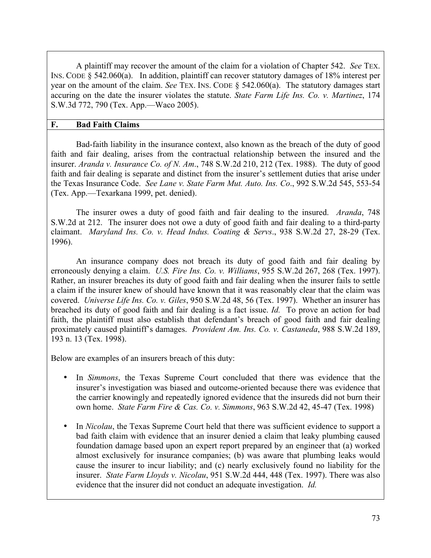A plaintiff may recover the amount of the claim for a violation of Chapter 542. *See* TEX. INS. CODE § 542.060(a). In addition, plaintiff can recover statutory damages of 18% interest per year on the amount of the claim. *See* TEX. INS. CODE § 542.060(a). The statutory damages start accuring on the date the insurer violates the statute. *State Farm Life Ins. Co. v. Martinez*, 174 S.W.3d 772, 790 (Tex. App.—Waco 2005).

#### **F. Bad Faith Claims**

Bad-faith liability in the insurance context, also known as the breach of the duty of good faith and fair dealing, arises from the contractual relationship between the insured and the insurer. *Aranda v. Insurance Co. of N. Am*., 748 S.W.2d 210, 212 (Tex. 1988). The duty of good faith and fair dealing is separate and distinct from the insurer's settlement duties that arise under the Texas Insurance Code. *See Lane v. State Farm Mut. Auto. Ins. Co*., 992 S.W.2d 545, 553-54 (Tex. App.—Texarkana 1999, pet. denied).

The insurer owes a duty of good faith and fair dealing to the insured. *Aranda*, 748 S.W.2d at 212. The insurer does not owe a duty of good faith and fair dealing to a third-party claimant. *Maryland Ins. Co. v. Head Indus. Coating & Servs*., 938 S.W.2d 27, 28-29 (Tex. 1996).

An insurance company does not breach its duty of good faith and fair dealing by erroneously denying a claim. *U.S. Fire Ins. Co. v. Williams*, 955 S.W.2d 267, 268 (Tex. 1997). Rather, an insurer breaches its duty of good faith and fair dealing when the insurer fails to settle a claim if the insurer knew of should have known that it was reasonably clear that the claim was covered. *Universe Life Ins. Co. v. Giles*, 950 S.W.2d 48, 56 (Tex. 1997). Whether an insurer has breached its duty of good faith and fair dealing is a fact issue. *Id.* To prove an action for bad faith, the plaintiff must also establish that defendant's breach of good faith and fair dealing proximately caused plaintiff's damages. *Provident Am. Ins. Co. v. Castaneda*, 988 S.W.2d 189, 193 n. 13 (Tex. 1998).

Below are examples of an insurers breach of this duty:

- In *Simmons*, the Texas Supreme Court concluded that there was evidence that the insurer's investigation was biased and outcome-oriented because there was evidence that the carrier knowingly and repeatedly ignored evidence that the insureds did not burn their own home. *State Farm Fire & Cas. Co. v. Simmons*, 963 S.W.2d 42, 45-47 (Tex. 1998)
- In *Nicolau*, the Texas Supreme Court held that there was sufficient evidence to support a bad faith claim with evidence that an insurer denied a claim that leaky plumbing caused foundation damage based upon an expert report prepared by an engineer that (a) worked almost exclusively for insurance companies; (b) was aware that plumbing leaks would cause the insurer to incur liability; and (c) nearly exclusively found no liability for the insurer. *State Farm Lloyds v. Nicolau*, 951 S.W.2d 444, 448 (Tex. 1997). There was also evidence that the insurer did not conduct an adequate investigation. *Id.*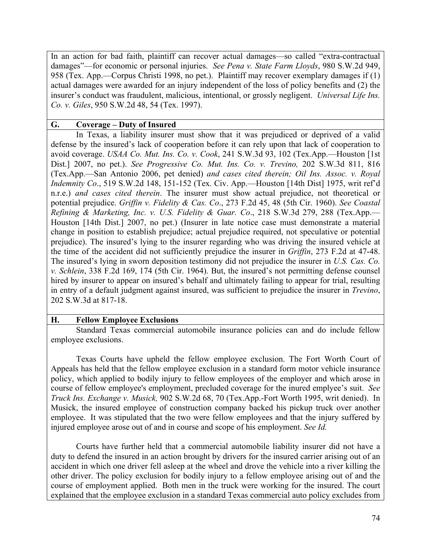In an action for bad faith, plaintiff can recover actual damages—so called "extra-contractual damages"—for economic or personal injuries. *See Pena v. State Farm Lloyds*, 980 S.W.2d 949, 958 (Tex. App.—Corpus Christi 1998, no pet.). Plaintiff may recover exemplary damages if (1) actual damages were awarded for an injury independent of the loss of policy benefits and (2) the insurer's conduct was fraudulent, malicious, intentional, or grossly negligent. *Universal Life Ins. Co. v. Giles*, 950 S.W.2d 48, 54 (Tex. 1997).

## **G. Coverage – Duty of Insured**

In Texas, a liability insurer must show that it was prejudiced or deprived of a valid defense by the insured's lack of cooperation before it can rely upon that lack of cooperation to avoid coverage. *USAA Co. Mut. Ins. Co. v. Cook*, 241 S.W.3d 93, 102 (Tex.App.—Houston [1st Dist.] 2007, no pet.). *See Progressive Co. Mut. Ins. Co. v. Trevino,* 202 S.W.3d 811, 816 (Tex.App.—San Antonio 2006, pet denied) *and cases cited therein; Oil Ins. Assoc. v. Royal Indemnity Co*., 519 S.W.2d 148, 151-152 (Tex. Civ. App.—Houston [14th Dist] 1975, writ ref'd n.r.e.) *and cases cited therein*. The insurer must show actual prejudice, not theoretical or potential prejudice. *Griffin v. Fidelity & Cas. Co*., 273 F.2d 45, 48 (5th Cir. 1960). *See Coastal Refining & Marketing, Inc. v. U.S. Fidelity & Guar. Co*., 218 S.W.3d 279, 288 (Tex.App.— Houston [14th Dist.] 2007, no pet.) (Insurer in late notice case must demonstrate a material change in position to establish prejudice; actual prejudice required, not speculative or potential prejudice). The insured's lying to the insurer regarding who was driving the insured vehicle at the time of the accident did not sufficiently prejudice the insurer in *Griffin*, 273 F.2d at 47-48. The insured's lying in sworn deposition testimony did not prejudice the insurer in *U.S. Cas. Co. v. Schlein*, 338 F.2d 169, 174 (5th Cir. 1964). But, the insured's not permitting defense counsel hired by insurer to appear on insured's behalf and ultimately failing to appear for trial, resulting in entry of a default judgment against insured, was sufficient to prejudice the insurer in *Trevino*, 202 S.W.3d at 817-18.

## **H. Fellow Employee Exclusions**

Standard Texas commercial automobile insurance policies can and do include fellow employee exclusions.

Texas Courts have upheld the fellow employee exclusion. The Fort Worth Court of Appeals has held that the fellow employee exclusion in a standard form motor vehicle insurance policy, which applied to bodily injury to fellow employees of the employer and which arose in course of fellow employee's employment, precluded coverage for the inured emplyee's suit. *See Truck Ins. Exchange v. Musick,* 902 S.W.2d 68, 70 (Tex.App.-Fort Worth 1995, writ denied). In Musick, the insured employee of construction company backed his pickup truck over another employee. It was stipulated that the two were fellow employees and that the injury suffered by injured employee arose out of and in course and scope of his employment. *See Id.*

Courts have further held that a commercial automobile liability insurer did not have a duty to defend the insured in an action brought by drivers for the insured carrier arising out of an accident in which one driver fell asleep at the wheel and drove the vehicle into a river killing the other driver. The policy exclusion for bodily injury to a fellow employee arising out of and the course of employment applied. Both men in the truck were working for the insured. The court explained that the employee exclusion in a standard Texas commercial auto policy excludes from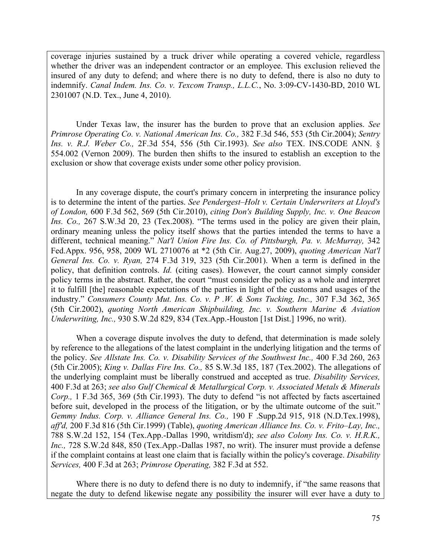coverage injuries sustained by a truck driver while operating a covered vehicle, regardless whether the driver was an independent contractor or an employee. This exclusion relieved the insured of any duty to defend; and where there is no duty to defend, there is also no duty to indemnify. *Canal Indem. Ins. Co. v. Texcom Transp., L.L.C.*, No. 3:09-CV-1430-BD, 2010 WL 2301007 (N.D. Tex., June 4, 2010).

Under Texas law, the insurer has the burden to prove that an exclusion applies. *See Primrose Operating Co. v. National American Ins. Co.,* 382 F.3d 546, 553 (5th Cir.2004); *Sentry Ins. v. R.J. Weber Co.,* 2F.3d 554, 556 (5th Cir.1993). *See also* TEX. INS.CODE ANN. § 554.002 (Vernon 2009). The burden then shifts to the insured to establish an exception to the exclusion or show that coverage exists under some other policy provision.

In any coverage dispute, the court's primary concern in interpreting the insurance policy is to determine the intent of the parties. *See Pendergest–Holt v. Certain Underwriters at Lloyd's of London,* 600 F.3d 562, 569 (5th Cir.2010), *citing Don's Building Supply, Inc. v. One Beacon Ins. Co.*, 267 S.W.3d 20, 23 (Tex.2008). "The terms used in the policy are given their plain, ordinary meaning unless the policy itself shows that the parties intended the terms to have a different, technical meaning." *Nat'l Union Fire Ins. Co. of Pittsburgh, Pa. v. McMurray,* 342 Fed.Appx. 956, 958, 2009 WL 2710076 at \*2 (5th Cir. Aug.27, 2009), *quoting American Nat'l General Ins. Co. v. Ryan,* 274 F.3d 319, 323 (5th Cir.2001). When a term is defined in the policy, that definition controls. *Id.* (citing cases). However, the court cannot simply consider policy terms in the abstract. Rather, the court "must consider the policy as a whole and interpret it to fulfill [the] reasonable expectations of the parties in light of the customs and usages of the industry." *Consumers County Mut. Ins. Co. v. P .W. & Sons Tucking, Inc.,* 307 F.3d 362, 365 (5th Cir.2002), *quoting North American Shipbuilding, Inc. v. Southern Marine & Aviation Underwriting, Inc.,* 930 S.W.2d 829, 834 (Tex.App.-Houston [1st Dist.] 1996, no writ).

When a coverage dispute involves the duty to defend, that determination is made solely by reference to the allegations of the latest complaint in the underlying litigation and the terms of the policy. *See Allstate Ins. Co. v. Disability Services of the Southwest Inc.,* 400 F.3d 260, 263 (5th Cir.2005); *King v. Dallas Fire Ins. Co.,* 85 S.W.3d 185, 187 (Tex.2002). The allegations of the underlying complaint must be liberally construed and accepted as true. *Disability Services,* 400 F.3d at 263; *see also Gulf Chemical & Metallurgical Corp. v. Associated Metals & Minerals Corp.,* 1 F.3d 365, 369 (5th Cir.1993). The duty to defend "is not affected by facts ascertained before suit, developed in the process of the litigation, or by the ultimate outcome of the suit." *Gemmy Indus. Corp. v. Alliance General Ins. Co.,* 190 F .Supp.2d 915, 918 (N.D.Tex.1998), *aff'd,* 200 F.3d 816 (5th Cir.1999) (Table), *quoting American Alliance Ins. Co. v. Frito–Lay, Inc.,* 788 S.W.2d 152, 154 (Tex.App.-Dallas 1990, writdism'd); *see also Colony Ins. Co. v. H.R.K., Inc.,* 728 S.W.2d 848, 850 (Tex.App.-Dallas 1987, no writ). The insurer must provide a defense if the complaint contains at least one claim that is facially within the policy's coverage. *Disability Services,* 400 F.3d at 263; *Primrose Operating,* 382 F.3d at 552.

Where there is no duty to defend there is no duty to indemnify, if "the same reasons that negate the duty to defend likewise negate any possibility the insurer will ever have a duty to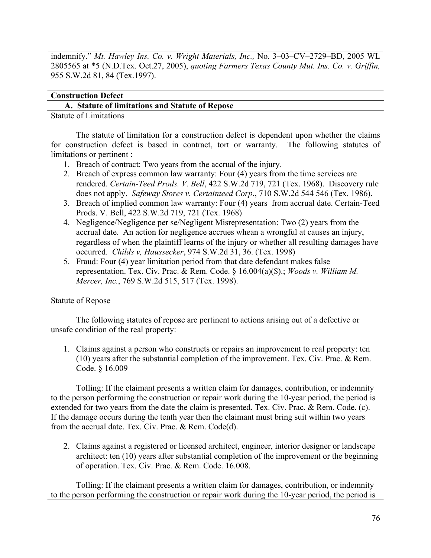indemnify." *Mt. Hawley Ins. Co. v. Wright Materials, Inc.,* No. 3–03–CV–2729–BD, 2005 WL 2805565 at \*5 (N.D.Tex. Oct.27, 2005), *quoting Farmers Texas County Mut. Ins. Co. v. Griffin,* 955 S.W.2d 81, 84 (Tex.1997).

#### **Construction Defect**

### **A. Statute of limitations and Statute of Repose**

Statute of Limitations

The statute of limitation for a construction defect is dependent upon whether the claims for construction defect is based in contract, tort or warranty. The following statutes of limitations or pertinent :

- 1. Breach of contract: Two years from the accrual of the injury.
- 2. Breach of express common law warranty: Four (4) years from the time services are rendered. *Certain-Teed Prods. V. Bell*, 422 S.W.2d 719, 721 (Tex. 1968). Discovery rule does not apply. *Safeway Stores v. Certainteed Corp*., 710 S.W.2d 544 546 (Tex. 1986).
- 3. Breach of implied common law warranty: Four (4) years from accrual date. Certain-Teed Prods. V. Bell, 422 S.W.2d 719, 721 (Tex. 1968)
- 4. Negligence/Negligence per se/Negligent Misrepresentation: Two (2) years from the accrual date. An action for negligence accrues whean a wrongful at causes an injury, regardless of when the plaintiff learns of the injury or whether all resulting damages have occurred. *Childs v, Haussecker*, 974 S.W.2d 31, 36. (Tex. 1998)
- 5. Fraud: Four (4) year limitation period from that date defendant makes false representation. Tex. Civ. Prac. & Rem. Code. § 16.004(a)(\$).; *Woods v. William M. Mercer, Inc.*, 769 S.W.2d 515, 517 (Tex. 1998).

### Statute of Repose

The following statutes of repose are pertinent to actions arising out of a defective or unsafe condition of the real property:

1. Claims against a person who constructs or repairs an improvement to real property: ten (10) years after the substantial completion of the improvement. Tex. Civ. Prac. & Rem. Code. § 16.009

Tolling: If the claimant presents a written claim for damages, contribution, or indemnity to the person performing the construction or repair work during the 10-year period, the period is extended for two years from the date the claim is presented. Tex. Civ. Prac. & Rem. Code. (c). If the damage occurs during the tenth year then the claimant must bring suit within two years from the accrual date. Tex. Civ. Prac. & Rem. Code(d).

2. Claims against a registered or licensed architect, engineer, interior designer or landscape architect: ten (10) years after substantial completion of the improvement or the beginning of operation. Tex. Civ. Prac. & Rem. Code. 16.008.

Tolling: If the claimant presents a written claim for damages, contribution, or indemnity to the person performing the construction or repair work during the 10-year period, the period is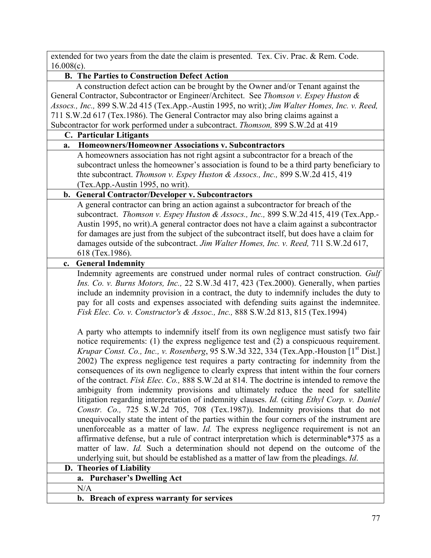extended for two years from the date the claim is presented. Tex. Civ. Prac. & Rem. Code. 16.008(c).

## **B. The Parties to Construction Defect Action**

A construction defect action can be brought by the Owner and/or Tenant against the General Contractor, Subcontractor or Engineer/Architect. See *Thomson v. Espey Huston & Assocs., Inc.,* 899 S.W.2d 415 (Tex.App.-Austin 1995, no writ); *Jim Walter Homes, Inc. v. Reed,* 711 S.W.2d 617 (Tex.1986). The General Contractor may also bring claims against a Subcontractor for work performed under a subcontract. *Thomson,* 899 S.W.2d at 419

## **C. Particular Litigants**

### **a. Homeowners/Homeowner Associations v. Subcontractors**

A homeowners association has not right agsint a subcontractor for a breach of the subcontract unless the homeowner's association is found to be a third party beneficiary to thte subcontract. *Thomson v. Espey Huston & Assocs., Inc.,* 899 S.W.2d 415, 419 (Tex.App.-Austin 1995, no writ).

## **b. General Contractor/Developer v. Subcontractors**

A general contractor can bring an action against a subcontractor for breach of the subcontract. *Thomson v. Espey Huston & Assocs., Inc.,* 899 S.W.2d 415, 419 (Tex.App.- Austin 1995, no writ).A general contractor does not have a claim against a subcontractor for damages are just from the subject of the subcontract itself, but does have a claim for damages outside of the subcontract. *Jim Walter Homes, Inc. v. Reed,* 711 S.W.2d 617, 618 (Tex.1986).

### **c. General Indemnity**

Indemnity agreements are construed under normal rules of contract construction. *Gulf Ins. Co. v. Burns Motors, Inc.,* 22 S.W.3d 417, 423 (Tex.2000). Generally, when parties include an indemnity provision in a contract, the duty to indemnify includes the duty to pay for all costs and expenses associated with defending suits against the indemnitee. *Fisk Elec. Co. v. Constructor's & Assoc., Inc.,* 888 S.W.2d 813, 815 (Tex.1994)

A party who attempts to indemnify itself from its own negligence must satisfy two fair notice requirements: (1) the express negligence test and (2) a conspicuous requirement. *Krupar Const. Co., Inc., v. Rosenberg,* 95 S.W.3d 322, 334 (Tex.App.-Houston  $[1<sup>st</sup> Dist.]$ ) 2002) The express negligence test requires a party contracting for indemnity from the consequences of its own negligence to clearly express that intent within the four corners of the contract. *Fisk Elec. Co.,* 888 S.W.2d at 814. The doctrine is intended to remove the ambiguity from indemnity provisions and ultimately reduce the need for satellite litigation regarding interpretation of indemnity clauses. *Id.* (citing *Ethyl Corp. v. Daniel Constr. Co.,* 725 S.W.2d 705, 708 (Tex.1987)). Indemnity provisions that do not unequivocally state the intent of the parties within the four corners of the instrument are unenforceable as a matter of law. *Id.* The express negligence requirement is not an affirmative defense, but a rule of contract interpretation which is determinable\*375 as a matter of law. *Id.* Such a determination should not depend on the outcome of the underlying suit, but should be established as a matter of law from the pleadings. *Id*.

| D. Theories of Liability                   |  |
|--------------------------------------------|--|
| a. Purchaser's Dwelling Act                |  |
| N/A                                        |  |
| b. Breach of express warranty for services |  |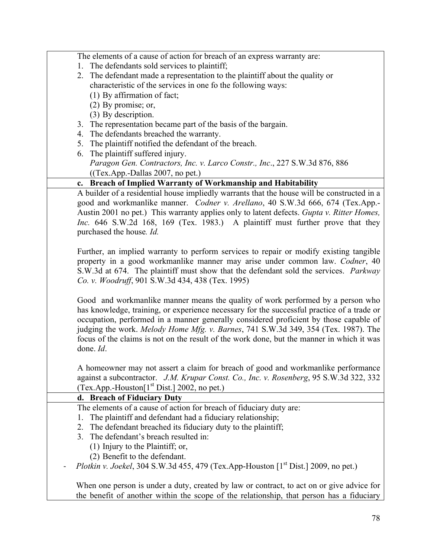| The elements of a cause of action for breach of an express warranty are:                                                                                                                                                                                                                                                                                                                                                                                               |  |
|------------------------------------------------------------------------------------------------------------------------------------------------------------------------------------------------------------------------------------------------------------------------------------------------------------------------------------------------------------------------------------------------------------------------------------------------------------------------|--|
| 1. The defendants sold services to plaintiff;                                                                                                                                                                                                                                                                                                                                                                                                                          |  |
| The defendant made a representation to the plaintiff about the quality or<br>2.                                                                                                                                                                                                                                                                                                                                                                                        |  |
| characteristic of the services in one fo the following ways:                                                                                                                                                                                                                                                                                                                                                                                                           |  |
| (1) By affirmation of fact;                                                                                                                                                                                                                                                                                                                                                                                                                                            |  |
| $(2)$ By promise; or,                                                                                                                                                                                                                                                                                                                                                                                                                                                  |  |
| (3) By description.                                                                                                                                                                                                                                                                                                                                                                                                                                                    |  |
| 3. The representation became part of the basis of the bargain.                                                                                                                                                                                                                                                                                                                                                                                                         |  |
| The defendants breached the warranty.<br>4.                                                                                                                                                                                                                                                                                                                                                                                                                            |  |
| 5. The plaintiff notified the defendant of the breach.                                                                                                                                                                                                                                                                                                                                                                                                                 |  |
| 6. The plaintiff suffered injury.                                                                                                                                                                                                                                                                                                                                                                                                                                      |  |
| Paragon Gen. Contractors, Inc. v. Larco Constr., Inc., 227 S.W.3d 876, 886                                                                                                                                                                                                                                                                                                                                                                                             |  |
| $((Tex. App.-Dallas 2007, no pet.)$                                                                                                                                                                                                                                                                                                                                                                                                                                    |  |
|                                                                                                                                                                                                                                                                                                                                                                                                                                                                        |  |
| c. Breach of Implied Warranty of Workmanship and Habitability                                                                                                                                                                                                                                                                                                                                                                                                          |  |
| A builder of a residential house impliedly warrants that the house will be constructed in a<br>good and workmanlike manner. Codner v. Arellano, 40 S.W.3d 666, 674 (Tex.App.-<br>Austin 2001 no pet.) This warranty applies only to latent defects. Gupta v. Ritter Homes,<br>Inc. 646 S.W.2d 168, 169 (Tex. 1983.) A plaintiff must further prove that they<br>purchased the house. Id.                                                                               |  |
| Further, an implied warranty to perform services to repair or modify existing tangible<br>property in a good workmanlike manner may arise under common law. Codner, 40<br>S.W.3d at 674. The plaintiff must show that the defendant sold the services. Parkway<br>Co. v. Woodruff, 901 S.W.3d 434, 438 (Tex. 1995)                                                                                                                                                     |  |
| Good and workmanlike manner means the quality of work performed by a person who<br>has knowledge, training, or experience necessary for the successful practice of a trade or<br>occupation, performed in a manner generally considered proficient by those capable of<br>judging the work. Melody Home Mfg. v. Barnes, 741 S.W.3d 349, 354 (Tex. 1987). The<br>focus of the claims is not on the result of the work done, but the manner in which it was<br>done. Id. |  |
|                                                                                                                                                                                                                                                                                                                                                                                                                                                                        |  |
| A homeowner may not assert a claim for breach of good and workmanlike performance<br>against a subcontractor. J.M. Krupar Const. Co., Inc. v. Rosenberg, 95 S.W.3d 322, 332                                                                                                                                                                                                                                                                                            |  |
| (Tex.App.-Houston[ $1st Dist.$ ] 2002, no pet.)                                                                                                                                                                                                                                                                                                                                                                                                                        |  |
|                                                                                                                                                                                                                                                                                                                                                                                                                                                                        |  |
| d. Breach of Fiduciary Duty                                                                                                                                                                                                                                                                                                                                                                                                                                            |  |
| The elements of a cause of action for breach of fiduciary duty are:                                                                                                                                                                                                                                                                                                                                                                                                    |  |
| The plaintiff and defendant had a fiduciary relationship;<br>1.                                                                                                                                                                                                                                                                                                                                                                                                        |  |
| The defendant breached its fiduciary duty to the plaintiff;<br>2.                                                                                                                                                                                                                                                                                                                                                                                                      |  |
| The defendant's breach resulted in:<br>3 <sub>1</sub>                                                                                                                                                                                                                                                                                                                                                                                                                  |  |
| $(1)$ Injury to the Plaintiff; or,                                                                                                                                                                                                                                                                                                                                                                                                                                     |  |
| (2) Benefit to the defendant.                                                                                                                                                                                                                                                                                                                                                                                                                                          |  |
| Plotkin v. Joekel, 304 S.W.3d 455, 479 (Tex.App-Houston [1 <sup>st</sup> Dist.] 2009, no pet.)                                                                                                                                                                                                                                                                                                                                                                         |  |
| When one person is under a duty, created by law or contract, to act on or give advice for                                                                                                                                                                                                                                                                                                                                                                              |  |
| the benefit of another within the scope of the relationship, that person has a fiduciary                                                                                                                                                                                                                                                                                                                                                                               |  |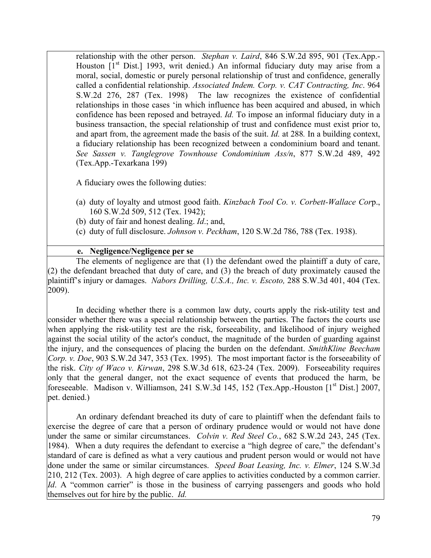relationship with the other person. *Stephan v. Laird*, 846 S.W.2d 895, 901 (Tex.App.- Houston  $[1<sup>st</sup> Dist.]$  1993, writ denied.) An informal fiduciary duty may arise from a moral, social, domestic or purely personal relationship of trust and confidence, generally called a confidential relationship. *Associated Indem. Corp. v. CAT Contracting, Inc*. 964 S.W.2d 276, 287 (Tex. 1998) The law recognizes the existence of confidential relationships in those cases 'in which influence has been acquired and abused, in which confidence has been reposed and betrayed. *Id.* To impose an informal fiduciary duty in a business transaction, the special relationship of trust and confidence must exist prior to, and apart from, the agreement made the basis of the suit. *Id.* at 288*.* In a building context, a fiduciary relationship has been recognized between a condominium board and tenant. *See Sassen v. Tanglegrove Townhouse Condominium Ass/n*, 877 S.W.2d 489, 492 (Tex.App.-Texarkana 199)

A fiduciary owes the following duties:

- (a) duty of loyalty and utmost good faith. *Kinzbach Tool Co. v. Corbett-Wallace Cor*p., 160 S.W.2d 509, 512 (Tex. 1942);
- (b) duty of fair and honest dealing. *Id*.; and,
- (c) duty of full disclosure. *Johnson v. Peckham*, 120 S.W.2d 786, 788 (Tex. 1938).

#### **e. Negligence/Negligence per se**

The elements of negligence are that (1) the defendant owed the plaintiff a duty of care, (2) the defendant breached that duty of care, and (3) the breach of duty proximately caused the plaintiff's injury or damages. *Nabors Drilling, U.S.A., Inc. v. Escoto,* 288 S.W.3d 401, 404 (Tex. 2009).

In deciding whether there is a common law duty, courts apply the risk-utility test and consider whether there was a special relationship between the parties. The factors the courts use when applying the risk-utility test are the risk, forseeability, and likelihood of injury weighed against the social utility of the actor's conduct, the magnitude of the burden of guarding against the injury, and the consequences of placing the burden on the defendant. *SmithKline Beecham Corp. v. Doe*, 903 S.W.2d 347, 353 (Tex. 1995). The most important factor is the forseeability of the risk. *City of Waco v. Kirwan*, 298 S.W.3d 618, 623-24 (Tex. 2009). Forseeability requires only that the general danger, not the exact sequence of events that produced the harm, be foreseeable. Madison v. Williamson, 241 S.W.3d 145, 152 (Tex.App.-Houston  $[1<sup>st</sup> Dist.]$  2007, pet. denied.)

An ordinary defendant breached its duty of care to plaintiff when the defendant fails to exercise the degree of care that a person of ordinary prudence would or would not have done under the same or similar circumstances. *Colvin v. Red Steel Co.*, 682 S.W.2d 243, 245 (Tex. 1984). When a duty requires the defendant to exercise a "high degree of care," the defendant's standard of care is defined as what a very cautious and prudent person would or would not have done under the same or similar circumstances. *Speed Boat Leasing, Inc. v. Elmer*, 124 S.W.3d 210, 212 (Tex. 2003). A high degree of care applies to activities conducted by a common carrier. *Id*. A "common carrier" is those in the business of carrying passengers and goods who hold themselves out for hire by the public. *Id.*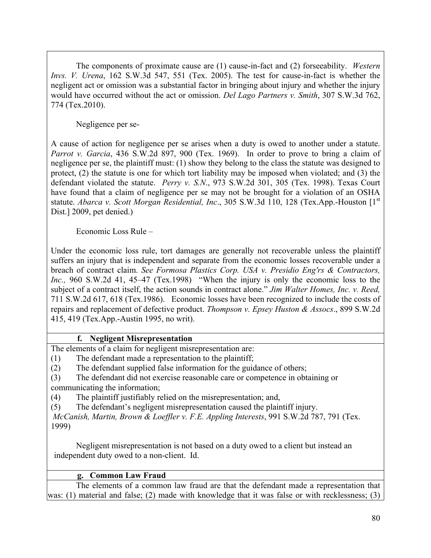The components of proximate cause are (1) cause-in-fact and (2) forseeability. *Western Invs. V. Urena*, 162 S.W.3d 547, 551 (Tex. 2005). The test for cause-in-fact is whether the negligent act or omission was a substantial factor in bringing about injury and whether the injury would have occurred without the act or omission. *Del Lago Partners v. Smith*, 307 S.W.3d 762, 774 (Tex.2010).

Negligence per se-

A cause of action for negligence per se arises when a duty is owed to another under a statute. *Parrot v. Garcia*, 436 S.W.2d 897, 900 (Tex. 1969). In order to prove to bring a claim of negligence per se, the plaintiff must: (1) show they belong to the class the statute was designed to protect, (2) the statute is one for which tort liability may be imposed when violated; and (3) the defendant violated the statute. *Perry v. S.N*., 973 S.W.2d 301, 305 (Tex. 1998). Texas Court have found that a claim of negligence per se may not be brought for a violation of an OSHA statute. *Abarca v. Scott Morgan Residential, Inc*., 305 S.W.3d 110, 128 (Tex.App.-Houston [1st Dist.] 2009, pet denied.)

Economic Loss Rule –

Under the economic loss rule, tort damages are generally not recoverable unless the plaintiff suffers an injury that is independent and separate from the economic losses recoverable under a breach of contract claim. *See Formosa Plastics Corp. USA v. Presidio Eng'rs & Contractors, Inc.*, 960 S.W.2d 41, 45–47 (Tex.1998) "When the injury is only the economic loss to the subject of a contract itself, the action sounds in contract alone." *Jim Walter Homes, Inc. v. Reed,* 711 S.W.2d 617, 618 (Tex.1986). Economic losses have been recognized to include the costs of repairs and replacement of defective product. *Thompson v. Epsey Huston & Assocs*., 899 S.W.2d 415, 419 (Tex.App.-Austin 1995, no writ).

## **f. Negligent Misrepresentation**

The elements of a claim for negligent misrepresentation are:

- (1) The defendant made a representation to the plaintiff;
- (2) The defendant supplied false information for the guidance of others;
- (3) The defendant did not exercise reasonable care or competence in obtaining or communicating the information;

(4) The plaintiff justifiably relied on the misrepresentation; and,

(5) The defendant's negligent misrepresentation caused the plaintiff injury.

 *McCanish, Martin, Brown & Loeffler v. F.E. Appling Interests*, 991 S.W.2d 787, 791 (Tex. 1999)

Negligent misrepresentation is not based on a duty owed to a client but instead an independent duty owed to a non-client. Id.

# **g. Common Law Fraud**

The elements of a common law fraud are that the defendant made a representation that was: (1) material and false; (2) made with knowledge that it was false or with recklessness; (3)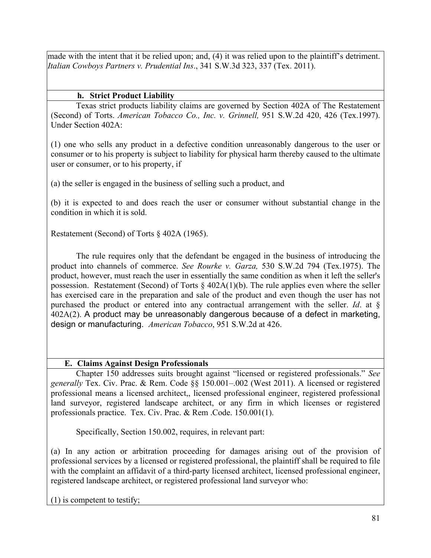made with the intent that it be relied upon; and, (4) it was relied upon to the plaintiff's detriment. *Italian Cowboys Partners v. Prudential Ins*., 341 S.W.3d 323, 337 (Tex. 2011).

## **h. Strict Product Liability**

Texas strict products liability claims are governed by Section 402A of The Restatement (Second) of Torts. *American Tobacco Co., Inc. v. Grinnell,* 951 S.W.2d 420, 426 (Tex.1997). Under Section 402A:

(1) one who sells any product in a defective condition unreasonably dangerous to the user or consumer or to his property is subject to liability for physical harm thereby caused to the ultimate user or consumer, or to his property, if

(a) the seller is engaged in the business of selling such a product, and

(b) it is expected to and does reach the user or consumer without substantial change in the condition in which it is sold.

Restatement (Second) of Torts § 402A (1965).

The rule requires only that the defendant be engaged in the business of introducing the product into channels of commerce. *See Rourke v. Garza,* 530 S.W.2d 794 (Tex.1975). The product, however, must reach the user in essentially the same condition as when it left the seller's possession. Restatement (Second) of Torts § 402A(1)(b). The rule applies even where the seller has exercised care in the preparation and sale of the product and even though the user has not purchased the product or entered into any contractual arrangement with the seller. *Id*. at § 402A(2). A product may be unreasonably dangerous because of a defect in marketing, design or manufacturing. *American Tobacco*, 951 S.W.2d at 426.

### **E. Claims Against Design Professionals**

Chapter 150 addresses suits brought against "licensed or registered professionals." *See generally* Tex. Civ. Prac. & Rem. Code §§ 150.001–.002 (West 2011). A licensed or registered professional means a licensed architect,, licensed professional engineer, registered professional land surveyor, registered landscape architect, or any firm in which licenses or registered professionals practice. Tex. Civ. Prac. & Rem .Code. 150.001(1).

Specifically, Section 150.002, requires, in relevant part:

(a) In any action or arbitration proceeding for damages arising out of the provision of professional services by a licensed or registered professional, the plaintiff shall be required to file with the complaint an affidavit of a third-party licensed architect, licensed professional engineer, registered landscape architect, or registered professional land surveyor who:

(1) is competent to testify;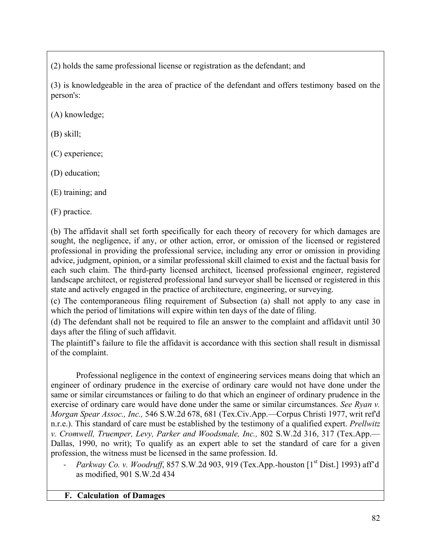(2) holds the same professional license or registration as the defendant; and

(3) is knowledgeable in the area of practice of the defendant and offers testimony based on the person's:

(A) knowledge;

(B) skill;

- (C) experience;
- (D) education;
- (E) training; and

(F) practice.

(b) The affidavit shall set forth specifically for each theory of recovery for which damages are sought, the negligence, if any, or other action, error, or omission of the licensed or registered professional in providing the professional service, including any error or omission in providing advice, judgment, opinion, or a similar professional skill claimed to exist and the factual basis for each such claim. The third-party licensed architect, licensed professional engineer, registered landscape architect, or registered professional land surveyor shall be licensed or registered in this state and actively engaged in the practice of architecture, engineering, or surveying.

(c) The contemporaneous filing requirement of Subsection (a) shall not apply to any case in which the period of limitations will expire within ten days of the date of filing.

(d) The defendant shall not be required to file an answer to the complaint and affidavit until 30 days after the filing of such affidavit.

The plaintiff's failure to file the affidavit is accordance with this section shall result in dismissal of the complaint.

Professional negligence in the context of engineering services means doing that which an engineer of ordinary prudence in the exercise of ordinary care would not have done under the same or similar circumstances or failing to do that which an engineer of ordinary prudence in the exercise of ordinary care would have done under the same or similar circumstances. *See Ryan v. Morgan Spear Assoc., Inc.,* 546 S.W.2d 678, 681 (Tex.Civ.App.—Corpus Christi 1977, writ ref'd n.r.e.). This standard of care must be established by the testimony of a qualified expert. *Prellwitz v. Cromwell, Truemper, Levy, Parker and Woodsmale, Inc.,* 802 S.W.2d 316, 317 (Tex.App.— Dallas, 1990, no writ); To qualify as an expert able to set the standard of care for a given profession, the witness must be licensed in the same profession. Id.

*Parkway Co. v. Woodruff*, 857 S.W.2d 903, 919 (Tex.App.-houston [1<sup>st</sup> Dist.] 1993) aff'd as modified, 901 S.W.2d 434

# **F. Calculation of Damages**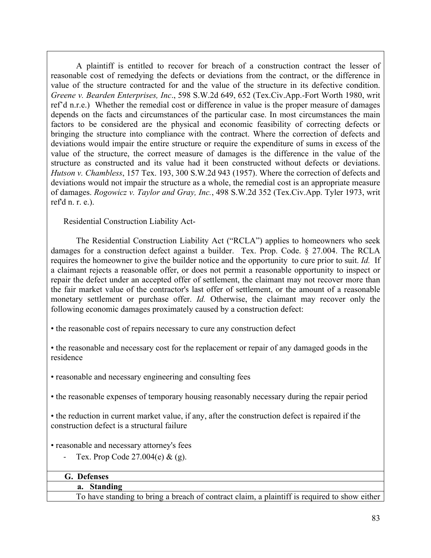A plaintiff is entitled to recover for breach of a construction contract the lesser of reasonable cost of remedying the defects or deviations from the contract, or the difference in value of the structure contracted for and the value of the structure in its defective condition. *Greene v. Bearden Enterprises, Inc*., 598 S.W.2d 649, 652 (Tex.Civ.App.-Fort Worth 1980, writ ref'd n.r.e.) Whether the remedial cost or difference in value is the proper measure of damages depends on the facts and circumstances of the particular case. In most circumstances the main factors to be considered are the physical and economic feasibility of correcting defects or bringing the structure into compliance with the contract. Where the correction of defects and deviations would impair the entire structure or require the expenditure of sums in excess of the value of the structure, the correct measure of damages is the difference in the value of the structure as constructed and its value had it been constructed without defects or deviations. *Hutson v. Chambless*, 157 Tex. 193, 300 S.W.2d 943 (1957). Where the correction of defects and deviations would not impair the structure as a whole, the remedial cost is an appropriate measure of damages. *Rogowicz v. Taylor and Gray, Inc.*, 498 S.W.2d 352 (Tex.Civ.App. Tyler 1973, writ ref'd n. r. e.).

Residential Construction Liability Act-

The Residential Construction Liability Act ("RCLA") applies to homeowners who seek damages for a construction defect against a builder. Tex. Prop. Code. § 27.004. The RCLA requires the homeowner to give the builder notice and the opportunity to cure prior to suit. *Id.* If a claimant rejects a reasonable offer, or does not permit a reasonable opportunity to inspect or repair the defect under an accepted offer of settlement, the claimant may not recover more than the fair market value of the contractor's last offer of settlement, or the amount of a reasonable monetary settlement or purchase offer. *Id.* Otherwise, the claimant may recover only the following economic damages proximately caused by a construction defect:

• the reasonable cost of repairs necessary to cure any construction defect

• the reasonable and necessary cost for the replacement or repair of any damaged goods in the residence

• reasonable and necessary engineering and consulting fees

• the reasonable expenses of temporary housing reasonably necessary during the repair period

• the reduction in current market value, if any, after the construction defect is repaired if the construction defect is a structural failure

• reasonable and necessary attorney's fees

Tex. Prop Code  $27.004(e)$  & (g).

## **G. Defenses**

#### **a. Standing**

To have standing to bring a breach of contract claim, a plaintiff is required to show either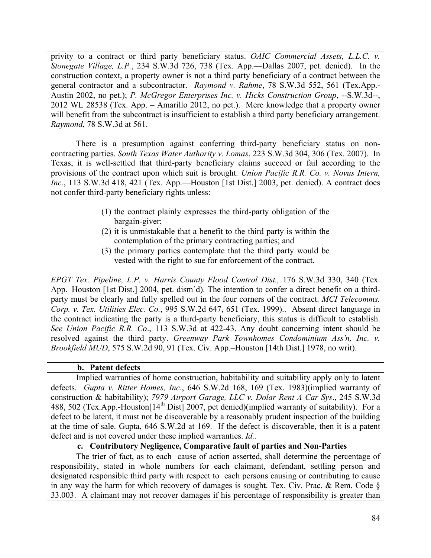privity to a contract or third party beneficiary status. *OAIC Commercial Assets, L.L.C. v. Stonegate Village, L.P.*, 234 S.W.3d 726, 738 (Tex. App.—Dallas 2007, pet. denied). In the construction context, a property owner is not a third party beneficiary of a contract between the general contractor and a subcontractor. *Raymond v. Rahme*, 78 S.W.3d 552, 561 (Tex.App.- Austin 2002, no pet.); *P. McGregor Enterprises Inc. v. Hicks Construction Group*, --S.W.3d--, 2012 WL 28538 (Tex. App. – Amarillo 2012, no pet.). Mere knowledge that a property owner will benefit from the subcontract is insufficient to establish a third party beneficiary arrangement. *Raymond*, 78 S.W.3d at 561.

There is a presumption against conferring third-party beneficiary status on noncontracting parties. *South Texas Water Authority v. Lomas*, 223 S.W.3d 304, 306 (Tex. 2007). In Texas, it is well-settled that third-party beneficiary claims succeed or fail according to the provisions of the contract upon which suit is brought. *Union Pacific R.R. Co. v. Novus Intern, Inc.*, 113 S.W.3d 418, 421 (Tex. App.—Houston [1st Dist.] 2003, pet. denied). A contract does not confer third-party beneficiary rights unless:

- (1) the contract plainly expresses the third-party obligation of the bargain-giver;
- (2) it is unmistakable that a benefit to the third party is within the contemplation of the primary contracting parties; and
- (3) the primary parties contemplate that the third party would be vested with the right to sue for enforcement of the contract.

*EPGT Tex. Pipeline, L.P. v. Harris County Flood Control Dist.,* 176 S.W.3d 330, 340 (Tex. App.–Houston [1st Dist.] 2004, pet. dism'd). The intention to confer a direct benefit on a thirdparty must be clearly and fully spelled out in the four corners of the contract. *MCI Telecomms. Corp. v. Tex. Utilities Elec. Co.*, 995 S.W.2d 647, 651 (Tex. 1999).. Absent direct language in the contract indicating the party is a third-party beneficiary, this status is difficult to establish. *See Union Pacific R.R. Co*., 113 S.W.3d at 422-43. Any doubt concerning intent should be resolved against the third party. *Greenway Park Townhomes Condominium Ass'n, Inc. v. Brookfield MUD*, 575 S.W.2d 90, 91 (Tex. Civ. App.–Houston [14th Dist.] 1978, no writ).

### **b. Patent defects**

Implied warranties of home construction, habitability and suitability apply only to latent defects. *Gupta v. Ritter Homes, Inc*., 646 S.W.2d 168, 169 (Tex. 1983)(implied warranty of construction & habitability); *7979 Airport Garage, LLC v. Dolar Rent A Car Sys*., 245 S.W.3d 488, 502 (Tex.App.-Houston[14<sup>th</sup> Dist] 2007, pet denied)(implied warranty of suitability). For a defect to be latent, it must not be discoverable by a reasonably prudent inspection of the building at the time of sale. Gupta, 646 S.W.2d at 169. If the defect is discoverable, then it is a patent defect and is not covered under these implied warranties. *Id..*

## **c. Contributory Negligence, Comparative fault of parties and Non-Parties**

The trier of fact, as to each cause of action asserted, shall determine the percentage of responsibility, stated in whole numbers for each claimant, defendant, settling person and designated responsible third party with respect to each persons causing or contributing to cause in any way the harm for which recovery of damages is sought. Tex. Civ. Prac. & Rem. Code § 33.003. A claimant may not recover damages if his percentage of responsibility is greater than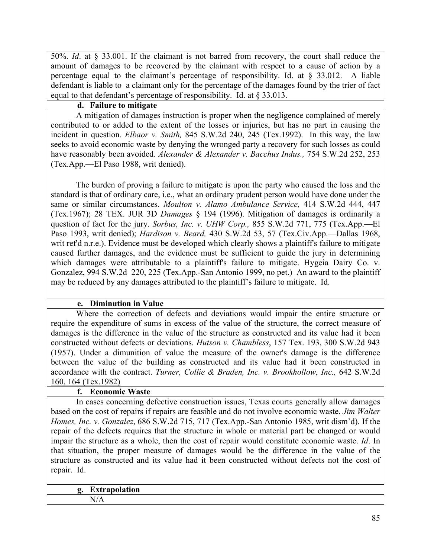50%. *Id*. at § 33.001. If the claimant is not barred from recovery, the court shall reduce the amount of damages to be recovered by the claimant with respect to a cause of action by a percentage equal to the claimant's percentage of responsibility. Id. at § 33.012. A liable defendant is liable to a claimant only for the percentage of the damages found by the trier of fact equal to that defendant's percentage of responsibility. Id. at § 33.013.

### **d. Failure to mitigate**

A mitigation of damages instruction is proper when the negligence complained of merely contributed to or added to the extent of the losses or injuries, but has no part in causing the incident in question. *Elbaor v. Smith,* 845 S.W.2d 240, 245 (Tex.1992). In this way, the law seeks to avoid economic waste by denying the wronged party a recovery for such losses as could have reasonably been avoided. *Alexander & Alexander v. Bacchus Indus.,* 754 S.W.2d 252, 253 (Tex.App.—El Paso 1988, writ denied).

The burden of proving a failure to mitigate is upon the party who caused the loss and the standard is that of ordinary care, i.e., what an ordinary prudent person would have done under the same or similar circumstances. *Moulton v. Alamo Ambulance Service,* 414 S.W.2d 444, 447 (Tex.1967); 28 TEX. JUR 3D *Damages* § 194 (1996). Mitigation of damages is ordinarily a question of fact for the jury. *Sorbus, Inc. v. UHW Corp.,* 855 S.W.2d 771, 775 (Tex.App.—El Paso 1993, writ denied); *Hardison v. Beard,* 430 S.W.2d 53, 57 (Tex.Civ.App.—Dallas 1968, writ ref'd n.r.e.). Evidence must be developed which clearly shows a plaintiff's failure to mitigate caused further damages, and the evidence must be sufficient to guide the jury in determining which damages were attributable to a plaintiff's failure to mitigate. Hygeia Dairy Co. v. Gonzalez, 994 S.W.2d 220, 225 (Tex.App.-San Antonio 1999, no pet.) An award to the plaintiff may be reduced by any damages attributed to the plaintiff's failure to mitigate. Id.

### **e. Diminution in Value**

Where the correction of defects and deviations would impair the entire structure or require the expenditure of sums in excess of the value of the structure, the correct measure of damages is the difference in the value of the structure as constructed and its value had it been constructed without defects or deviations. *Hutson v. Chambless*, 157 Tex. 193, 300 S.W.2d 943 (1957). Under a dimunition of value the measure of the owner's damage is the difference between the value of the building as constructed and its value had it been constructed in accordance with the contract. *Turner, Collie & Braden, Inc. v. Brookhollow, Inc.,* 642 S.W.2d 160, 164 (Tex.1982)

### **f. Economic Waste**

In cases concerning defective construction issues, Texas courts generally allow damages based on the cost of repairs if repairs are feasible and do not involve economic waste. *Jim Walter Homes, Inc. v. Gonzalez*, 686 S.W.2d 715, 717 (Tex.App.-San Antonio 1985, writ dism'd). If the repair of the defects requires that the structure in whole or material part be changed or would impair the structure as a whole, then the cost of repair would constitute economic waste. *Id*. In that situation, the proper measure of damages would be the difference in the value of the structure as constructed and its value had it been constructed without defects not the cost of repair. Id.

**g. Extrapolation**

N/A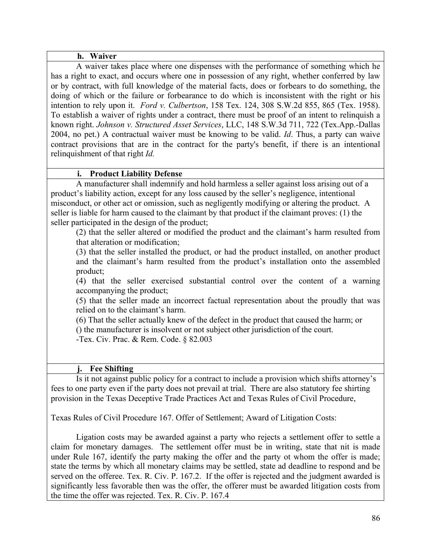#### **h. Waiver**

A waiver takes place where one dispenses with the performance of something which he has a right to exact, and occurs where one in possession of any right, whether conferred by law or by contract, with full knowledge of the material facts, does or forbears to do something, the doing of which or the failure or forbearance to do which is inconsistent with the right or his intention to rely upon it. *Ford v. Culbertson*, 158 Tex. 124, 308 S.W.2d 855, 865 (Tex. 1958). To establish a waiver of rights under a contract, there must be proof of an intent to relinquish a known right. *Johnson v. Structured Asset Services*, LLC, 148 S.W.3d 711, 722 (Tex.App.-Dallas 2004, no pet.) A contractual waiver must be knowing to be valid. *Id*. Thus, a party can waive contract provisions that are in the contract for the party's benefit, if there is an intentional relinquishment of that right *Id.*

## **i. Product Liability Defense**

A manufacturer shall indemnify and hold harmless a seller against loss arising out of a product's liability action, except for any loss caused by the seller's negligence, intentional misconduct, or other act or omission, such as negligently modifying or altering the product. A seller is liable for harm caused to the claimant by that product if the claimant proves: (1) the seller participated in the design of the product;

(2) that the seller altered or modified the product and the claimant's harm resulted from that alteration or modification;

(3) that the seller installed the product, or had the product installed, on another product and the claimant's harm resulted from the product's installation onto the assembled product;

(4) that the seller exercised substantial control over the content of a warning accompanying the product;

(5) that the seller made an incorrect factual representation about the proudly that was relied on to the claimant's harm.

(6) That the seller actually knew of the defect in the product that caused the harm; or

() the manufacturer is insolvent or not subject other jurisdiction of the court.

-Tex. Civ. Prac. & Rem. Code. § 82.003

### **j. Fee Shifting**

Is it not against public policy for a contract to include a provision which shifts attorney's fees to one party even if the party does not prevail at trial. There are also statutory fee shirting provision in the Texas Deceptive Trade Practices Act and Texas Rules of Civil Procedure,

Texas Rules of Civil Procedure 167. Offer of Settlement; Award of Litigation Costs:

Ligation costs may be awarded against a party who rejects a settlement offer to settle a claim for monetary damages. The settlement offer must be in writing, state that nit is made under Rule 167, identify the party making the offer and the party ot whom the offer is made; state the terms by which all monetary claims may be settled, state ad deadline to respond and be served on the offeree. Tex. R. Civ. P. 167.2. If the offer is rejected and the judgment awarded is significantly less favorable then was the offer, the offerer must be awarded litigation costs from the time the offer was rejected. Tex. R. Civ. P. 167.4